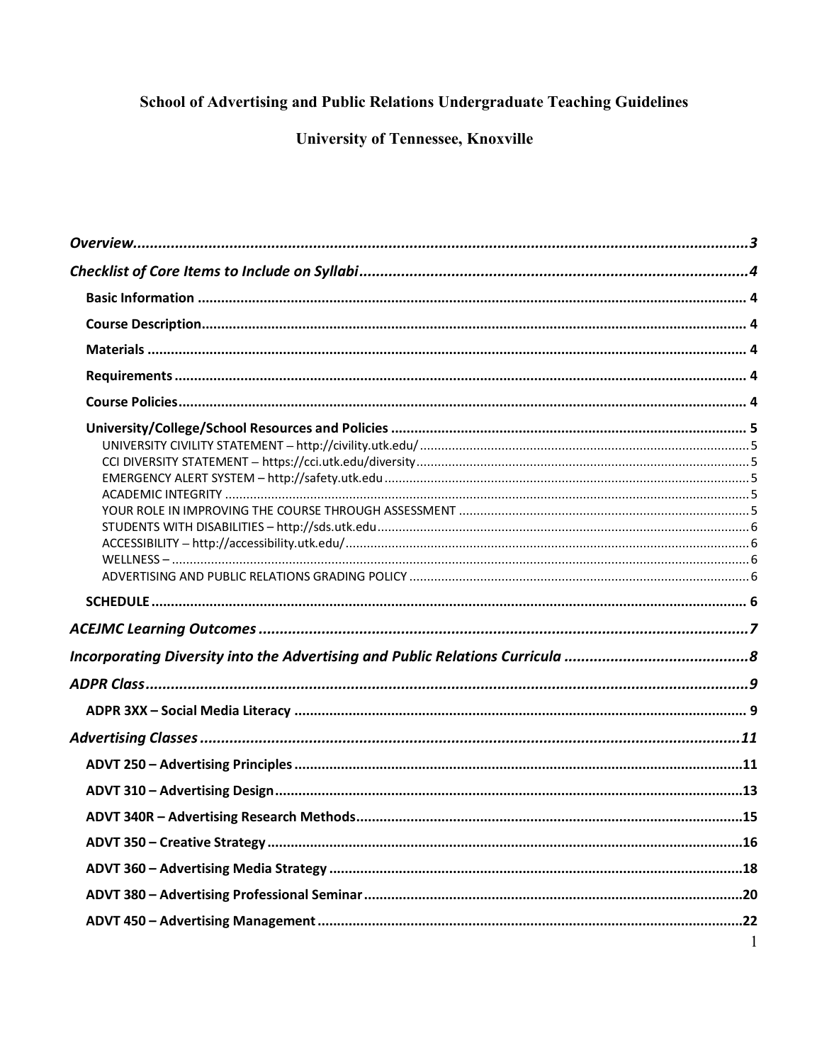# School of Advertising and Public Relations Undergraduate Teaching Guidelines

# **University of Tennessee, Knoxville**

| $\overline{1}$ |
|----------------|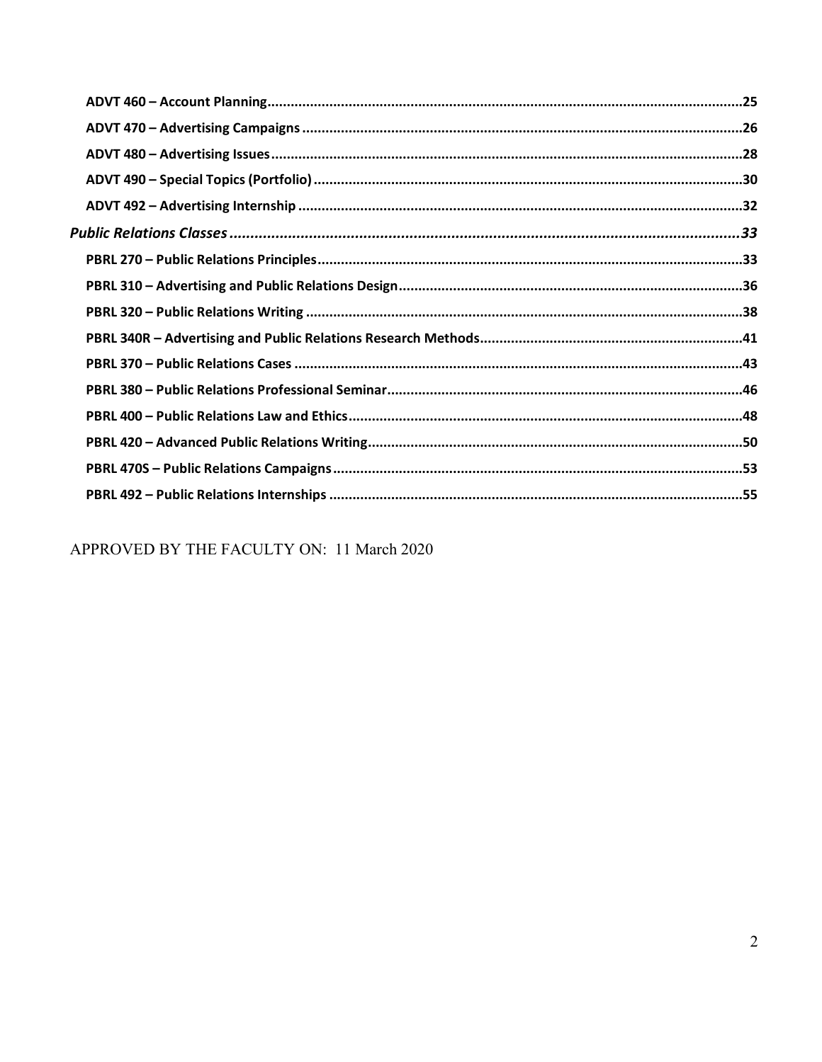APPROVED BY THE FACULTY ON: 11 March 2020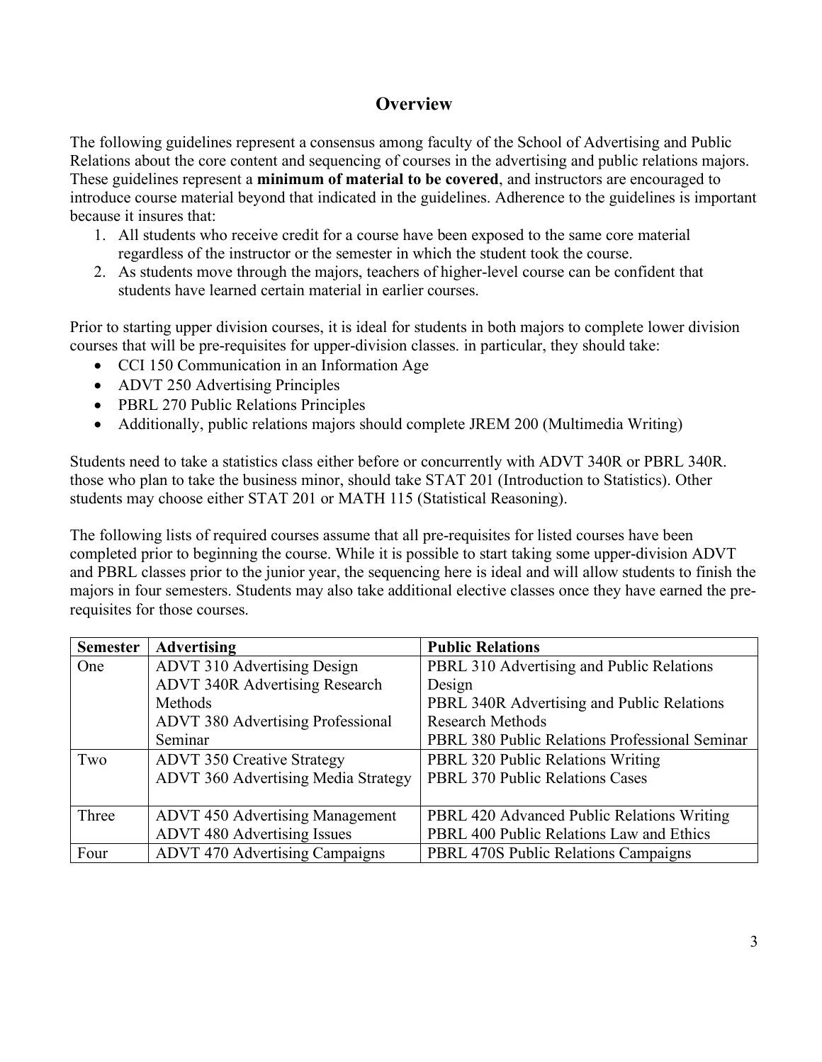# **Overview**

The following guidelines represent a consensus among faculty of the School of Advertising and Public Relations about the core content and sequencing of courses in the advertising and public relations majors. These guidelines represent a **minimum of material to be covered**, and instructors are encouraged to introduce course material beyond that indicated in the guidelines. Adherence to the guidelines is important because it insures that:

- 1. All students who receive credit for a course have been exposed to the same core material regardless of the instructor or the semester in which the student took the course.
- 2. As students move through the majors, teachers of higher-level course can be confident that students have learned certain material in earlier courses.

Prior to starting upper division courses, it is ideal for students in both majors to complete lower division courses that will be pre-requisites for upper-division classes. in particular, they should take:

- CCI 150 Communication in an Information Age
- ADVT 250 Advertising Principles
- PBRL 270 Public Relations Principles
- Additionally, public relations majors should complete JREM 200 (Multimedia Writing)

Students need to take a statistics class either before or concurrently with ADVT 340R or PBRL 340R. those who plan to take the business minor, should take STAT 201 (Introduction to Statistics). Other students may choose either STAT 201 or MATH 115 (Statistical Reasoning).

The following lists of required courses assume that all pre-requisites for listed courses have been completed prior to beginning the course. While it is possible to start taking some upper-division ADVT and PBRL classes prior to the junior year, the sequencing here is ideal and will allow students to finish the majors in four semesters. Students may also take additional elective classes once they have earned the prerequisites for those courses.

| <b>Semester</b> | <b>Advertising</b>                         | <b>Public Relations</b>                        |  |
|-----------------|--------------------------------------------|------------------------------------------------|--|
| One             | <b>ADVT 310 Advertising Design</b>         | PBRL 310 Advertising and Public Relations      |  |
|                 | <b>ADVT 340R Advertising Research</b>      | Design                                         |  |
|                 | Methods                                    | PBRL 340R Advertising and Public Relations     |  |
|                 | <b>ADVT 380 Advertising Professional</b>   | <b>Research Methods</b>                        |  |
|                 | Seminar                                    | PBRL 380 Public Relations Professional Seminar |  |
| Two             | <b>ADVT 350 Creative Strategy</b>          | <b>PBRL 320 Public Relations Writing</b>       |  |
|                 | <b>ADVT 360 Advertising Media Strategy</b> | <b>PBRL 370 Public Relations Cases</b>         |  |
|                 |                                            |                                                |  |
| Three           | <b>ADVT 450 Advertising Management</b>     | PBRL 420 Advanced Public Relations Writing     |  |
|                 | <b>ADVT 480 Advertising Issues</b>         | PBRL 400 Public Relations Law and Ethics       |  |
| Four            | <b>ADVT 470 Advertising Campaigns</b>      | PBRL 470S Public Relations Campaigns           |  |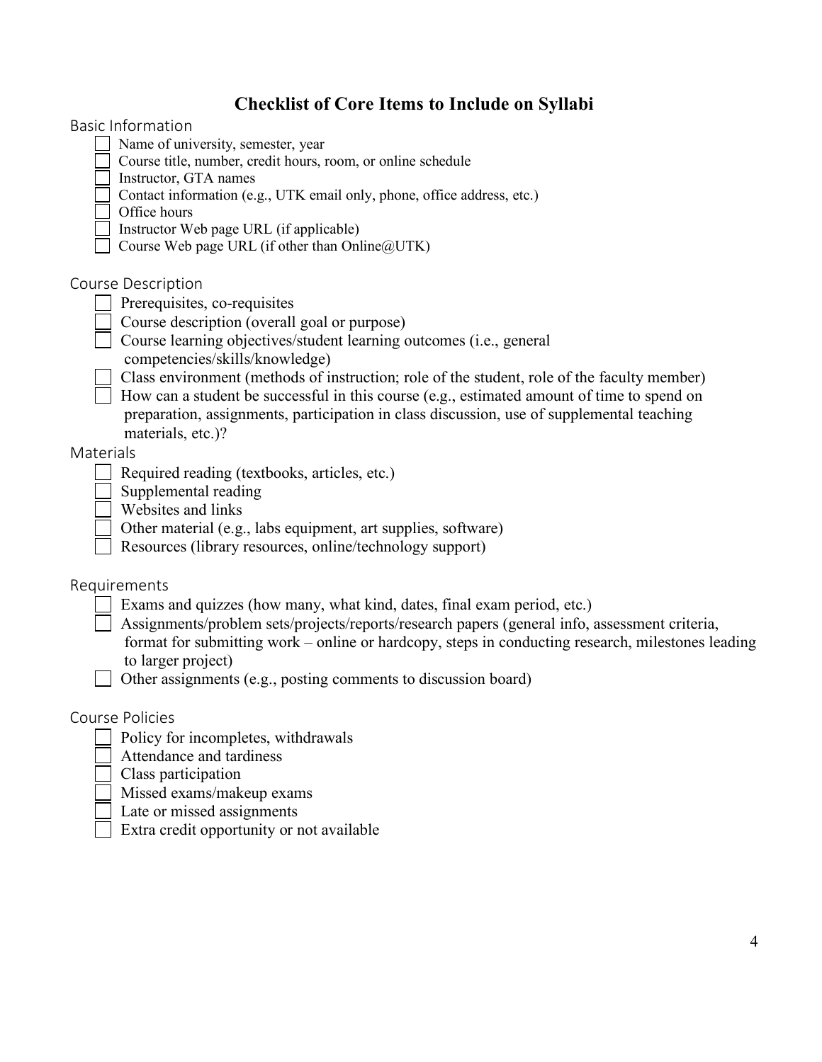# **Checklist of Core Items to Include on Syllabi**

| Checklist of Core Items to Include on Syllabi                                                         |  |
|-------------------------------------------------------------------------------------------------------|--|
| <b>Basic Information</b>                                                                              |  |
| Name of university, semester, year                                                                    |  |
| Course title, number, credit hours, room, or online schedule                                          |  |
| Instructor, GTA names                                                                                 |  |
| Contact information (e.g., UTK email only, phone, office address, etc.)                               |  |
| Office hours                                                                                          |  |
| Instructor Web page URL (if applicable)                                                               |  |
| Course Web page URL (if other than Online@UTK)                                                        |  |
| Course Description                                                                                    |  |
| Prerequisites, co-requisites                                                                          |  |
| Course description (overall goal or purpose)                                                          |  |
| Course learning objectives/student learning outcomes (i.e., general<br>competencies/skills/knowledge) |  |
| Class environment (methods of instruction; role of the student, role of the faculty member)           |  |
| How can a student be successful in this course (e.g., estimated amount of time to spend on            |  |
| preparation, assignments, participation in class discussion, use of supplemental teaching             |  |
| materials, etc.)?                                                                                     |  |
| Materials                                                                                             |  |
| Required reading (textbooks, articles, etc.)                                                          |  |
| Supplemental reading                                                                                  |  |
| Websites and links                                                                                    |  |
| Other material (e.g., labs equipment, art supplies, software)                                         |  |
| Resources (library resources, online/technology support)                                              |  |
|                                                                                                       |  |
| Requirements                                                                                          |  |
| Exams and quizzes (how many, what kind, dates, final exam period, etc.)                               |  |
| Assignments/problem sets/projects/reports/research papers (general info, assessment criteria,         |  |
| format for submitting work – online or hardcopy, steps in conducting research, milestones leading     |  |
| to larger project)                                                                                    |  |
| Other assignments (e.g., posting comments to discussion board)                                        |  |
|                                                                                                       |  |
| Course Policies                                                                                       |  |
| Policy for incompletes, withdrawals                                                                   |  |
| Attendance and tardiness                                                                              |  |
| Class participation                                                                                   |  |
| Missed exams/makeup exams                                                                             |  |
| Late or missed assignments                                                                            |  |
| Extra credit opportunity or not available                                                             |  |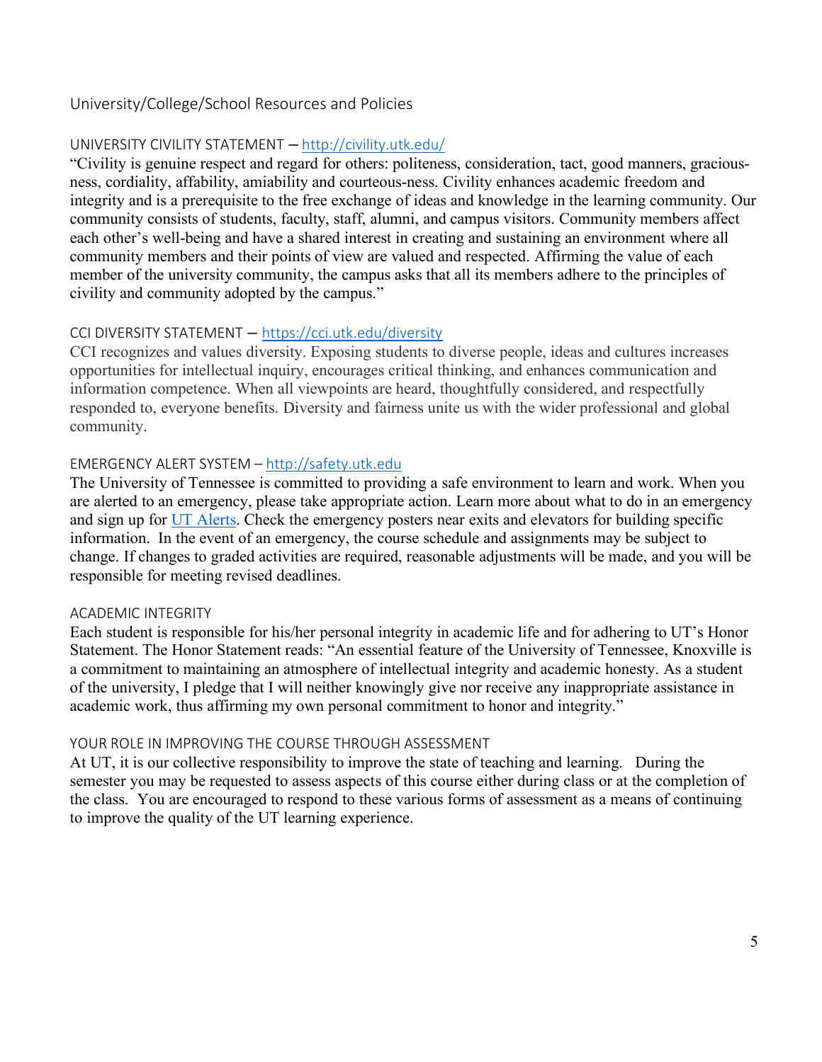### University/College/School Resources and Policies

### UNIVERSITY CIVILITY STATEMENT **–** http://civility.utk.edu/

"Civility is genuine respect and regard for others: politeness, consideration, tact, good manners, graciousness, cordiality, affability, amiability and courteous-ness. Civility enhances academic freedom and integrity and is a prerequisite to the free exchange of ideas and knowledge in the learning community. Our community consists of students, faculty, staff, alumni, and campus visitors. Community members affect each other's well-being and have a shared interest in creating and sustaining an environment where all community members and their points of view are valued and respected. Affirming the value of each member of the university community, the campus asks that all its members adhere to the principles of civility and community adopted by the campus."

### CCI DIVERSITY STATEMENT **–** https://cci.utk.edu/diversity

CCI recognizes and values diversity. Exposing students to diverse people, ideas and cultures increases opportunities for intellectual inquiry, encourages critical thinking, and enhances communication and information competence. When all viewpoints are heard, thoughtfully considered, and respectfully responded to, everyone benefits. Diversity and fairness unite us with the wider professional and global community.

### EMERGENCY ALERT SYSTEM – http://safety.utk.edu

The University of Tennessee is committed to providing a safe environment to learn and work. When you are alerted to an emergency, please take appropriate action. Learn more about what to do in an emergency and sign up for UT Alerts. Check the emergency posters near exits and elevators for building specific information. In the event of an emergency, the course schedule and assignments may be subject to change. If changes to graded activities are required, reasonable adjustments will be made, and you will be responsible for meeting revised deadlines.

#### ACADEMIC INTEGRITY

Each student is responsible for his/her personal integrity in academic life and for adhering to UT's Honor Statement. The Honor Statement reads: "An essential feature of the University of Tennessee, Knoxville is a commitment to maintaining an atmosphere of intellectual integrity and academic honesty. As a student of the university, I pledge that I will neither knowingly give nor receive any inappropriate assistance in academic work, thus affirming my own personal commitment to honor and integrity."

#### YOUR ROLE IN IMPROVING THE COURSE THROUGH ASSESSMENT

At UT, it is our collective responsibility to improve the state of teaching and learning. During the semester you may be requested to assess aspects of this course either during class or at the completion of the class. You are encouraged to respond to these various forms of assessment as a means of continuing to improve the quality of the UT learning experience.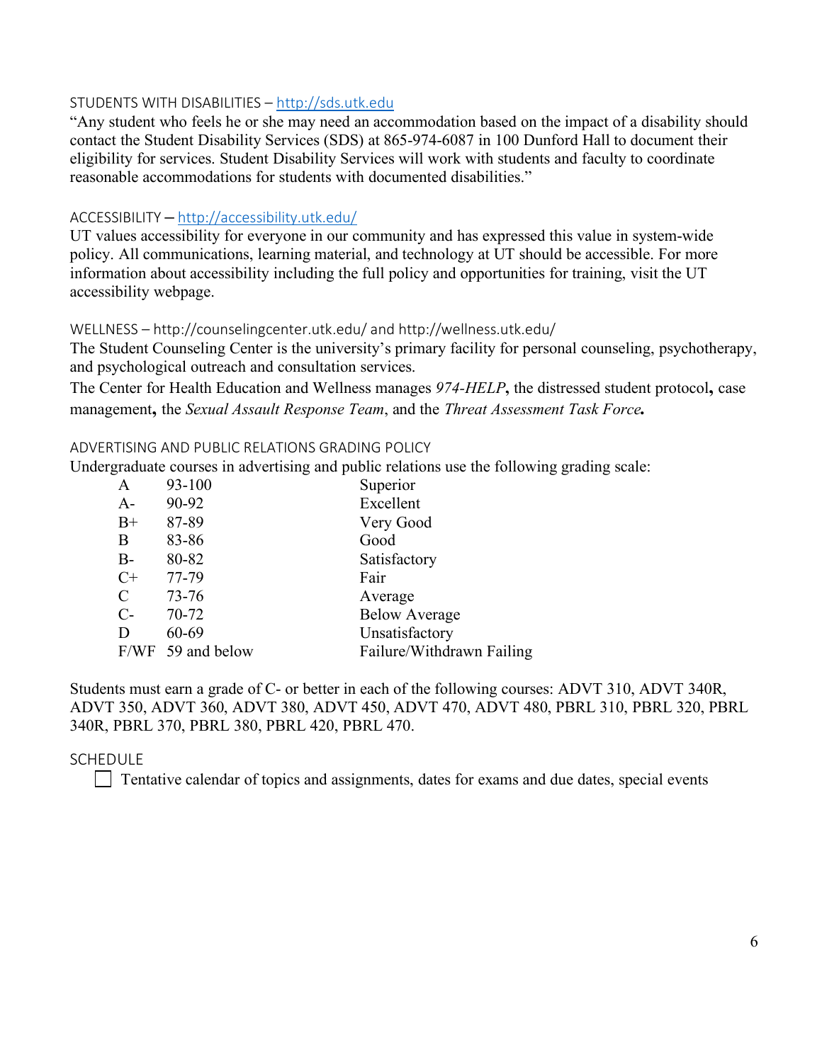#### STUDENTS WITH DISABILITIES – http://sds.utk.edu

"Any student who feels he or she may need an accommodation based on the impact of a disability should contact the Student Disability Services (SDS) at 865-974-6087 in 100 Dunford Hall to document their eligibility for services. Student Disability Services will work with students and faculty to coordinate reasonable accommodations for students with documented disabilities."

### ACCESSIBILITY **–** http://accessibility.utk.edu/

UT values accessibility for everyone in our community and has expressed this value in system-wide policy. All communications, learning material, and technology at UT should be accessible. For more information about accessibility including the full policy and opportunities for training, visit the UT accessibility webpage.

### WELLNESS – http://counselingcenter.utk.edu/ and http://wellness.utk.edu/

The Student Counseling Center is the university's primary facility for personal counseling, psychotherapy, and psychological outreach and consultation services.

The Center for Health Education and Wellness manages *974-HELP***,** the distressed student protocol**,** case management**,** the *Sexual Assault Response Team*, and the *Threat Assessment Task Force.*

#### ADVERTISING AND PUBLIC RELATIONS GRADING POLICY

Undergraduate courses in advertising and public relations use the following grading scale:

| $\mathbf{A}$  | 93-100            | Superior                  |
|---------------|-------------------|---------------------------|
| $A-$          | 90-92             | Excellent                 |
| $B+$          | 87-89             | Very Good                 |
| B             | 83-86             | Good                      |
| $B -$         | 80-82             | Satisfactory              |
| $C+$          | 77-79             | Fair                      |
| $\mathcal{C}$ | 73-76             | Average                   |
| $C-$          | 70-72             | <b>Below Average</b>      |
| D             | 60-69             | Unsatisfactory            |
|               | F/WF 59 and below | Failure/Withdrawn Failing |
|               |                   |                           |

Students must earn a grade of C- or better in each of the following courses: ADVT 310, ADVT 340R, ADVT 350, ADVT 360, ADVT 380, ADVT 450, ADVT 470, ADVT 480, PBRL 310, PBRL 320, PBRL 340R, PBRL 370, PBRL 380, PBRL 420, PBRL 470.

#### **SCHEDULE**

 $\Box$  Tentative calendar of topics and assignments, dates for exams and due dates, special events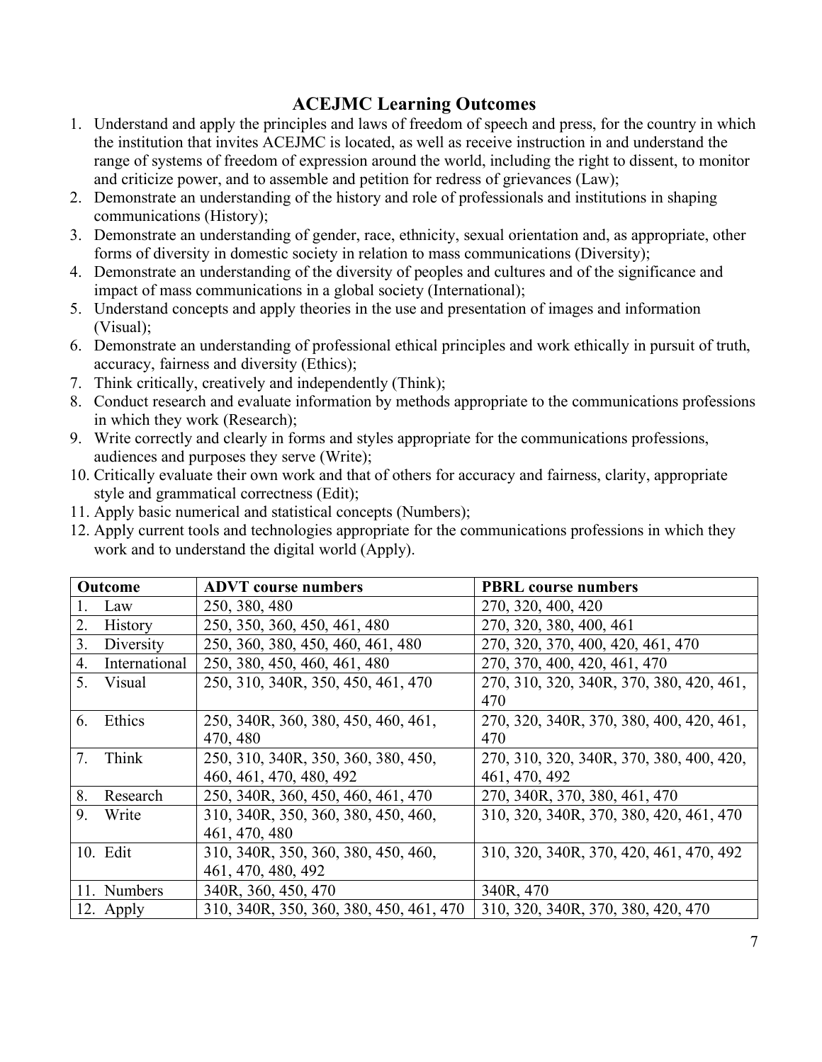# **ACEJMC Learning Outcomes**

- 1. Understand and apply the principles and laws of freedom of speech and press, for the country in which the institution that invites ACEJMC is located, as well as receive instruction in and understand the range of systems of freedom of expression around the world, including the right to dissent, to monitor and criticize power, and to assemble and petition for redress of grievances (Law);
- 2. Demonstrate an understanding of the history and role of professionals and institutions in shaping communications (History);
- 3. Demonstrate an understanding of gender, race, ethnicity, sexual orientation and, as appropriate, other forms of diversity in domestic society in relation to mass communications (Diversity);
- 4. Demonstrate an understanding of the diversity of peoples and cultures and of the significance and impact of mass communications in a global society (International);
- 5. Understand concepts and apply theories in the use and presentation of images and information (Visual);
- 6. Demonstrate an understanding of professional ethical principles and work ethically in pursuit of truth, accuracy, fairness and diversity (Ethics);
- 7. Think critically, creatively and independently (Think);
- 8. Conduct research and evaluate information by methods appropriate to the communications professions in which they work (Research);
- 9. Write correctly and clearly in forms and styles appropriate for the communications professions, audiences and purposes they serve (Write);
- 10. Critically evaluate their own work and that of others for accuracy and fairness, clarity, appropriate style and grammatical correctness (Edit);
- 11. Apply basic numerical and statistical concepts (Numbers);
- 12. Apply current tools and technologies appropriate for the communications professions in which they work and to understand the digital world (Apply).

| Outcome          |                | <b>ADVT</b> course numbers              | <b>PBRL</b> course numbers               |  |  |
|------------------|----------------|-----------------------------------------|------------------------------------------|--|--|
|                  | Law            | 250, 380, 480                           | 270, 320, 400, 420                       |  |  |
| 2.               | <b>History</b> | 250, 350, 360, 450, 461, 480            | 270, 320, 380, 400, 461                  |  |  |
| 3 <sub>1</sub>   | Diversity      | 250, 360, 380, 450, 460, 461, 480       | 270, 320, 370, 400, 420, 461, 470        |  |  |
| $\overline{4}$ . | International  | 250, 380, 450, 460, 461, 480            | 270, 370, 400, 420, 461, 470             |  |  |
| 5.               | Visual         | 250, 310, 340R, 350, 450, 461, 470      | 270, 310, 320, 340R, 370, 380, 420, 461, |  |  |
|                  |                |                                         | 470                                      |  |  |
| 6.               | Ethics         | 250, 340R, 360, 380, 450, 460, 461,     | 270, 320, 340R, 370, 380, 400, 420, 461, |  |  |
|                  |                | 470, 480                                | 470                                      |  |  |
| 7.               | Think          | 250, 310, 340R, 350, 360, 380, 450,     | 270, 310, 320, 340R, 370, 380, 400, 420, |  |  |
|                  |                | 460, 461, 470, 480, 492                 | 461, 470, 492                            |  |  |
| 8.               | Research       | 250, 340R, 360, 450, 460, 461, 470      | 270, 340R, 370, 380, 461, 470            |  |  |
| 9.               | Write          | 310, 340R, 350, 360, 380, 450, 460,     | 310, 320, 340R, 370, 380, 420, 461, 470  |  |  |
|                  |                | 461, 470, 480                           |                                          |  |  |
|                  | 10. Edit       | 310, 340R, 350, 360, 380, 450, 460,     | 310, 320, 340R, 370, 420, 461, 470, 492  |  |  |
|                  |                | 461, 470, 480, 492                      |                                          |  |  |
|                  | 11. Numbers    | 340R, 360, 450, 470                     | 340R, 470                                |  |  |
|                  | 12. Apply      | 310, 340R, 350, 360, 380, 450, 461, 470 | 310, 320, 340R, 370, 380, 420, 470       |  |  |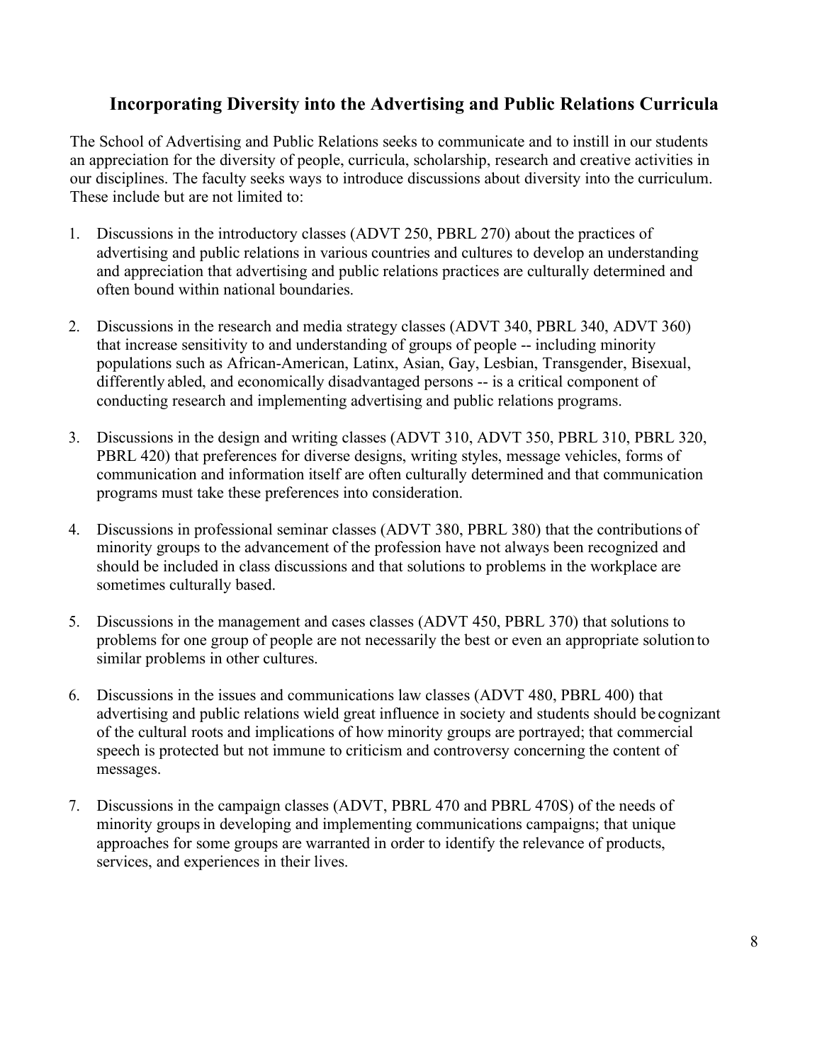# **Incorporating Diversity into the Advertising and Public Relations Curricula**

The School of Advertising and Public Relations seeks to communicate and to instill in our students an appreciation for the diversity of people, curricula, scholarship, research and creative activities in our disciplines. The faculty seeks ways to introduce discussions about diversity into the curriculum. These include but are not limited to:

- 1. Discussions in the introductory classes (ADVT 250, PBRL 270) about the practices of advertising and public relations in various countries and cultures to develop an understanding and appreciation that advertising and public relations practices are culturally determined and often bound within national boundaries.
- 2. Discussions in the research and media strategy classes (ADVT 340, PBRL 340, ADVT 360) that increase sensitivity to and understanding of groups of people -- including minority populations such as African-American, Latinx, Asian, Gay, Lesbian, Transgender, Bisexual, differently abled, and economically disadvantaged persons -- is a critical component of conducting research and implementing advertising and public relations programs.
- 3. Discussions in the design and writing classes (ADVT 310, ADVT 350, PBRL 310, PBRL 320, PBRL 420) that preferences for diverse designs, writing styles, message vehicles, forms of communication and information itself are often culturally determined and that communication programs must take these preferences into consideration.
- 4. Discussions in professional seminar classes (ADVT 380, PBRL 380) that the contributions of minority groups to the advancement of the profession have not always been recognized and should be included in class discussions and that solutions to problems in the workplace are sometimes culturally based.
- 5. Discussions in the management and cases classes (ADVT 450, PBRL 370) that solutions to problems for one group of people are not necessarily the best or even an appropriate solution to similar problems in other cultures.
- 6. Discussions in the issues and communications law classes (ADVT 480, PBRL 400) that advertising and public relations wield great influence in society and students should be cognizant of the cultural roots and implications of how minority groups are portrayed; that commercial speech is protected but not immune to criticism and controversy concerning the content of messages.
- 7. Discussions in the campaign classes (ADVT, PBRL 470 and PBRL 470S) of the needs of minority groups in developing and implementing communications campaigns; that unique approaches for some groups are warranted in order to identify the relevance of products, services, and experiences in their lives.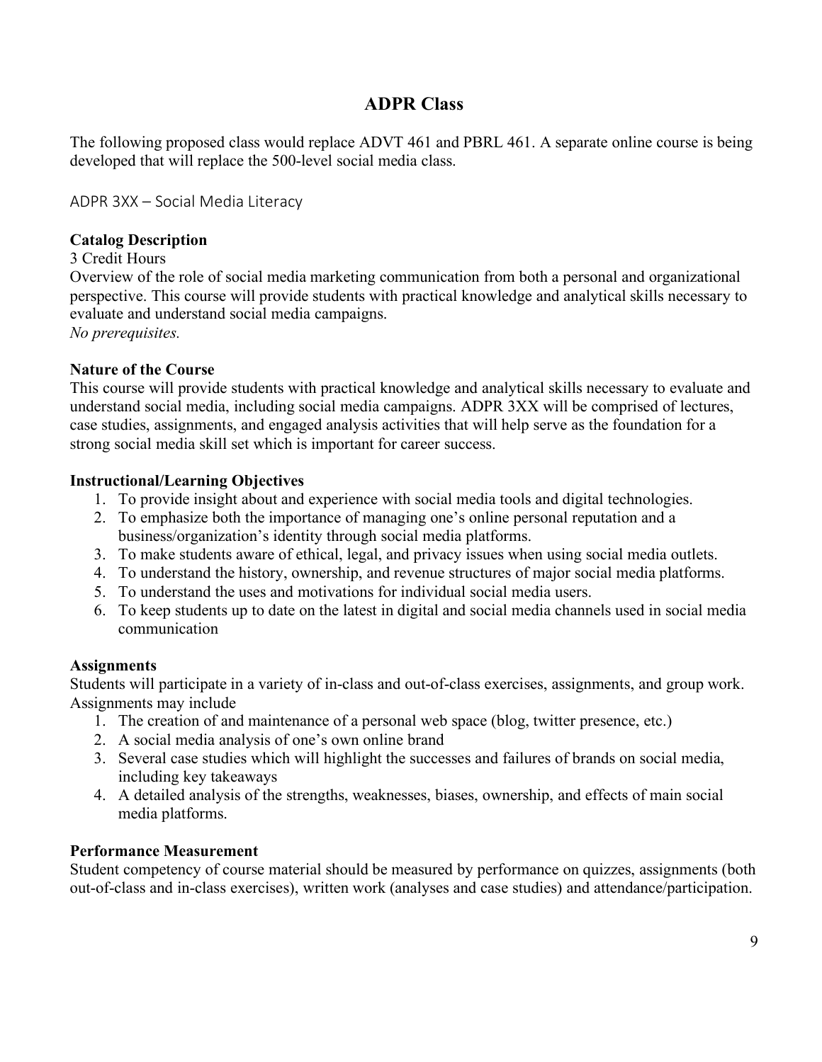# **ADPR Class**

The following proposed class would replace ADVT 461 and PBRL 461. A separate online course is being developed that will replace the 500-level social media class.

ADPR 3XX – Social Media Literacy

### **Catalog Description**

3 Credit Hours

Overview of the role of social media marketing communication from both a personal and organizational perspective. This course will provide students with practical knowledge and analytical skills necessary to evaluate and understand social media campaigns.

*No prerequisites.*

### **Nature of the Course**

This course will provide students with practical knowledge and analytical skills necessary to evaluate and understand social media, including social media campaigns. ADPR 3XX will be comprised of lectures, case studies, assignments, and engaged analysis activities that will help serve as the foundation for a strong social media skill set which is important for career success.

### **Instructional/Learning Objectives**

- 1. To provide insight about and experience with social media tools and digital technologies.
- 2. To emphasize both the importance of managing one's online personal reputation and a business/organization's identity through social media platforms.
- 3. To make students aware of ethical, legal, and privacy issues when using social media outlets.
- 4. To understand the history, ownership, and revenue structures of major social media platforms.
- 5. To understand the uses and motivations for individual social media users.
- 6. To keep students up to date on the latest in digital and social media channels used in social media communication

#### **Assignments**

Students will participate in a variety of in-class and out-of-class exercises, assignments, and group work. Assignments may include

- 1. The creation of and maintenance of a personal web space (blog, twitter presence, etc.)
- 2. A social media analysis of one's own online brand
- 3. Several case studies which will highlight the successes and failures of brands on social media, including key takeaways
- 4. A detailed analysis of the strengths, weaknesses, biases, ownership, and effects of main social media platforms.

### **Performance Measurement**

Student competency of course material should be measured by performance on quizzes, assignments (both out-of-class and in-class exercises), written work (analyses and case studies) and attendance/participation.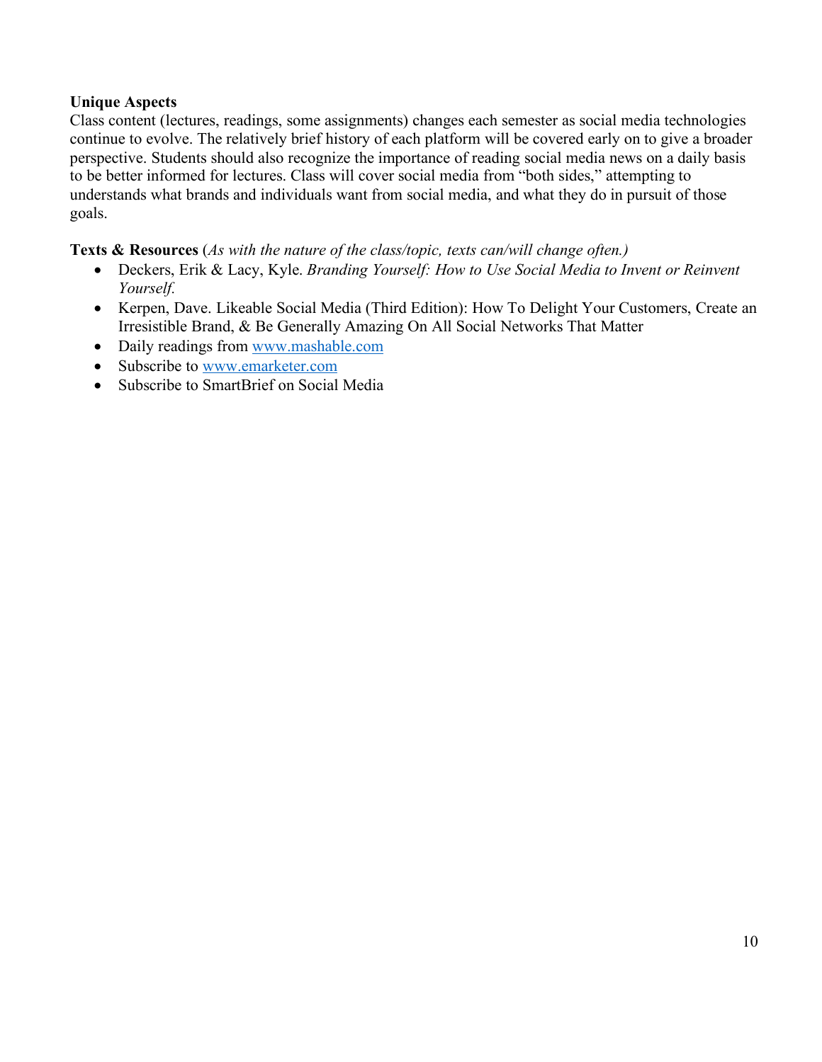### **Unique Aspects**

Class content (lectures, readings, some assignments) changes each semester as social media technologies continue to evolve. The relatively brief history of each platform will be covered early on to give a broader perspective. Students should also recognize the importance of reading social media news on a daily basis to be better informed for lectures. Class will cover social media from "both sides," attempting to understands what brands and individuals want from social media, and what they do in pursuit of those goals.

### **Texts & Resources** (*As with the nature of the class/topic, texts can/will change often.)*

- Deckers, Erik & Lacy, Kyle. *Branding Yourself: How to Use Social Media to Invent or Reinvent Yourself.*
- Kerpen, Dave. Likeable Social Media (Third Edition): How To Delight Your Customers, Create an Irresistible Brand, & Be Generally Amazing On All Social Networks That Matter
- Daily readings from www.mashable.com
- Subscribe to www.emarketer.com
- Subscribe to SmartBrief on Social Media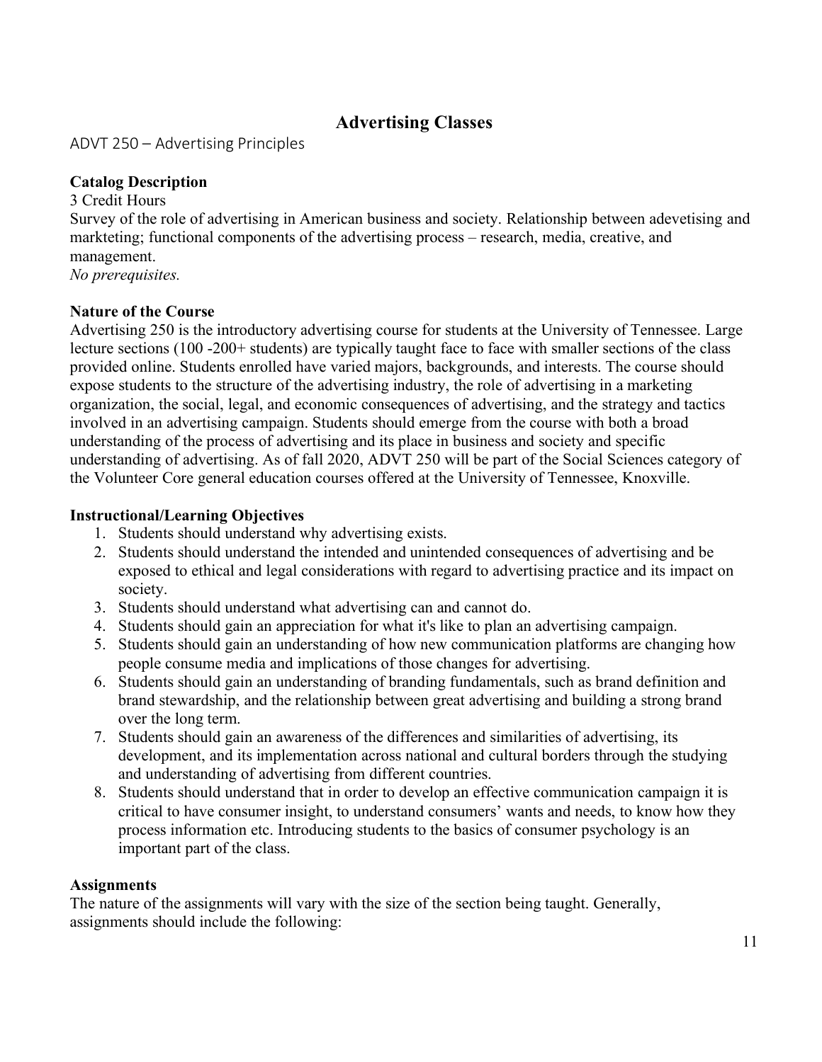# **Advertising Classes**

ADVT 250 – Advertising Principles

## **Catalog Description**

3 Credit Hours Survey of the role of advertising in American business and society. Relationship between adevetising and markteting; functional components of the advertising process – research, media, creative, and management.

*No prerequisites.*

### **Nature of the Course**

Advertising 250 is the introductory advertising course for students at the University of Tennessee. Large lecture sections (100 -200+ students) are typically taught face to face with smaller sections of the class provided online. Students enrolled have varied majors, backgrounds, and interests. The course should expose students to the structure of the advertising industry, the role of advertising in a marketing organization, the social, legal, and economic consequences of advertising, and the strategy and tactics involved in an advertising campaign. Students should emerge from the course with both a broad understanding of the process of advertising and its place in business and society and specific understanding of advertising. As of fall 2020, ADVT 250 will be part of the Social Sciences category of the Volunteer Core general education courses offered at the University of Tennessee, Knoxville.

# **Instructional/Learning Objectives**

- 1. Students should understand why advertising exists.
- 2. Students should understand the intended and unintended consequences of advertising and be exposed to ethical and legal considerations with regard to advertising practice and its impact on society.
- 3. Students should understand what advertising can and cannot do.
- 4. Students should gain an appreciation for what it's like to plan an advertising campaign.
- 5. Students should gain an understanding of how new communication platforms are changing how people consume media and implications of those changes for advertising.
- 6. Students should gain an understanding of branding fundamentals, such as brand definition and brand stewardship, and the relationship between great advertising and building a strong brand over the long term.
- 7. Students should gain an awareness of the differences and similarities of advertising, its development, and its implementation across national and cultural borders through the studying and understanding of advertising from different countries.
- 8. Students should understand that in order to develop an effective communication campaign it is critical to have consumer insight, to understand consumers' wants and needs, to know how they process information etc. Introducing students to the basics of consumer psychology is an important part of the class.

### **Assignments**

The nature of the assignments will vary with the size of the section being taught. Generally, assignments should include the following: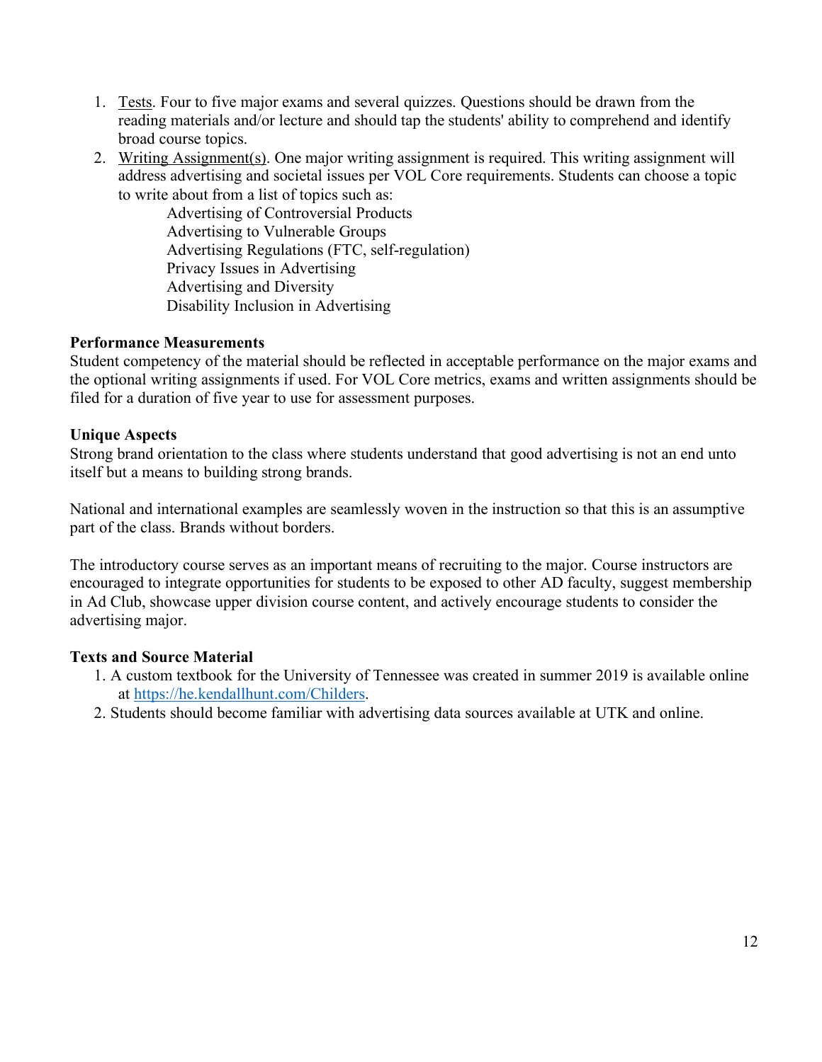- 1. Tests. Four to five major exams and several quizzes. Questions should be drawn from the reading materials and/or lecture and should tap the students' ability to comprehend and identify broad course topics.
- 2. Writing Assignment(s). One major writing assignment is required. This writing assignment will address advertising and societal issues per VOL Core requirements. Students can choose a topic to write about from a list of topics such as:

Advertising of Controversial Products Advertising to Vulnerable Groups Advertising Regulations (FTC, self-regulation) Privacy Issues in Advertising Advertising and Diversity Disability Inclusion in Advertising

### **Performance Measurements**

Student competency of the material should be reflected in acceptable performance on the major exams and the optional writing assignments if used. For VOL Core metrics, exams and written assignments should be filed for a duration of five year to use for assessment purposes.

### **Unique Aspects**

Strong brand orientation to the class where students understand that good advertising is not an end unto itself but a means to building strong brands.

National and international examples are seamlessly woven in the instruction so that this is an assumptive part of the class. Brands without borders.

The introductory course serves as an important means of recruiting to the major. Course instructors are encouraged to integrate opportunities for students to be exposed to other AD faculty, suggest membership in Ad Club, showcase upper division course content, and actively encourage students to consider the advertising major.

### **Texts and Source Material**

- 1. A custom textbook for the University of Tennessee was created in summer 2019 is available online at https://he.kendallhunt.com/Childers.
- 2. Students should become familiar with advertising data sources available at UTK and online.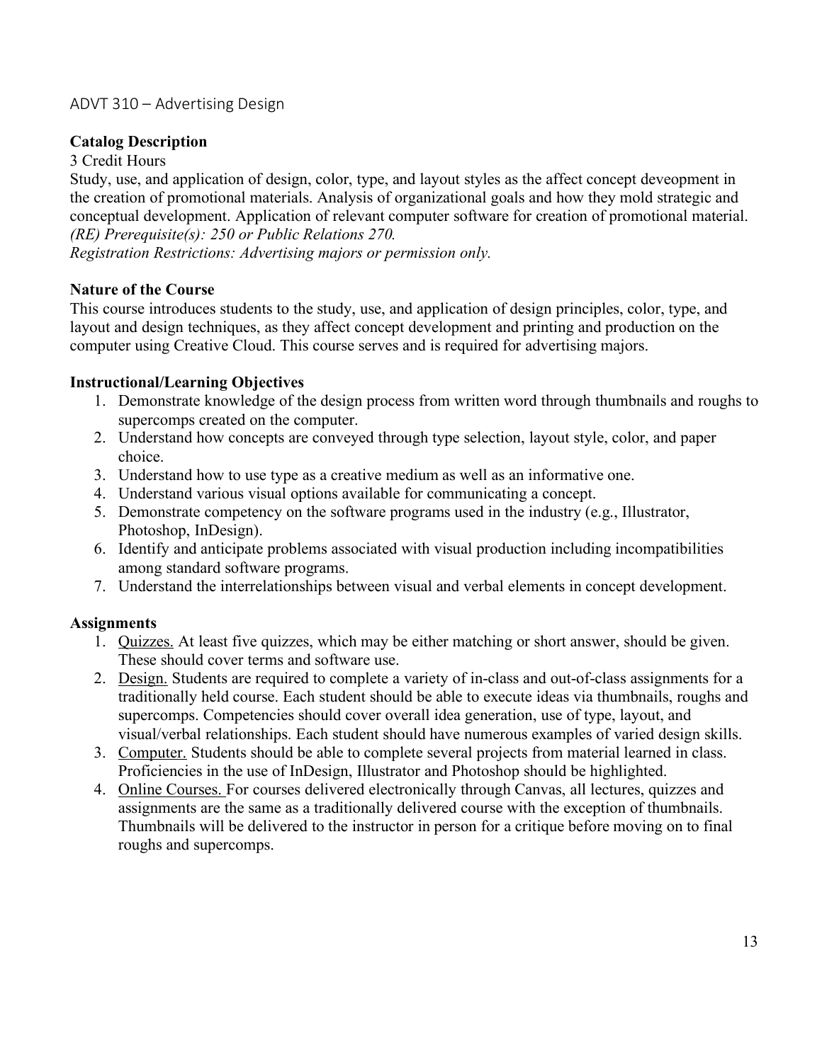# ADVT 310 – Advertising Design

### **Catalog Description**

#### 3 Credit Hours

Study, use, and application of design, color, type, and layout styles as the affect concept deveopment in the creation of promotional materials. Analysis of organizational goals and how they mold strategic and conceptual development. Application of relevant computer software for creation of promotional material. *(RE) Prerequisite(s): 250 or Public Relations 270.*

*Registration Restrictions: Advertising majors or permission only.*

### **Nature of the Course**

This course introduces students to the study, use, and application of design principles, color, type, and layout and design techniques, as they affect concept development and printing and production on the computer using Creative Cloud. This course serves and is required for advertising majors.

### **Instructional/Learning Objectives**

- 1. Demonstrate knowledge of the design process from written word through thumbnails and roughs to supercomps created on the computer.
- 2. Understand how concepts are conveyed through type selection, layout style, color, and paper choice.
- 3. Understand how to use type as a creative medium as well as an informative one.
- 4. Understand various visual options available for communicating a concept.
- 5. Demonstrate competency on the software programs used in the industry (e.g., Illustrator, Photoshop, InDesign).
- 6. Identify and anticipate problems associated with visual production including incompatibilities among standard software programs.
- 7. Understand the interrelationships between visual and verbal elements in concept development.

### **Assignments**

- 1. Quizzes. At least five quizzes, which may be either matching or short answer, should be given. These should cover terms and software use.
- 2. Design. Students are required to complete a variety of in-class and out-of-class assignments for a traditionally held course. Each student should be able to execute ideas via thumbnails, roughs and supercomps. Competencies should cover overall idea generation, use of type, layout, and visual/verbal relationships. Each student should have numerous examples of varied design skills.
- 3. Computer. Students should be able to complete several projects from material learned in class. Proficiencies in the use of InDesign, Illustrator and Photoshop should be highlighted.
- 4. Online Courses. For courses delivered electronically through Canvas, all lectures, quizzes and assignments are the same as a traditionally delivered course with the exception of thumbnails. Thumbnails will be delivered to the instructor in person for a critique before moving on to final roughs and supercomps.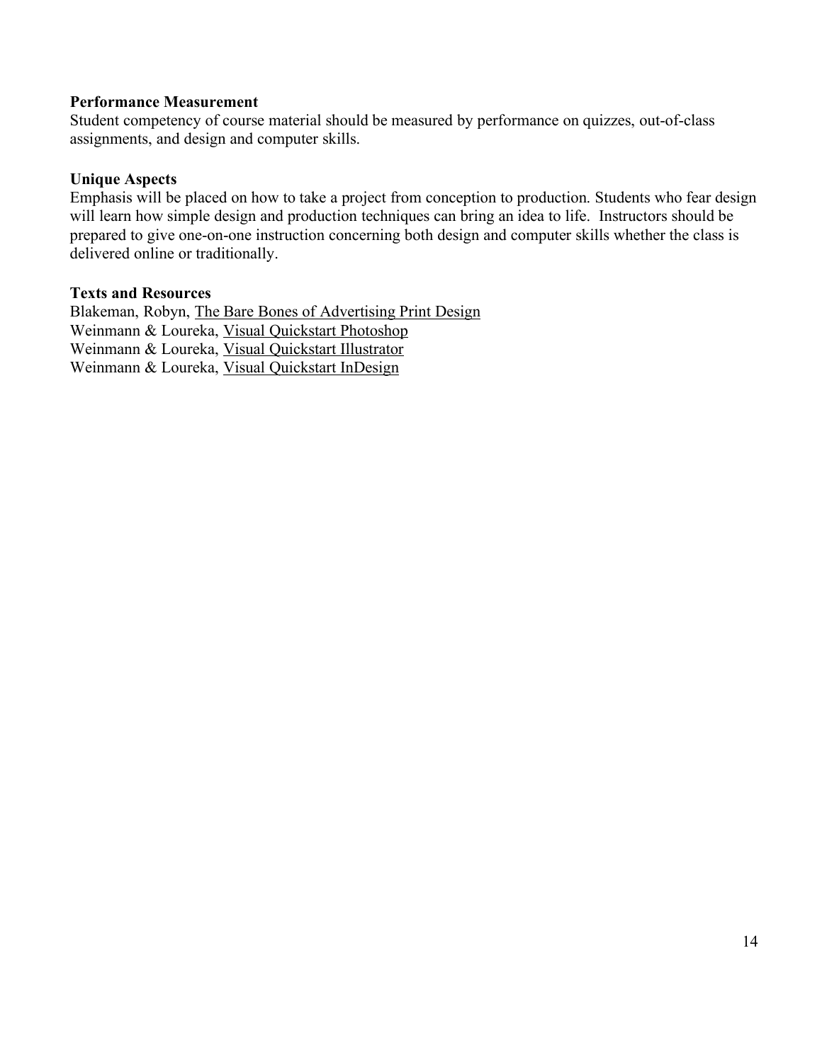#### **Performance Measurement**

Student competency of course material should be measured by performance on quizzes, out-of-class assignments, and design and computer skills.

#### **Unique Aspects**

Emphasis will be placed on how to take a project from conception to production. Students who fear design will learn how simple design and production techniques can bring an idea to life. Instructors should be prepared to give one-on-one instruction concerning both design and computer skills whether the class is delivered online or traditionally.

#### **Texts and Resources**

Blakeman, Robyn, The Bare Bones of Advertising Print Design Weinmann & Loureka, Visual Quickstart Photoshop Weinmann & Loureka, Visual Quickstart Illustrator Weinmann & Loureka, Visual Quickstart InDesign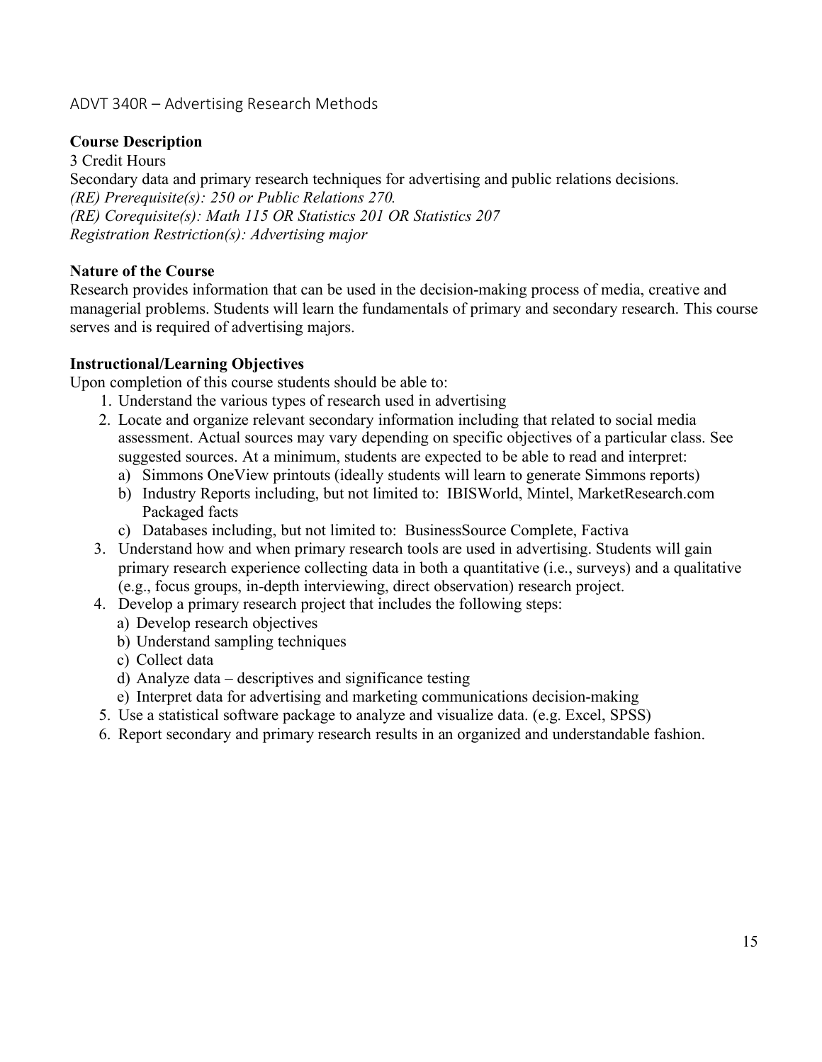# ADVT 340R – Advertising Research Methods

## **Course Description**

3 Credit Hours Secondary data and primary research techniques for advertising and public relations decisions. *(RE) Prerequisite(s): 250 or Public Relations 270. (RE) Corequisite(s): Math 115 OR Statistics 201 OR Statistics 207 Registration Restriction(s): Advertising major*

### **Nature of the Course**

Research provides information that can be used in the decision-making process of media, creative and managerial problems. Students will learn the fundamentals of primary and secondary research. This course serves and is required of advertising majors.

### **Instructional/Learning Objectives**

Upon completion of this course students should be able to:

- 1. Understand the various types of research used in advertising
- 2. Locate and organize relevant secondary information including that related to social media assessment. Actual sources may vary depending on specific objectives of a particular class. See suggested sources. At a minimum, students are expected to be able to read and interpret:
	- a) Simmons OneView printouts (ideally students will learn to generate Simmons reports)
	- b) Industry Reports including, but not limited to: IBISWorld, Mintel, MarketResearch.com Packaged facts
	- c) Databases including, but not limited to: BusinessSource Complete, Factiva
- 3. Understand how and when primary research tools are used in advertising. Students will gain primary research experience collecting data in both a quantitative (i.e., surveys) and a qualitative (e.g., focus groups, in-depth interviewing, direct observation) research project.
- 4. Develop a primary research project that includes the following steps:
	- a) Develop research objectives
	- b) Understand sampling techniques
	- c) Collect data
	- d) Analyze data descriptives and significance testing
	- e) Interpret data for advertising and marketing communications decision-making
- 5. Use a statistical software package to analyze and visualize data. (e.g. Excel, SPSS)
- 6. Report secondary and primary research results in an organized and understandable fashion.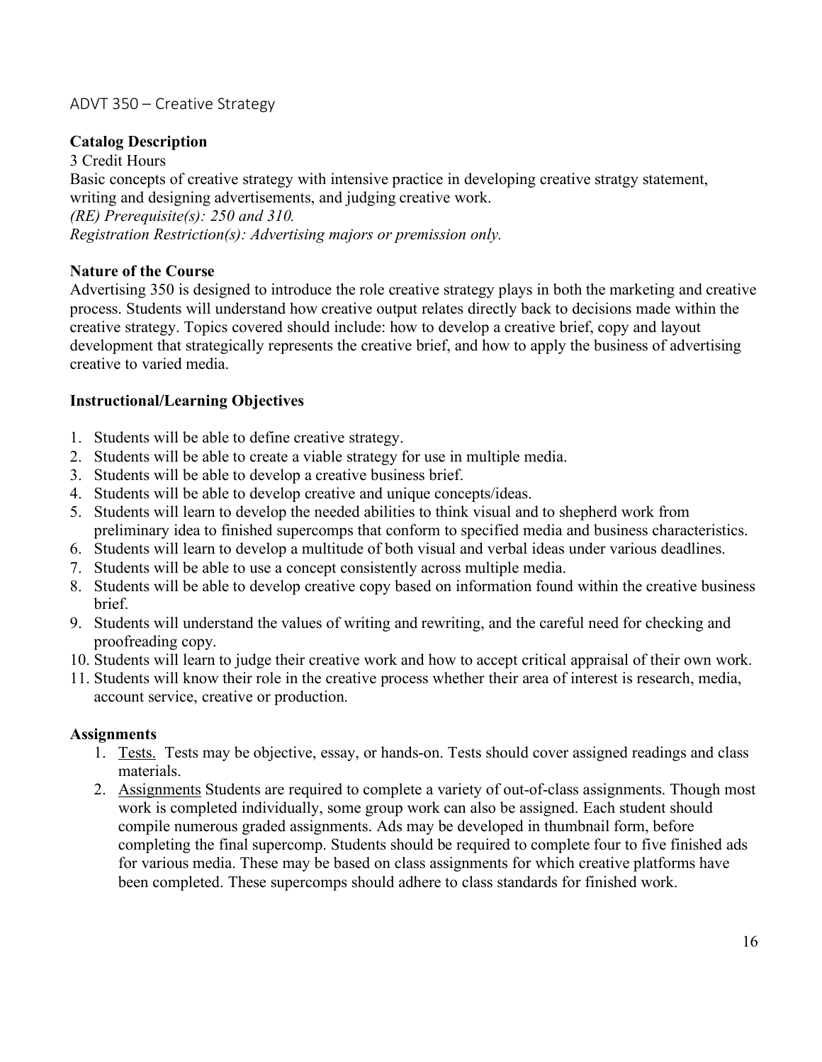# ADVT 350 – Creative Strategy

## **Catalog Description**

3 Credit Hours Basic concepts of creative strategy with intensive practice in developing creative stratgy statement, writing and designing advertisements, and judging creative work. *(RE) Prerequisite(s): 250 and 310. Registration Restriction(s): Advertising majors or premission only.*

### **Nature of the Course**

Advertising 350 is designed to introduce the role creative strategy plays in both the marketing and creative process. Students will understand how creative output relates directly back to decisions made within the creative strategy. Topics covered should include: how to develop a creative brief, copy and layout development that strategically represents the creative brief, and how to apply the business of advertising creative to varied media.

### **Instructional/Learning Objectives**

- 1. Students will be able to define creative strategy.
- 2. Students will be able to create a viable strategy for use in multiple media.
- 3. Students will be able to develop a creative business brief.
- 4. Students will be able to develop creative and unique concepts/ideas.
- 5. Students will learn to develop the needed abilities to think visual and to shepherd work from preliminary idea to finished supercomps that conform to specified media and business characteristics.
- 6. Students will learn to develop a multitude of both visual and verbal ideas under various deadlines.
- 7. Students will be able to use a concept consistently across multiple media.
- 8. Students will be able to develop creative copy based on information found within the creative business brief.
- 9. Students will understand the values of writing and rewriting, and the careful need for checking and proofreading copy.
- 10. Students will learn to judge their creative work and how to accept critical appraisal of their own work.
- 11. Students will know their role in the creative process whether their area of interest is research, media, account service, creative or production.

#### **Assignments**

- 1. Tests. Tests may be objective, essay, or hands-on. Tests should cover assigned readings and class materials.
- 2. Assignments Students are required to complete a variety of out-of-class assignments. Though most work is completed individually, some group work can also be assigned. Each student should compile numerous graded assignments. Ads may be developed in thumbnail form, before completing the final supercomp. Students should be required to complete four to five finished ads for various media. These may be based on class assignments for which creative platforms have been completed. These supercomps should adhere to class standards for finished work.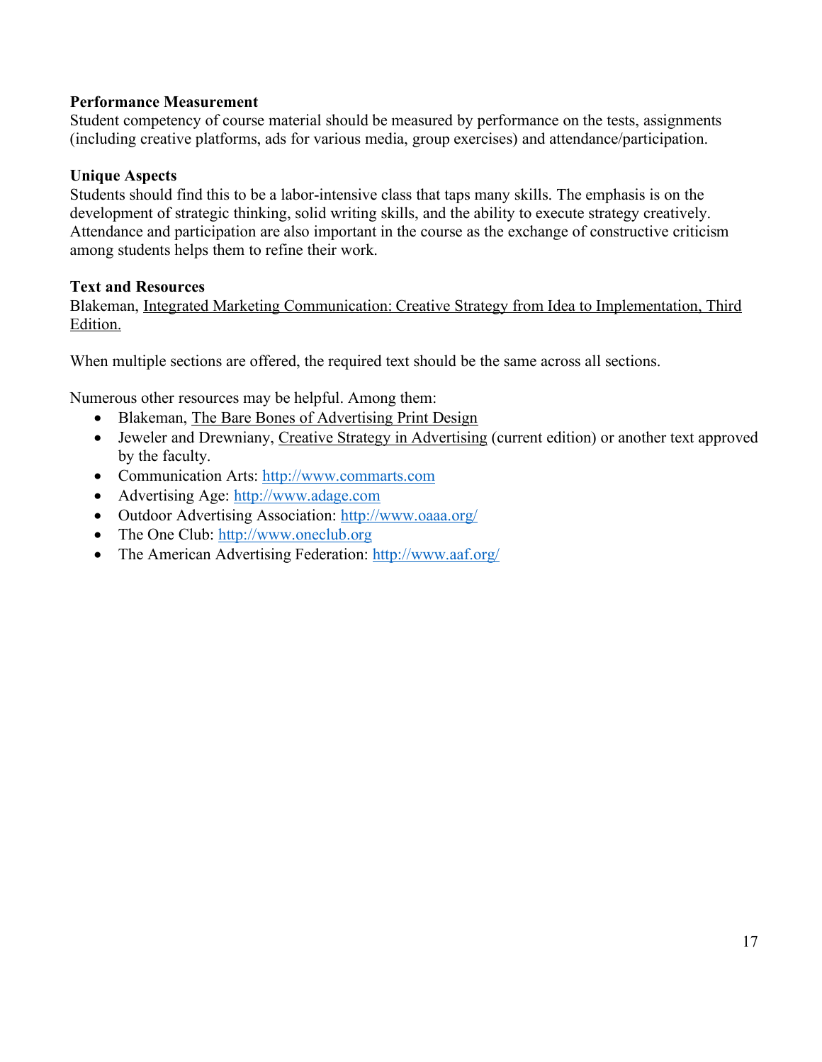### **Performance Measurement**

Student competency of course material should be measured by performance on the tests, assignments (including creative platforms, ads for various media, group exercises) and attendance/participation.

### **Unique Aspects**

Students should find this to be a labor-intensive class that taps many skills. The emphasis is on the development of strategic thinking, solid writing skills, and the ability to execute strategy creatively. Attendance and participation are also important in the course as the exchange of constructive criticism among students helps them to refine their work.

### **Text and Resources**

Blakeman, Integrated Marketing Communication: Creative Strategy from Idea to Implementation, Third Edition.

When multiple sections are offered, the required text should be the same across all sections.

Numerous other resources may be helpful. Among them:

- Blakeman, The Bare Bones of Advertising Print Design
- Jeweler and Drewniany, Creative Strategy in Advertising (current edition) or another text approved by the faculty.
- Communication Arts: http://www.commarts.com
- Advertising Age: http://www.adage.com
- Outdoor Advertising Association: http://www.oaaa.org/
- The One Club: http://www.oneclub.org
- The American Advertising Federation: http://www.aaf.org/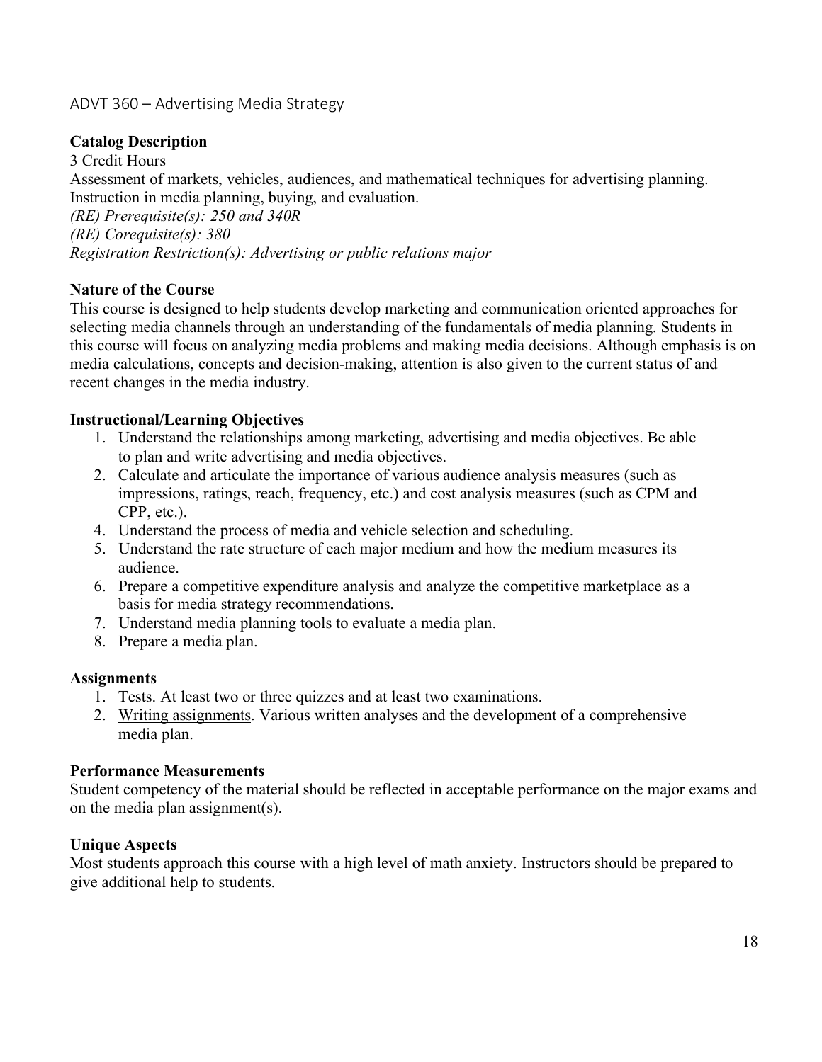# ADVT 360 – Advertising Media Strategy

## **Catalog Description**

3 Credit Hours Assessment of markets, vehicles, audiences, and mathematical techniques for advertising planning. Instruction in media planning, buying, and evaluation. *(RE) Prerequisite(s): 250 and 340R (RE) Corequisite(s): 380 Registration Restriction(s): Advertising or public relations major*

### **Nature of the Course**

This course is designed to help students develop marketing and communication oriented approaches for selecting media channels through an understanding of the fundamentals of media planning. Students in this course will focus on analyzing media problems and making media decisions. Although emphasis is on media calculations, concepts and decision-making, attention is also given to the current status of and recent changes in the media industry.

### **Instructional/Learning Objectives**

- 1. Understand the relationships among marketing, advertising and media objectives. Be able to plan and write advertising and media objectives.
- 2. Calculate and articulate the importance of various audience analysis measures (such as impressions, ratings, reach, frequency, etc.) and cost analysis measures (such as CPM and CPP, etc.).
- 4. Understand the process of media and vehicle selection and scheduling.
- 5. Understand the rate structure of each major medium and how the medium measures its audience.
- 6. Prepare a competitive expenditure analysis and analyze the competitive marketplace as a basis for media strategy recommendations.
- 7. Understand media planning tools to evaluate a media plan.
- 8. Prepare a media plan.

#### **Assignments**

- 1. Tests. At least two or three quizzes and at least two examinations.
- 2. Writing assignments. Various written analyses and the development of a comprehensive media plan.

#### **Performance Measurements**

Student competency of the material should be reflected in acceptable performance on the major exams and on the media plan assignment(s).

#### **Unique Aspects**

Most students approach this course with a high level of math anxiety. Instructors should be prepared to give additional help to students.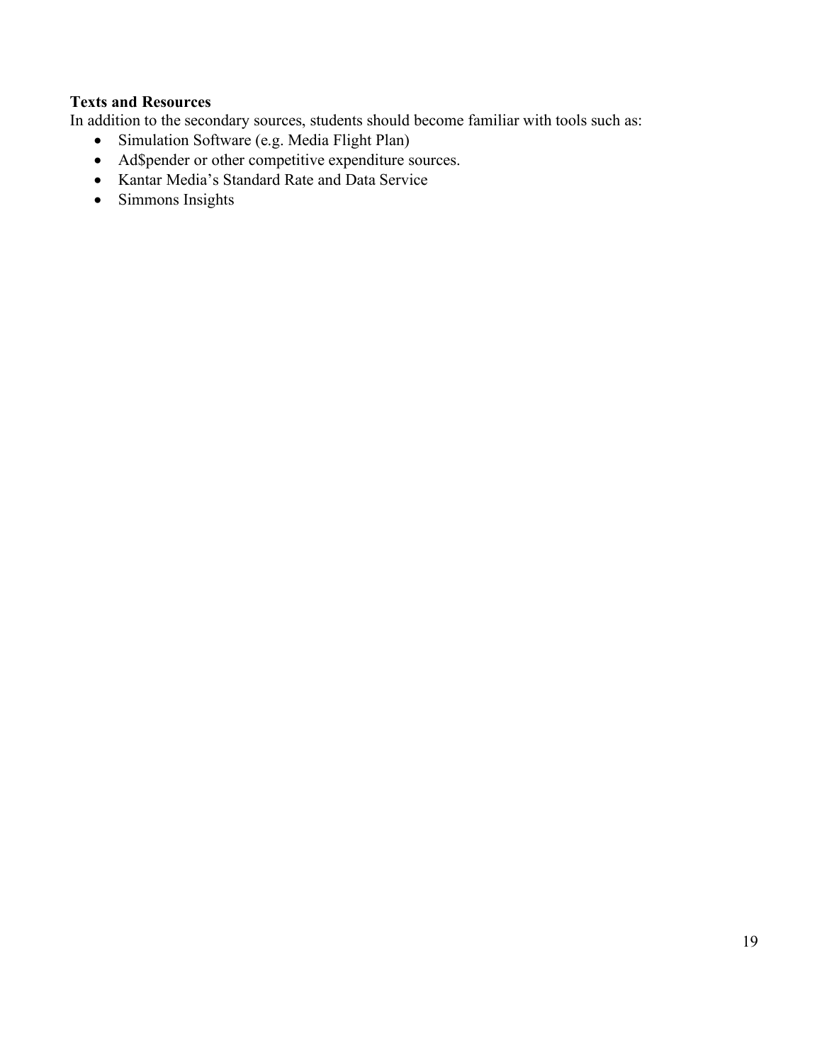# **Texts and Resources**

In addition to the secondary sources, students should become familiar with tools such as:

- Simulation Software (e.g. Media Flight Plan)
- Ad\$pender or other competitive expenditure sources.
- Kantar Media's Standard Rate and Data Service
- Simmons Insights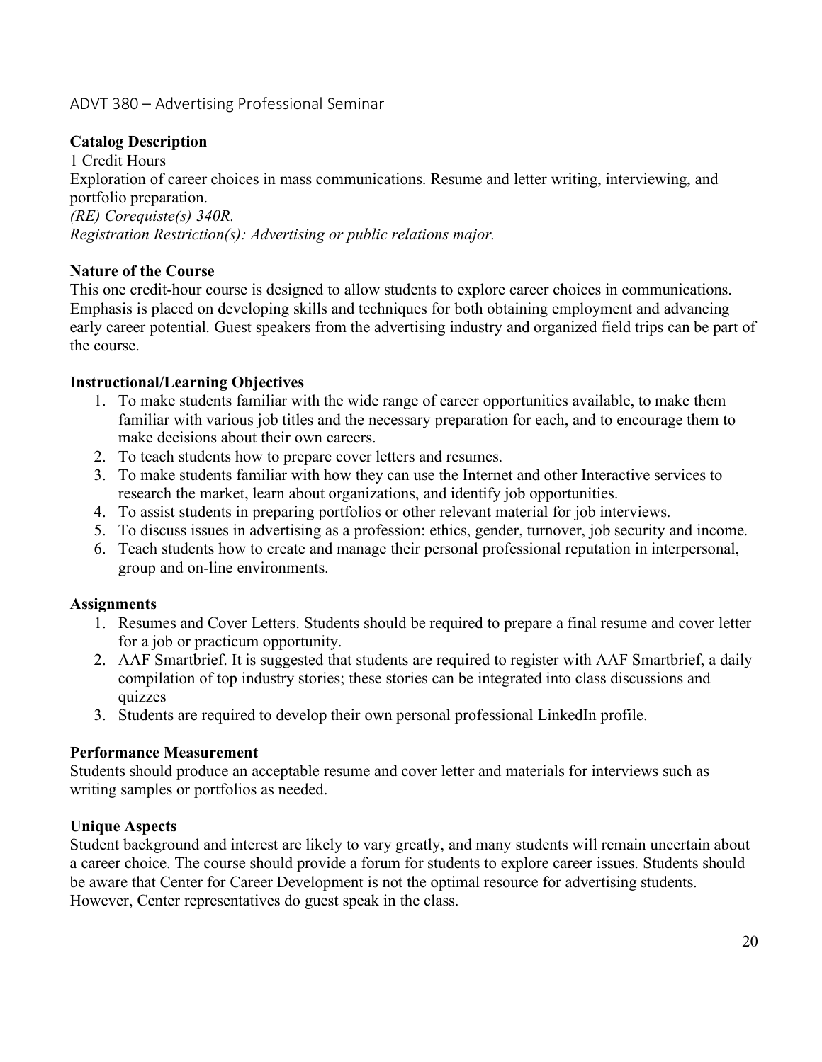# ADVT 380 – Advertising Professional Seminar

### **Catalog Description**

1 Credit Hours Exploration of career choices in mass communications. Resume and letter writing, interviewing, and portfolio preparation. *(RE) Corequiste(s) 340R. Registration Restriction(s): Advertising or public relations major.*

### **Nature of the Course**

This one credit-hour course is designed to allow students to explore career choices in communications. Emphasis is placed on developing skills and techniques for both obtaining employment and advancing early career potential. Guest speakers from the advertising industry and organized field trips can be part of the course.

### **Instructional/Learning Objectives**

- 1. To make students familiar with the wide range of career opportunities available, to make them familiar with various job titles and the necessary preparation for each, and to encourage them to make decisions about their own careers.
- 2. To teach students how to prepare cover letters and resumes.
- 3. To make students familiar with how they can use the Internet and other Interactive services to research the market, learn about organizations, and identify job opportunities.
- 4. To assist students in preparing portfolios or other relevant material for job interviews.
- 5. To discuss issues in advertising as a profession: ethics, gender, turnover, job security and income.
- 6. Teach students how to create and manage their personal professional reputation in interpersonal, group and on-line environments.

### **Assignments**

- 1. Resumes and Cover Letters. Students should be required to prepare a final resume and cover letter for a job or practicum opportunity.
- 2. AAF Smartbrief. It is suggested that students are required to register with AAF Smartbrief, a daily compilation of top industry stories; these stories can be integrated into class discussions and quizzes
- 3. Students are required to develop their own personal professional LinkedIn profile.

### **Performance Measurement**

Students should produce an acceptable resume and cover letter and materials for interviews such as writing samples or portfolios as needed.

### **Unique Aspects**

Student background and interest are likely to vary greatly, and many students will remain uncertain about a career choice. The course should provide a forum for students to explore career issues. Students should be aware that Center for Career Development is not the optimal resource for advertising students. However, Center representatives do guest speak in the class.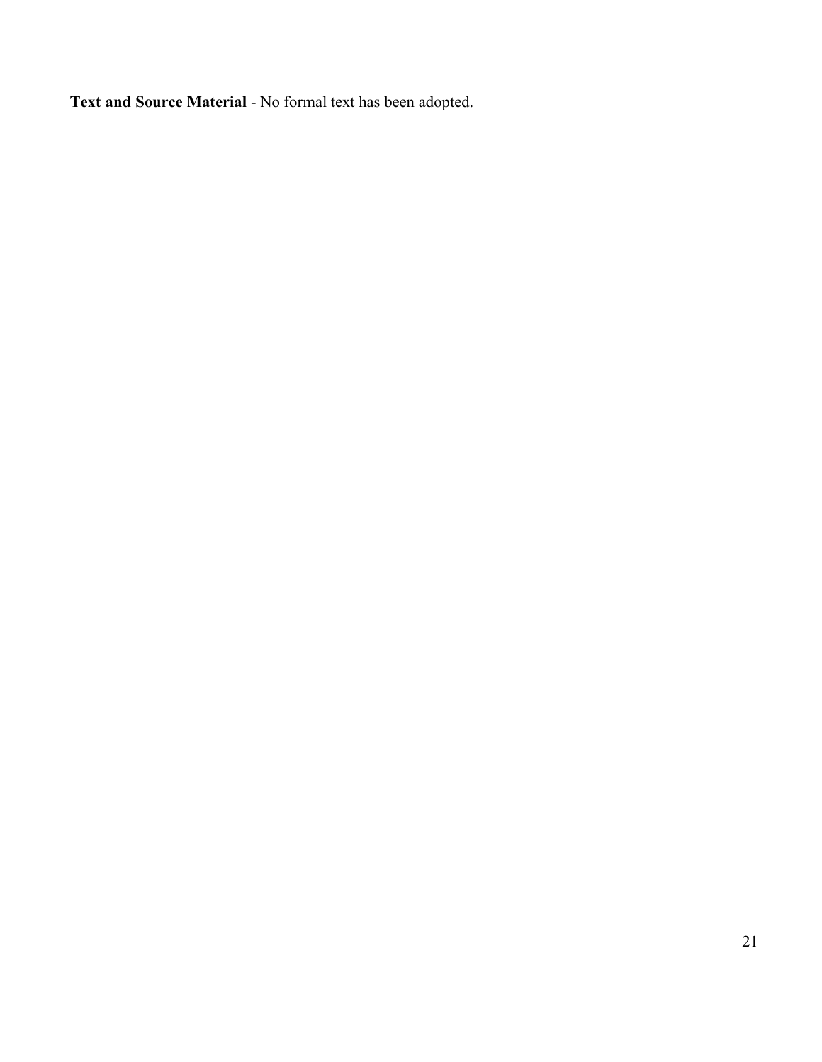**Text and Source Material** - No formal text has been adopted.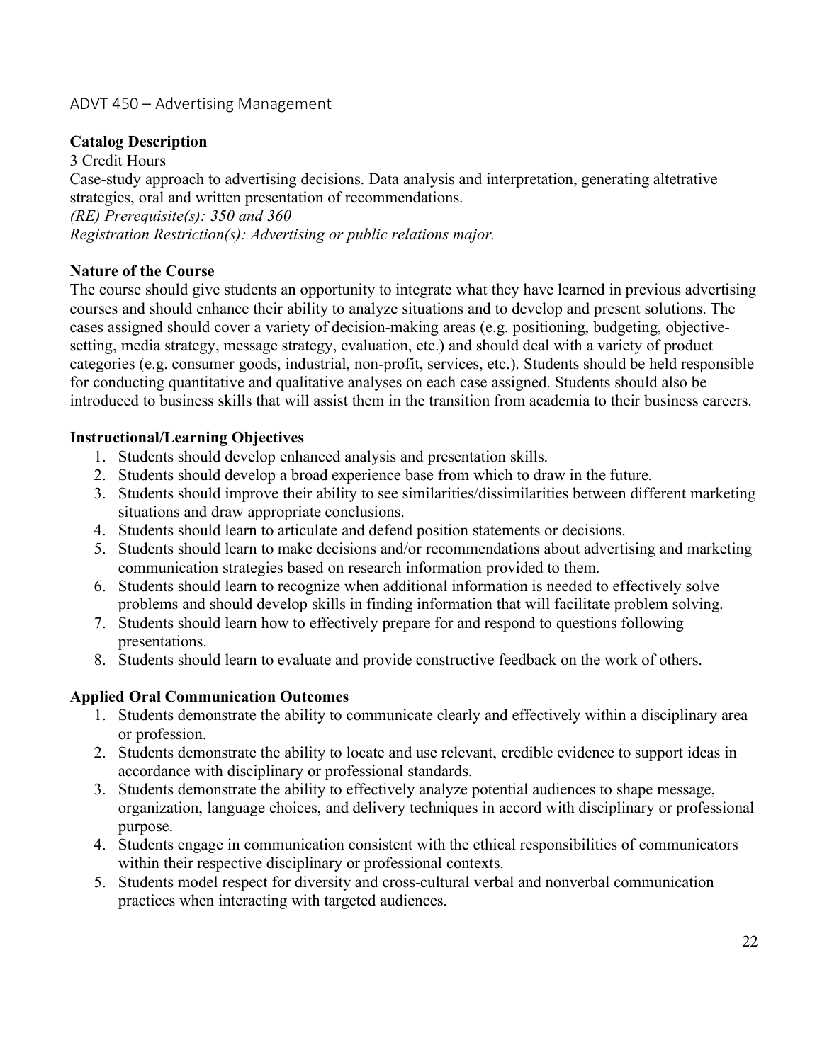# ADVT 450 – Advertising Management

# **Catalog Description**

3 Credit Hours Case-study approach to advertising decisions. Data analysis and interpretation, generating altetrative strategies, oral and written presentation of recommendations. *(RE) Prerequisite(s): 350 and 360 Registration Restriction(s): Advertising or public relations major.*

# **Nature of the Course**

The course should give students an opportunity to integrate what they have learned in previous advertising courses and should enhance their ability to analyze situations and to develop and present solutions. The cases assigned should cover a variety of decision-making areas (e.g. positioning, budgeting, objectivesetting, media strategy, message strategy, evaluation, etc.) and should deal with a variety of product categories (e.g. consumer goods, industrial, non-profit, services, etc.). Students should be held responsible for conducting quantitative and qualitative analyses on each case assigned. Students should also be introduced to business skills that will assist them in the transition from academia to their business careers.

### **Instructional/Learning Objectives**

- 1. Students should develop enhanced analysis and presentation skills.
- 2. Students should develop a broad experience base from which to draw in the future.
- 3. Students should improve their ability to see similarities/dissimilarities between different marketing situations and draw appropriate conclusions.
- 4. Students should learn to articulate and defend position statements or decisions.
- 5. Students should learn to make decisions and/or recommendations about advertising and marketing communication strategies based on research information provided to them.
- 6. Students should learn to recognize when additional information is needed to effectively solve problems and should develop skills in finding information that will facilitate problem solving.
- 7. Students should learn how to effectively prepare for and respond to questions following presentations.
- 8. Students should learn to evaluate and provide constructive feedback on the work of others.

# **Applied Oral Communication Outcomes**

- 1. Students demonstrate the ability to communicate clearly and effectively within a disciplinary area or profession.
- 2. Students demonstrate the ability to locate and use relevant, credible evidence to support ideas in accordance with disciplinary or professional standards.
- 3. Students demonstrate the ability to effectively analyze potential audiences to shape message, organization, language choices, and delivery techniques in accord with disciplinary or professional purpose.
- 4. Students engage in communication consistent with the ethical responsibilities of communicators within their respective disciplinary or professional contexts.
- 5. Students model respect for diversity and cross-cultural verbal and nonverbal communication practices when interacting with targeted audiences.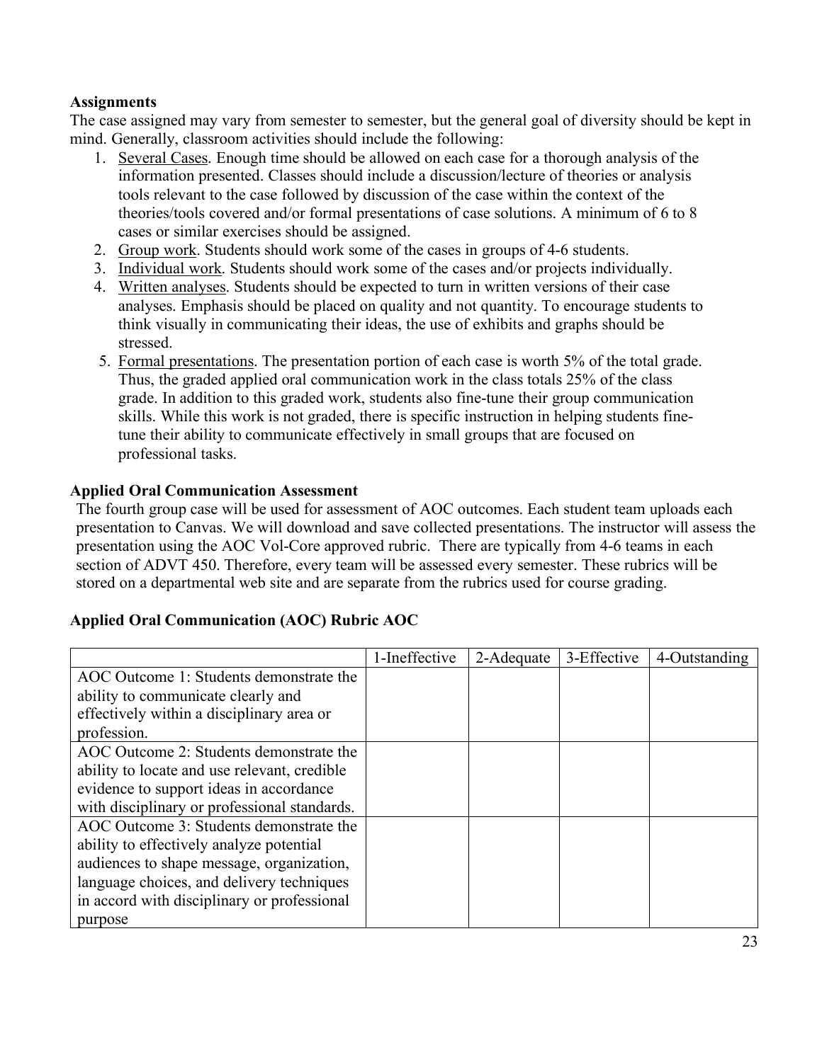## **Assignments**

The case assigned may vary from semester to semester, but the general goal of diversity should be kept in mind. Generally, classroom activities should include the following:

- 1. Several Cases. Enough time should be allowed on each case for a thorough analysis of the information presented. Classes should include a discussion/lecture of theories or analysis tools relevant to the case followed by discussion of the case within the context of the theories/tools covered and/or formal presentations of case solutions. A minimum of 6 to 8 cases or similar exercises should be assigned.
- 2. Group work. Students should work some of the cases in groups of 4-6 students.
- 3. Individual work. Students should work some of the cases and/or projects individually.
- 4. Written analyses. Students should be expected to turn in written versions of their case analyses. Emphasis should be placed on quality and not quantity. To encourage students to think visually in communicating their ideas, the use of exhibits and graphs should be stressed.
- 5. Formal presentations. The presentation portion of each case is worth 5% of the total grade. Thus, the graded applied oral communication work in the class totals 25% of the class grade. In addition to this graded work, students also fine-tune their group communication skills. While this work is not graded, there is specific instruction in helping students finetune their ability to communicate effectively in small groups that are focused on professional tasks.

### **Applied Oral Communication Assessment**

The fourth group case will be used for assessment of AOC outcomes. Each student team uploads each presentation to Canvas. We will download and save collected presentations. The instructor will assess the presentation using the AOC Vol-Core approved rubric. There are typically from 4-6 teams in each section of ADVT 450. Therefore, every team will be assessed every semester. These rubrics will be stored on a departmental web site and are separate from the rubrics used for course grading.

### **Applied Oral Communication (AOC) Rubric AOC**

|                                              | 1-Ineffective | 2-Adequate | 3-Effective | 4-Outstanding |
|----------------------------------------------|---------------|------------|-------------|---------------|
| AOC Outcome 1: Students demonstrate the      |               |            |             |               |
| ability to communicate clearly and           |               |            |             |               |
| effectively within a disciplinary area or    |               |            |             |               |
| profession.                                  |               |            |             |               |
| AOC Outcome 2: Students demonstrate the      |               |            |             |               |
| ability to locate and use relevant, credible |               |            |             |               |
| evidence to support ideas in accordance      |               |            |             |               |
| with disciplinary or professional standards. |               |            |             |               |
| AOC Outcome 3: Students demonstrate the      |               |            |             |               |
| ability to effectively analyze potential     |               |            |             |               |
| audiences to shape message, organization,    |               |            |             |               |
| language choices, and delivery techniques    |               |            |             |               |
| in accord with disciplinary or professional  |               |            |             |               |
| purpose                                      |               |            |             |               |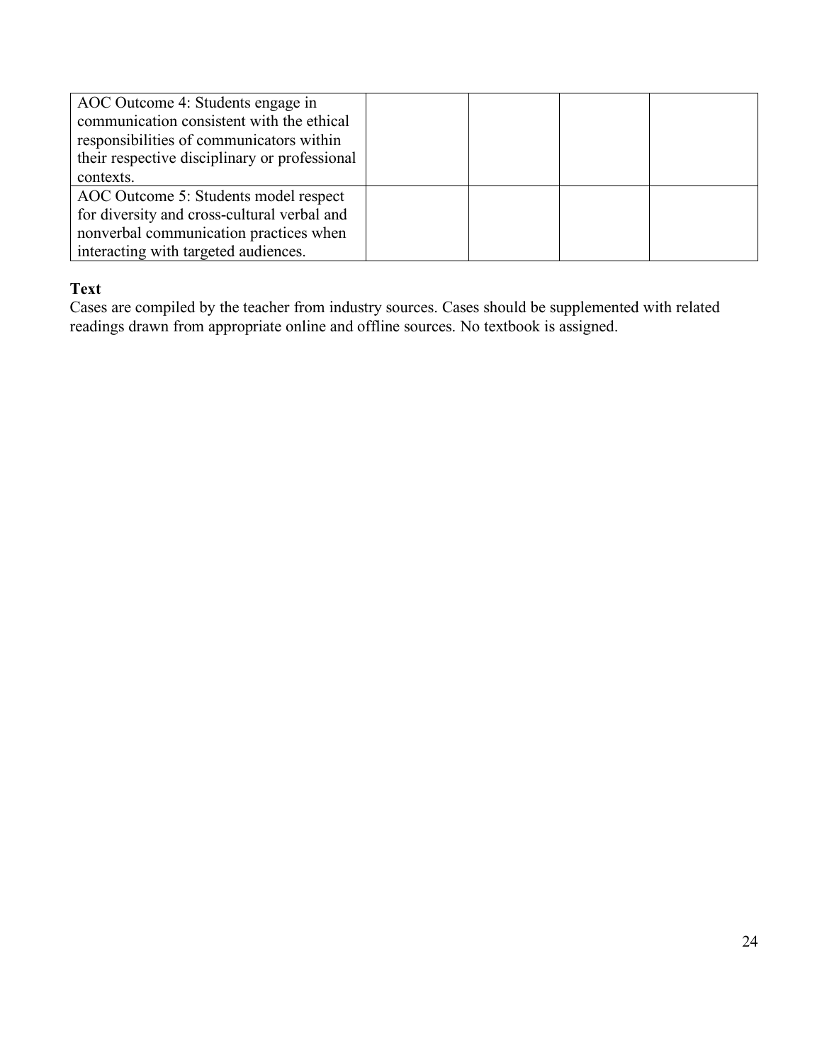| AOC Outcome 4: Students engage in<br>communication consistent with the ethical<br>responsibilities of communicators within<br>their respective disciplinary or professional |  |  |
|-----------------------------------------------------------------------------------------------------------------------------------------------------------------------------|--|--|
| contexts.                                                                                                                                                                   |  |  |
| AOC Outcome 5: Students model respect                                                                                                                                       |  |  |
| for diversity and cross-cultural verbal and                                                                                                                                 |  |  |
| nonverbal communication practices when                                                                                                                                      |  |  |
| interacting with targeted audiences.                                                                                                                                        |  |  |

### **Text**

Cases are compiled by the teacher from industry sources. Cases should be supplemented with related readings drawn from appropriate online and offline sources. No textbook is assigned.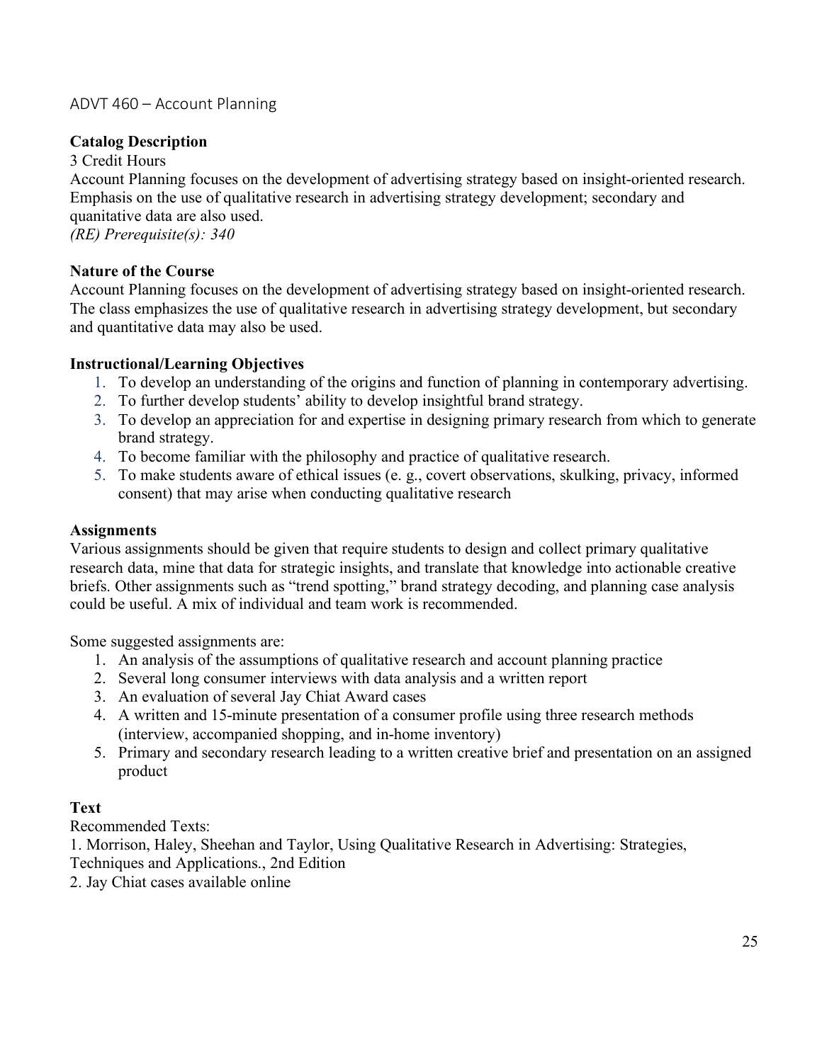## ADVT 460 – Account Planning

### **Catalog Description**

3 Credit Hours

Account Planning focuses on the development of advertising strategy based on insight-oriented research. Emphasis on the use of qualitative research in advertising strategy development; secondary and quanitative data are also used. *(RE) Prerequisite(s): 340*

**Nature of the Course** 

Account Planning focuses on the development of advertising strategy based on insight-oriented research. The class emphasizes the use of qualitative research in advertising strategy development, but secondary and quantitative data may also be used.

### **Instructional/Learning Objectives**

- 1. To develop an understanding of the origins and function of planning in contemporary advertising.
- 2. To further develop students' ability to develop insightful brand strategy.
- 3. To develop an appreciation for and expertise in designing primary research from which to generate brand strategy.
- 4. To become familiar with the philosophy and practice of qualitative research.
- 5. To make students aware of ethical issues (e. g., covert observations, skulking, privacy, informed consent) that may arise when conducting qualitative research

#### **Assignments**

Various assignments should be given that require students to design and collect primary qualitative research data, mine that data for strategic insights, and translate that knowledge into actionable creative briefs. Other assignments such as "trend spotting," brand strategy decoding, and planning case analysis could be useful. A mix of individual and team work is recommended.

Some suggested assignments are:

- 1. An analysis of the assumptions of qualitative research and account planning practice
- 2. Several long consumer interviews with data analysis and a written report
- 3. An evaluation of several Jay Chiat Award cases
- 4. A written and 15-minute presentation of a consumer profile using three research methods (interview, accompanied shopping, and in-home inventory)
- 5. Primary and secondary research leading to a written creative brief and presentation on an assigned product

### **Text**

Recommended Texts:

1. Morrison, Haley, Sheehan and Taylor, Using Qualitative Research in Advertising: Strategies,

- Techniques and Applications., 2nd Edition
- 2. Jay Chiat cases available online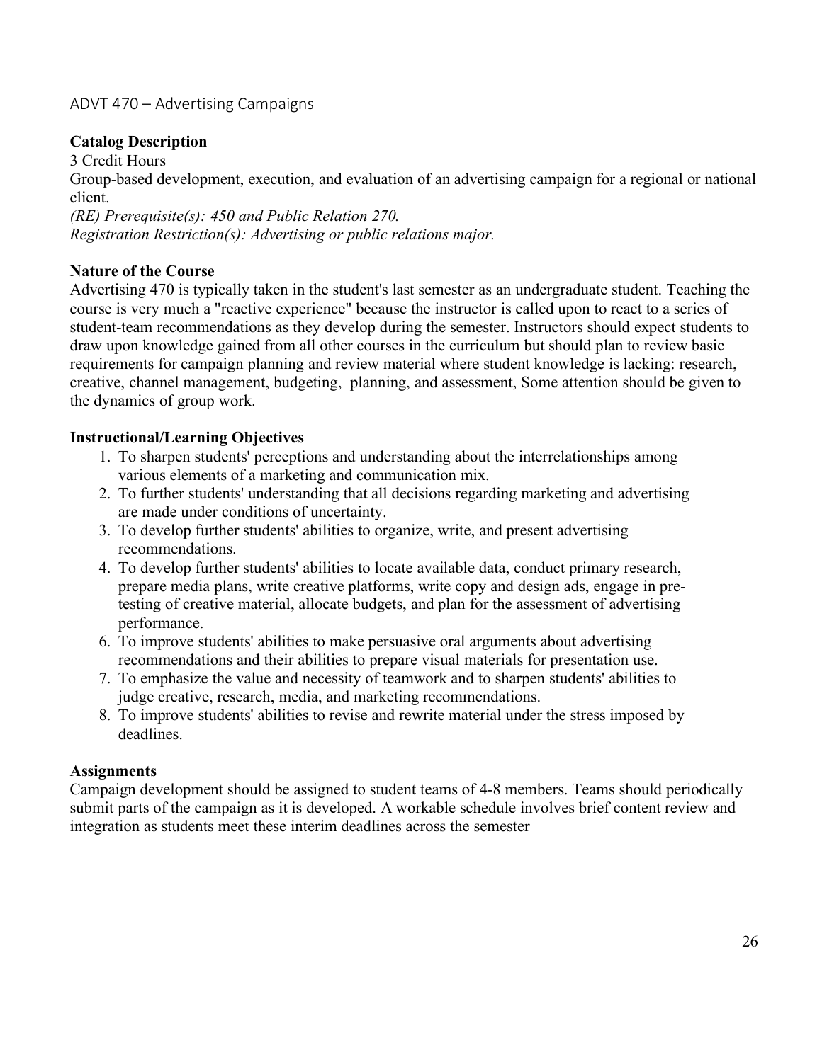# ADVT 470 – Advertising Campaigns

### **Catalog Description**

3 Credit Hours Group-based development, execution, and evaluation of an advertising campaign for a regional or national client. *(RE) Prerequisite(s): 450 and Public Relation 270. Registration Restriction(s): Advertising or public relations major.*

#### **Nature of the Course**

Advertising 470 is typically taken in the student's last semester as an undergraduate student. Teaching the course is very much a "reactive experience" because the instructor is called upon to react to a series of student-team recommendations as they develop during the semester. Instructors should expect students to draw upon knowledge gained from all other courses in the curriculum but should plan to review basic requirements for campaign planning and review material where student knowledge is lacking: research, creative, channel management, budgeting, planning, and assessment, Some attention should be given to the dynamics of group work.

#### **Instructional/Learning Objectives**

- 1. To sharpen students' perceptions and understanding about the interrelationships among various elements of a marketing and communication mix.
- 2. To further students' understanding that all decisions regarding marketing and advertising are made under conditions of uncertainty.
- 3. To develop further students' abilities to organize, write, and present advertising recommendations.
- 4. To develop further students' abilities to locate available data, conduct primary research, prepare media plans, write creative platforms, write copy and design ads, engage in pretesting of creative material, allocate budgets, and plan for the assessment of advertising performance.
- 6. To improve students' abilities to make persuasive oral arguments about advertising recommendations and their abilities to prepare visual materials for presentation use.
- 7. To emphasize the value and necessity of teamwork and to sharpen students' abilities to judge creative, research, media, and marketing recommendations.
- 8. To improve students' abilities to revise and rewrite material under the stress imposed by deadlines.

#### **Assignments**

Campaign development should be assigned to student teams of 4-8 members. Teams should periodically submit parts of the campaign as it is developed. A workable schedule involves brief content review and integration as students meet these interim deadlines across the semester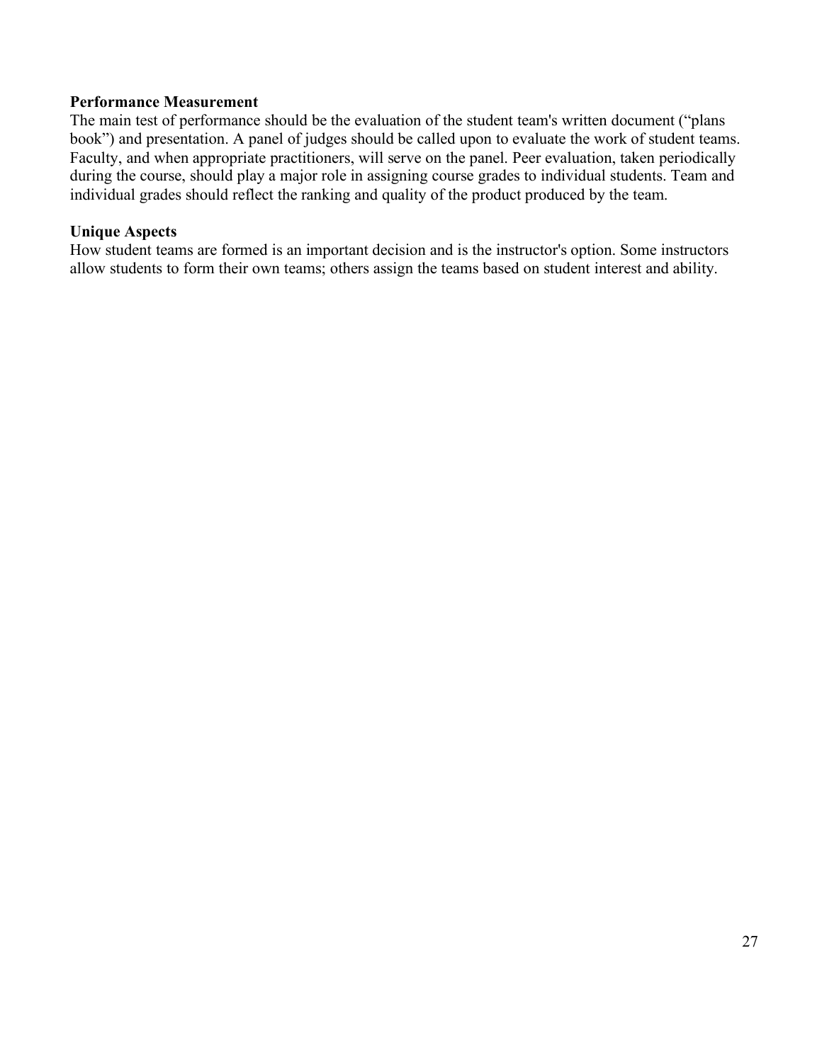#### **Performance Measurement**

The main test of performance should be the evaluation of the student team's written document ("plans book") and presentation. A panel of judges should be called upon to evaluate the work of student teams. Faculty, and when appropriate practitioners, will serve on the panel. Peer evaluation, taken periodically during the course, should play a major role in assigning course grades to individual students. Team and individual grades should reflect the ranking and quality of the product produced by the team.

#### **Unique Aspects**

How student teams are formed is an important decision and is the instructor's option. Some instructors allow students to form their own teams; others assign the teams based on student interest and ability.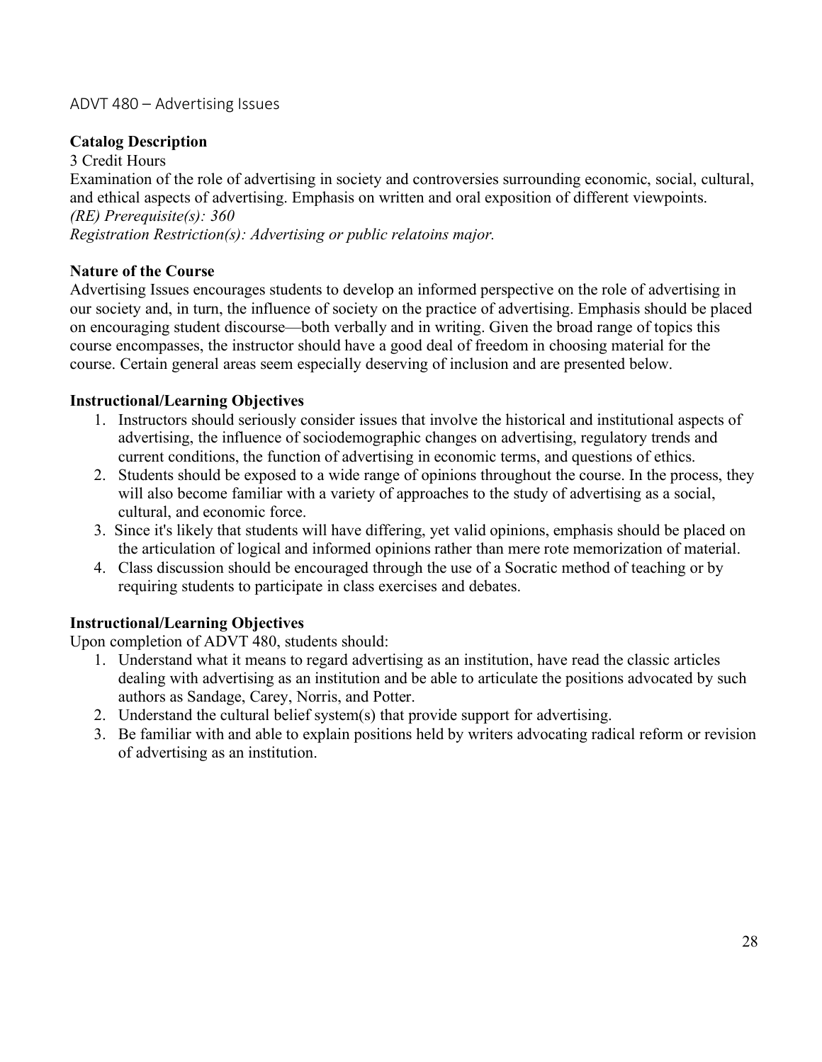# ADVT 480 – Advertising Issues

## **Catalog Description**

3 Credit Hours

Examination of the role of advertising in society and controversies surrounding economic, social, cultural, and ethical aspects of advertising. Emphasis on written and oral exposition of different viewpoints. *(RE) Prerequisite(s): 360*

*Registration Restriction(s): Advertising or public relatoins major.*

### **Nature of the Course**

Advertising Issues encourages students to develop an informed perspective on the role of advertising in our society and, in turn, the influence of society on the practice of advertising. Emphasis should be placed on encouraging student discourse—both verbally and in writing. Given the broad range of topics this course encompasses, the instructor should have a good deal of freedom in choosing material for the course. Certain general areas seem especially deserving of inclusion and are presented below.

### **Instructional/Learning Objectives**

- 1. Instructors should seriously consider issues that involve the historical and institutional aspects of advertising, the influence of sociodemographic changes on advertising, regulatory trends and current conditions, the function of advertising in economic terms, and questions of ethics.
- 2. Students should be exposed to a wide range of opinions throughout the course. In the process, they will also become familiar with a variety of approaches to the study of advertising as a social, cultural, and economic force.
- 3. Since it's likely that students will have differing, yet valid opinions, emphasis should be placed on the articulation of logical and informed opinions rather than mere rote memorization of material.
- 4. Class discussion should be encouraged through the use of a Socratic method of teaching or by requiring students to participate in class exercises and debates.

### **Instructional/Learning Objectives**

Upon completion of ADVT 480, students should:

- 1. Understand what it means to regard advertising as an institution, have read the classic articles dealing with advertising as an institution and be able to articulate the positions advocated by such authors as Sandage, Carey, Norris, and Potter.
- 2. Understand the cultural belief system(s) that provide support for advertising.
- 3. Be familiar with and able to explain positions held by writers advocating radical reform or revision of advertising as an institution.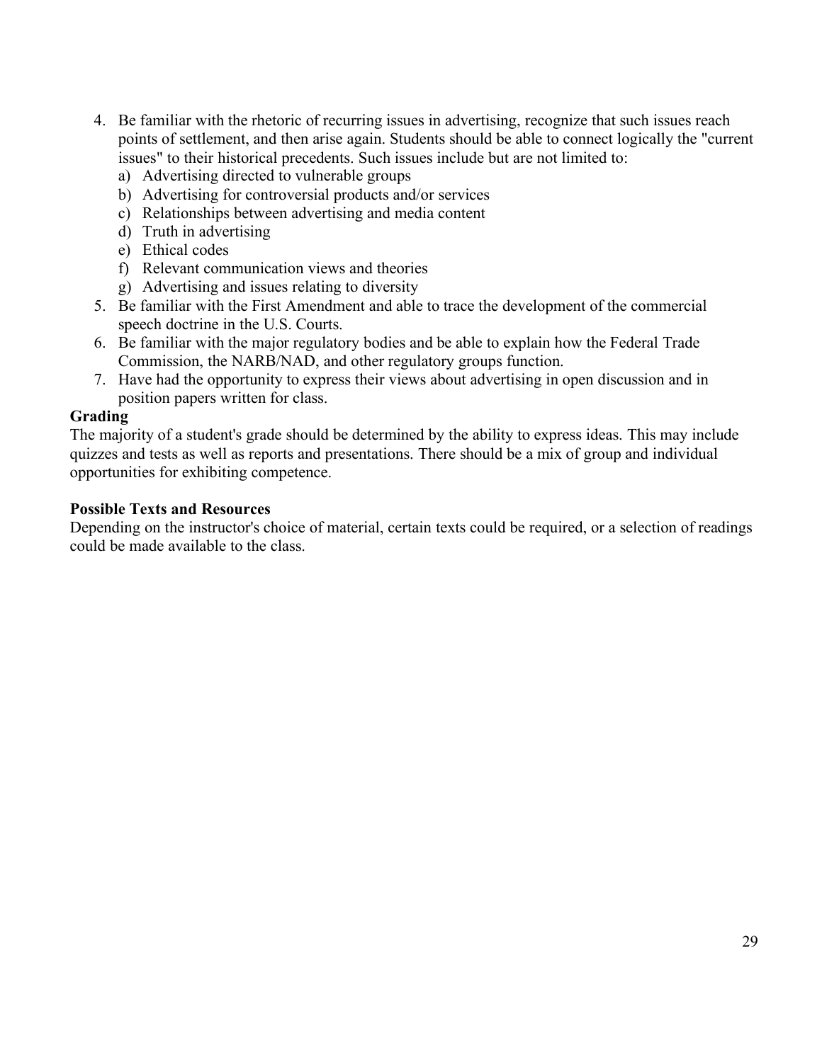- 4. Be familiar with the rhetoric of recurring issues in advertising, recognize that such issues reach points of settlement, and then arise again. Students should be able to connect logically the "current issues" to their historical precedents. Such issues include but are not limited to:
	- a) Advertising directed to vulnerable groups
	- b) Advertising for controversial products and/or services
	- c) Relationships between advertising and media content
	- d) Truth in advertising
	- e) Ethical codes
	- f) Relevant communication views and theories
	- g) Advertising and issues relating to diversity
- 5. Be familiar with the First Amendment and able to trace the development of the commercial speech doctrine in the U.S. Courts.
- 6. Be familiar with the major regulatory bodies and be able to explain how the Federal Trade Commission, the NARB/NAD, and other regulatory groups function.
- 7. Have had the opportunity to express their views about advertising in open discussion and in position papers written for class.

### **Grading**

The majority of a student's grade should be determined by the ability to express ideas. This may include quizzes and tests as well as reports and presentations. There should be a mix of group and individual opportunities for exhibiting competence.

### **Possible Texts and Resources**

Depending on the instructor's choice of material, certain texts could be required, or a selection of readings could be made available to the class.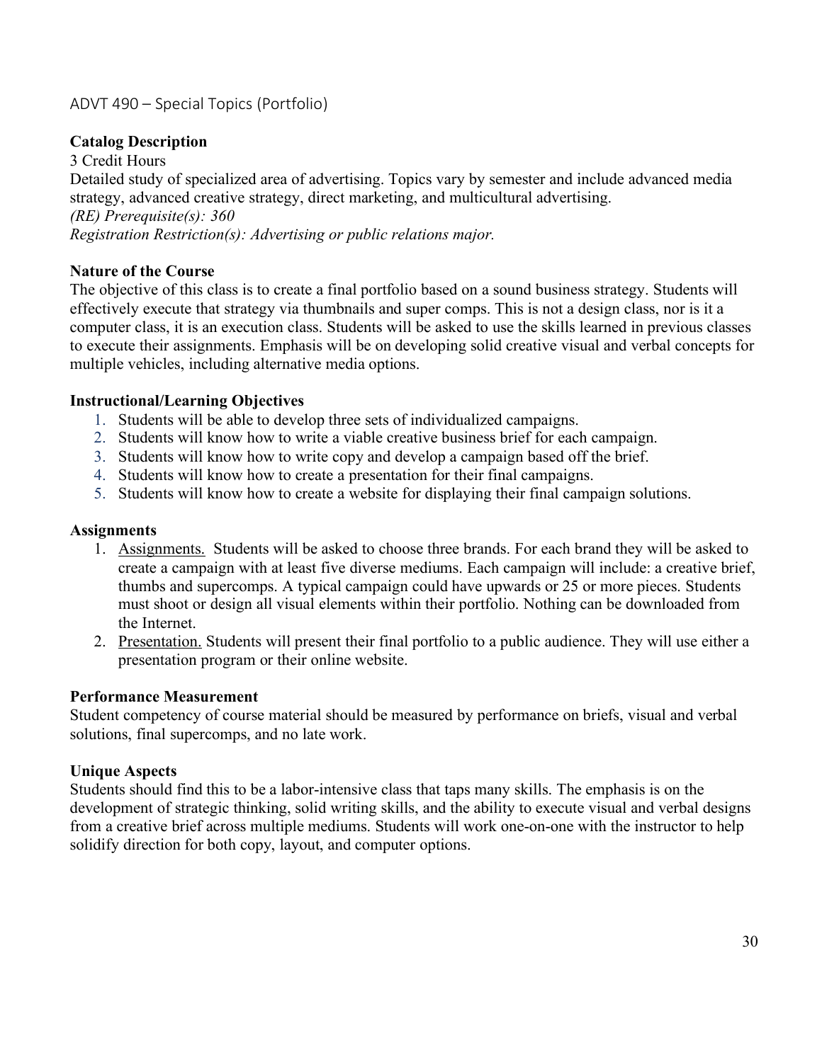# ADVT 490 – Special Topics (Portfolio)

## **Catalog Description**

3 Credit Hours Detailed study of specialized area of advertising. Topics vary by semester and include advanced media strategy, advanced creative strategy, direct marketing, and multicultural advertising. *(RE) Prerequisite(s): 360 Registration Restriction(s): Advertising or public relations major.*

### **Nature of the Course**

The objective of this class is to create a final portfolio based on a sound business strategy. Students will effectively execute that strategy via thumbnails and super comps. This is not a design class, nor is it a computer class, it is an execution class. Students will be asked to use the skills learned in previous classes to execute their assignments. Emphasis will be on developing solid creative visual and verbal concepts for multiple vehicles, including alternative media options.

#### **Instructional/Learning Objectives**

- 1. Students will be able to develop three sets of individualized campaigns.
- 2. Students will know how to write a viable creative business brief for each campaign.
- 3. Students will know how to write copy and develop a campaign based off the brief.
- 4. Students will know how to create a presentation for their final campaigns.
- 5. Students will know how to create a website for displaying their final campaign solutions.

#### **Assignments**

- 1. Assignments. Students will be asked to choose three brands. For each brand they will be asked to create a campaign with at least five diverse mediums. Each campaign will include: a creative brief, thumbs and supercomps. A typical campaign could have upwards or 25 or more pieces. Students must shoot or design all visual elements within their portfolio. Nothing can be downloaded from the Internet.
- 2. Presentation. Students will present their final portfolio to a public audience. They will use either a presentation program or their online website.

#### **Performance Measurement**

Student competency of course material should be measured by performance on briefs, visual and verbal solutions, final supercomps, and no late work.

#### **Unique Aspects**

Students should find this to be a labor-intensive class that taps many skills. The emphasis is on the development of strategic thinking, solid writing skills, and the ability to execute visual and verbal designs from a creative brief across multiple mediums. Students will work one-on-one with the instructor to help solidify direction for both copy, layout, and computer options.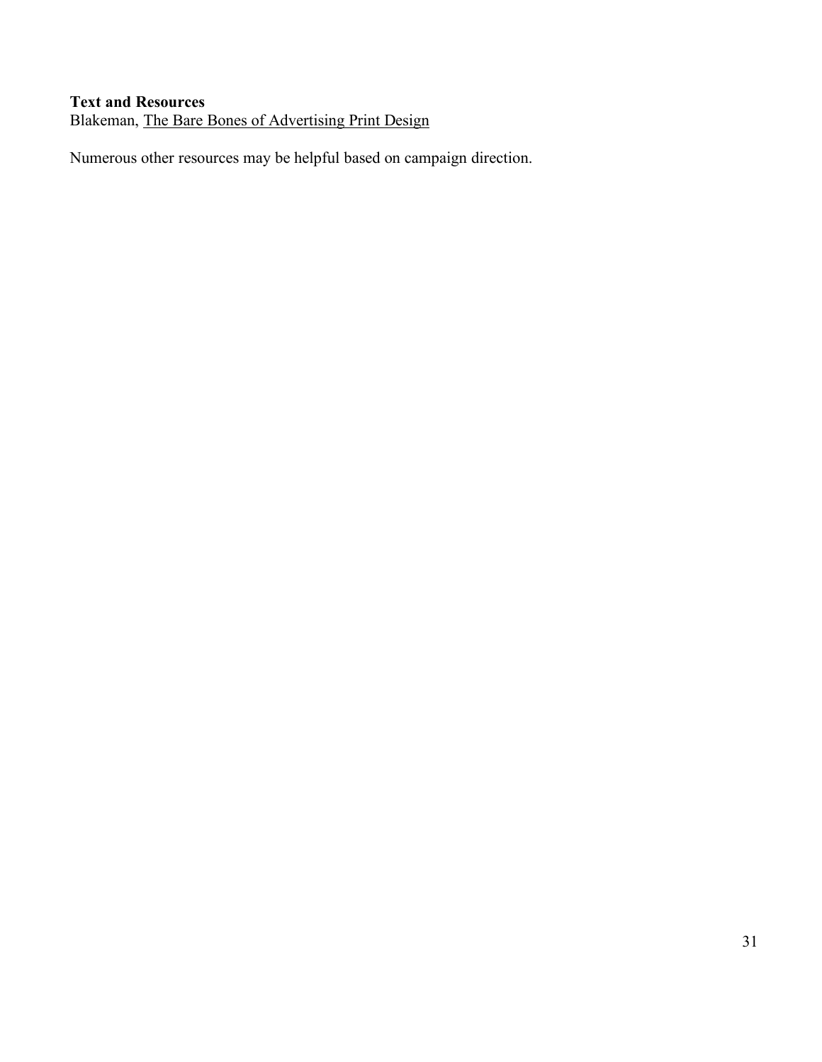# **Text and Resources**

Blakeman, The Bare Bones of Advertising Print Design

Numerous other resources may be helpful based on campaign direction.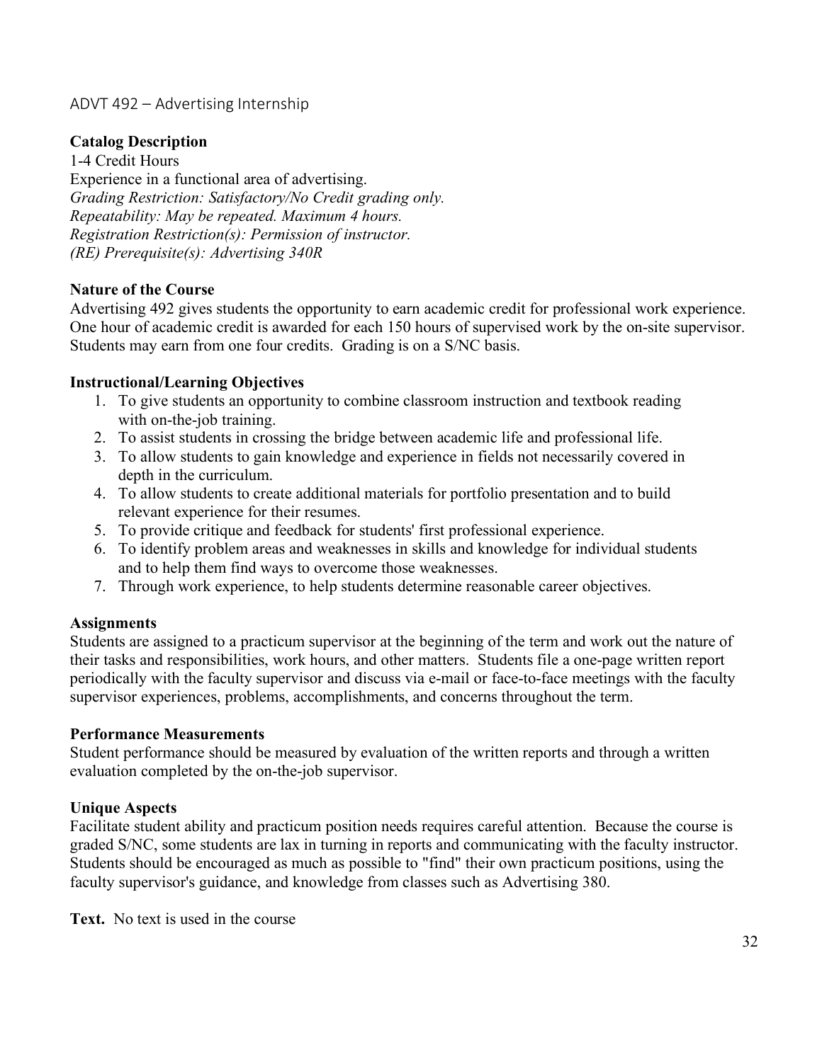# ADVT 492 – Advertising Internship

### **Catalog Description**

1-4 Credit Hours Experience in a functional area of advertising. *Grading Restriction: Satisfactory/No Credit grading only. Repeatability: May be repeated. Maximum 4 hours. Registration Restriction(s): Permission of instructor. (RE) Prerequisite(s): Advertising 340R*

#### **Nature of the Course**

Advertising 492 gives students the opportunity to earn academic credit for professional work experience. One hour of academic credit is awarded for each 150 hours of supervised work by the on-site supervisor. Students may earn from one four credits. Grading is on a S/NC basis.

#### **Instructional/Learning Objectives**

- 1. To give students an opportunity to combine classroom instruction and textbook reading with on-the-job training.
- 2. To assist students in crossing the bridge between academic life and professional life.
- 3. To allow students to gain knowledge and experience in fields not necessarily covered in depth in the curriculum.
- 4. To allow students to create additional materials for portfolio presentation and to build relevant experience for their resumes.
- 5. To provide critique and feedback for students' first professional experience.
- 6. To identify problem areas and weaknesses in skills and knowledge for individual students and to help them find ways to overcome those weaknesses.
- 7. Through work experience, to help students determine reasonable career objectives.

#### **Assignments**

Students are assigned to a practicum supervisor at the beginning of the term and work out the nature of their tasks and responsibilities, work hours, and other matters. Students file a one-page written report periodically with the faculty supervisor and discuss via e-mail or face-to-face meetings with the faculty supervisor experiences, problems, accomplishments, and concerns throughout the term.

#### **Performance Measurements**

Student performance should be measured by evaluation of the written reports and through a written evaluation completed by the on-the-job supervisor.

#### **Unique Aspects**

Facilitate student ability and practicum position needs requires careful attention. Because the course is graded S/NC, some students are lax in turning in reports and communicating with the faculty instructor. Students should be encouraged as much as possible to "find" their own practicum positions, using the faculty supervisor's guidance, and knowledge from classes such as Advertising 380.

**Text.** No text is used in the course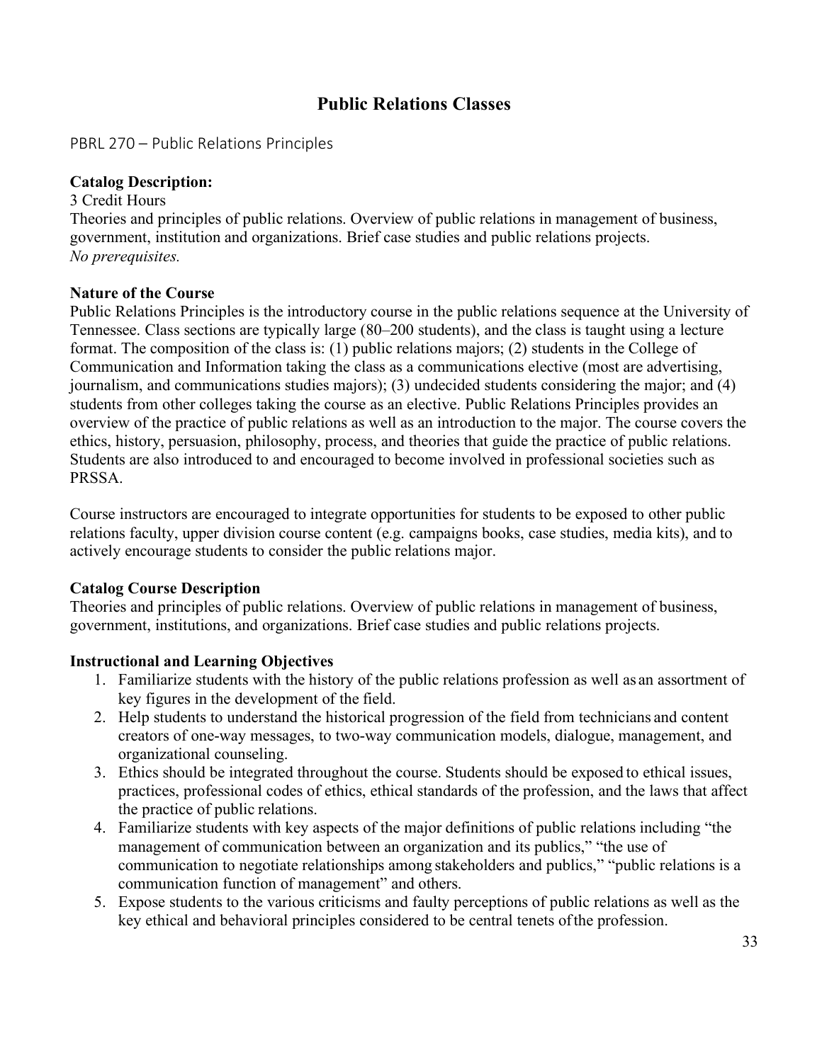# **Public Relations Classes**

PBRL 270 – Public Relations Principles

### **Catalog Description:**

3 Credit Hours Theories and principles of public relations. Overview of public relations in management of business, government, institution and organizations. Brief case studies and public relations projects. *No prerequisites.*

### **Nature of the Course**

Public Relations Principles is the introductory course in the public relations sequence at the University of Tennessee. Class sections are typically large (80–200 students), and the class is taught using a lecture format. The composition of the class is: (1) public relations majors; (2) students in the College of Communication and Information taking the class as a communications elective (most are advertising, journalism, and communications studies majors); (3) undecided students considering the major; and (4) students from other colleges taking the course as an elective. Public Relations Principles provides an overview of the practice of public relations as well as an introduction to the major. The course covers the ethics, history, persuasion, philosophy, process, and theories that guide the practice of public relations. Students are also introduced to and encouraged to become involved in professional societies such as PRSSA.

Course instructors are encouraged to integrate opportunities for students to be exposed to other public relations faculty, upper division course content (e.g. campaigns books, case studies, media kits), and to actively encourage students to consider the public relations major.

### **Catalog Course Description**

Theories and principles of public relations. Overview of public relations in management of business, government, institutions, and organizations. Brief case studies and public relations projects.

### **Instructional and Learning Objectives**

- 1. Familiarize students with the history of the public relations profession as well as an assortment of key figures in the development of the field.
- 2. Help students to understand the historical progression of the field from technicians and content creators of one-way messages, to two-way communication models, dialogue, management, and organizational counseling.
- 3. Ethics should be integrated throughout the course. Students should be exposed to ethical issues, practices, professional codes of ethics, ethical standards of the profession, and the laws that affect the practice of public relations.
- 4. Familiarize students with key aspects of the major definitions of public relations including "the management of communication between an organization and its publics," "the use of communication to negotiate relationships among stakeholders and publics," "public relations is a communication function of management" and others.
- 5. Expose students to the various criticisms and faulty perceptions of public relations as well as the key ethical and behavioral principles considered to be central tenets ofthe profession.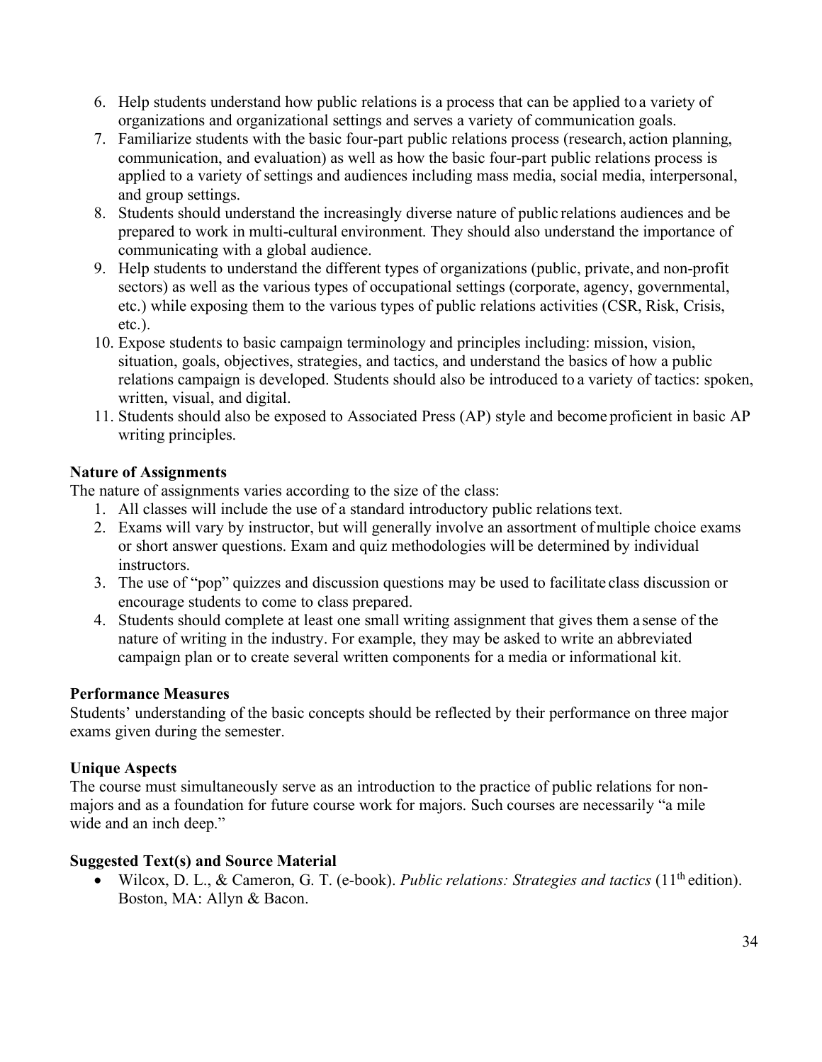- 6. Help students understand how public relations is a process that can be applied to a variety of organizations and organizational settings and serves a variety of communication goals.
- 7. Familiarize students with the basic four-part public relations process (research, action planning, communication, and evaluation) as well as how the basic four-part public relations process is applied to a variety of settings and audiences including mass media, social media, interpersonal, and group settings.
- 8. Students should understand the increasingly diverse nature of public relations audiences and be prepared to work in multi-cultural environment. They should also understand the importance of communicating with a global audience.
- 9. Help students to understand the different types of organizations (public, private, and non-profit sectors) as well as the various types of occupational settings (corporate, agency, governmental, etc.) while exposing them to the various types of public relations activities (CSR, Risk, Crisis, etc.).
- 10. Expose students to basic campaign terminology and principles including: mission, vision, situation, goals, objectives, strategies, and tactics, and understand the basics of how a public relations campaign is developed. Students should also be introduced to a variety of tactics: spoken, written, visual, and digital.
- 11. Students should also be exposed to Associated Press (AP) style and become proficient in basic AP writing principles.

### **Nature of Assignments**

The nature of assignments varies according to the size of the class:

- 1. All classes will include the use of a standard introductory public relationstext.
- 2. Exams will vary by instructor, but will generally involve an assortment ofmultiple choice exams or short answer questions. Exam and quiz methodologies will be determined by individual instructors.
- 3. The use of "pop" quizzes and discussion questions may be used to facilitate class discussion or encourage students to come to class prepared.
- 4. Students should complete at least one small writing assignment that gives them a sense of the nature of writing in the industry. For example, they may be asked to write an abbreviated campaign plan or to create several written components for a media or informational kit.

### **Performance Measures**

Students' understanding of the basic concepts should be reflected by their performance on three major exams given during the semester.

# **Unique Aspects**

The course must simultaneously serve as an introduction to the practice of public relations for nonmajors and as a foundation for future course work for majors. Such courses are necessarily "a mile wide and an inch deep."

### **Suggested Text(s) and Source Material**

• Wilcox, D. L., & Cameron, G. T. (e-book). *Public relations: Strategies and tactics* (11th edition). Boston, MA: Allyn & Bacon.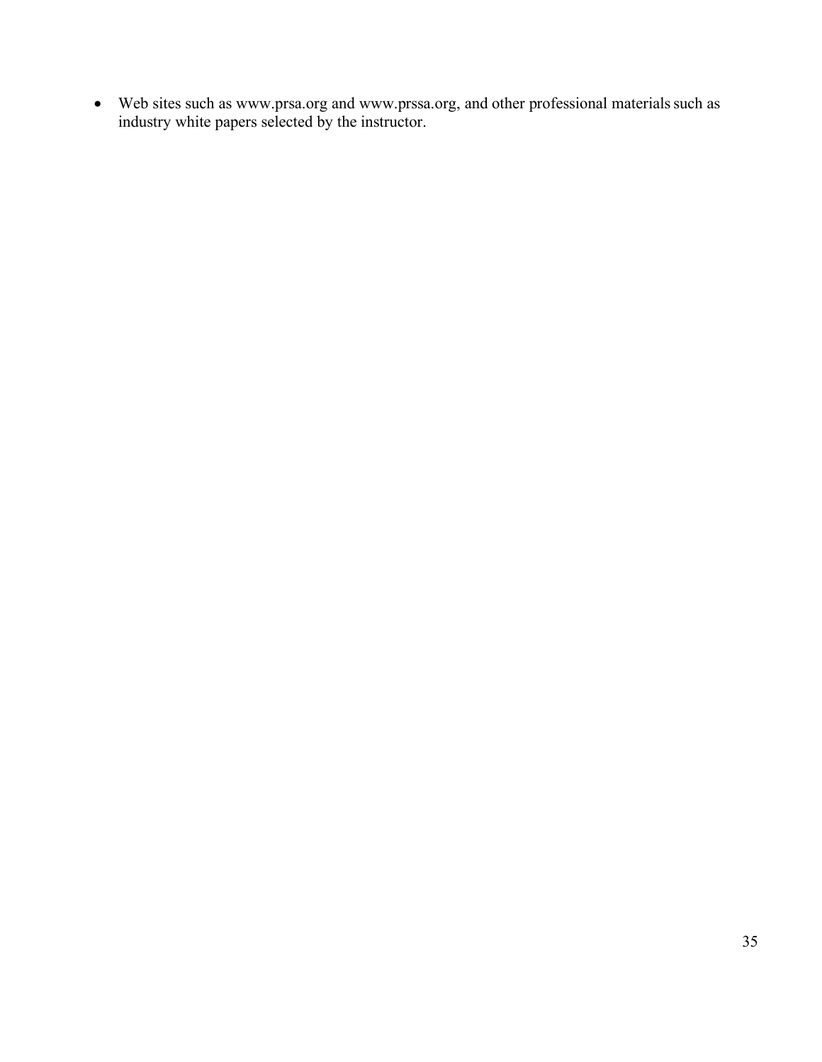• Web sites such as www.prsa.org and www.prssa.org, and other professional materials such as industry white papers selected by the instructor.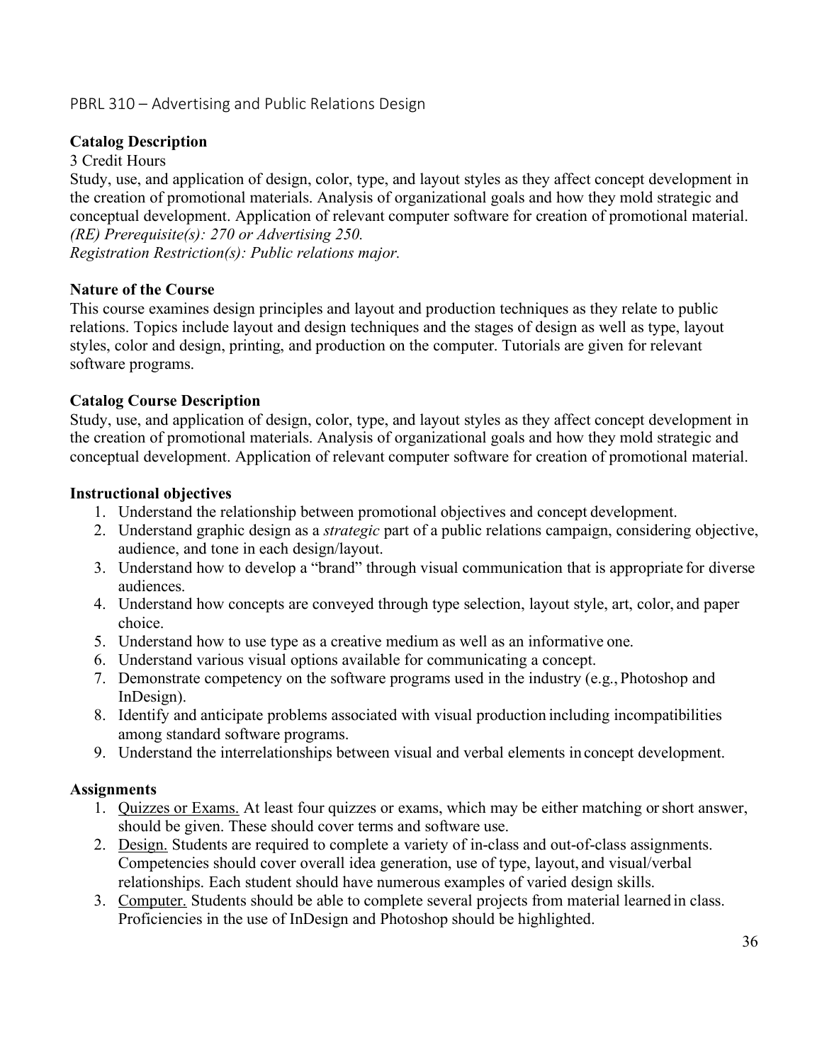# PBRL 310 – Advertising and Public Relations Design

### **Catalog Description**

### 3 Credit Hours

Study, use, and application of design, color, type, and layout styles as they affect concept development in the creation of promotional materials. Analysis of organizational goals and how they mold strategic and conceptual development. Application of relevant computer software for creation of promotional material. *(RE) Prerequisite(s): 270 or Advertising 250.*

*Registration Restriction(s): Public relations major.*

### **Nature of the Course**

This course examines design principles and layout and production techniques as they relate to public relations. Topics include layout and design techniques and the stages of design as well as type, layout styles, color and design, printing, and production on the computer. Tutorials are given for relevant software programs.

### **Catalog Course Description**

Study, use, and application of design, color, type, and layout styles as they affect concept development in the creation of promotional materials. Analysis of organizational goals and how they mold strategic and conceptual development. Application of relevant computer software for creation of promotional material.

### **Instructional objectives**

- 1. Understand the relationship between promotional objectives and concept development.
- 2. Understand graphic design as a *strategic* part of a public relations campaign, considering objective, audience, and tone in each design/layout.
- 3. Understand how to develop a "brand" through visual communication that is appropriate for diverse audiences.
- 4. Understand how concepts are conveyed through type selection, layout style, art, color, and paper choice.
- 5. Understand how to use type as a creative medium as well as an informative one.
- 6. Understand various visual options available for communicating a concept.
- 7. Demonstrate competency on the software programs used in the industry (e.g., Photoshop and InDesign).
- 8. Identify and anticipate problems associated with visual production including incompatibilities among standard software programs.
- 9. Understand the interrelationships between visual and verbal elements in concept development.

### **Assignments**

- 1. Quizzes or Exams. At least four quizzes or exams, which may be either matching orshort answer, should be given. These should cover terms and software use.
- 2. Design. Students are required to complete a variety of in-class and out-of-class assignments. Competencies should cover overall idea generation, use of type, layout, and visual/verbal relationships. Each student should have numerous examples of varied design skills.
- 3. Computer. Students should be able to complete several projects from material learned in class. Proficiencies in the use of InDesign and Photoshop should be highlighted.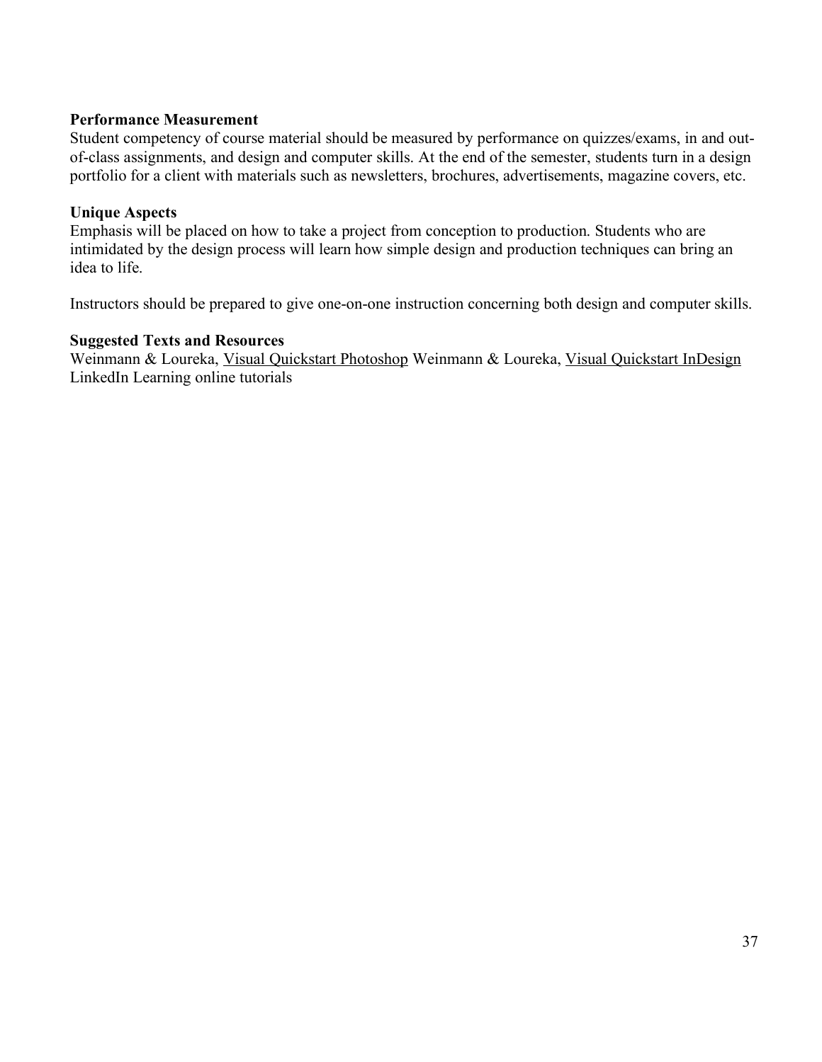### **Performance Measurement**

Student competency of course material should be measured by performance on quizzes/exams, in and outof-class assignments, and design and computer skills. At the end of the semester, students turn in a design portfolio for a client with materials such as newsletters, brochures, advertisements, magazine covers, etc.

### **Unique Aspects**

Emphasis will be placed on how to take a project from conception to production. Students who are intimidated by the design process will learn how simple design and production techniques can bring an idea to life.

Instructors should be prepared to give one-on-one instruction concerning both design and computer skills.

### **Suggested Texts and Resources**

Weinmann & Loureka, Visual Quickstart Photoshop Weinmann & Loureka, Visual Quickstart InDesign LinkedIn Learning online tutorials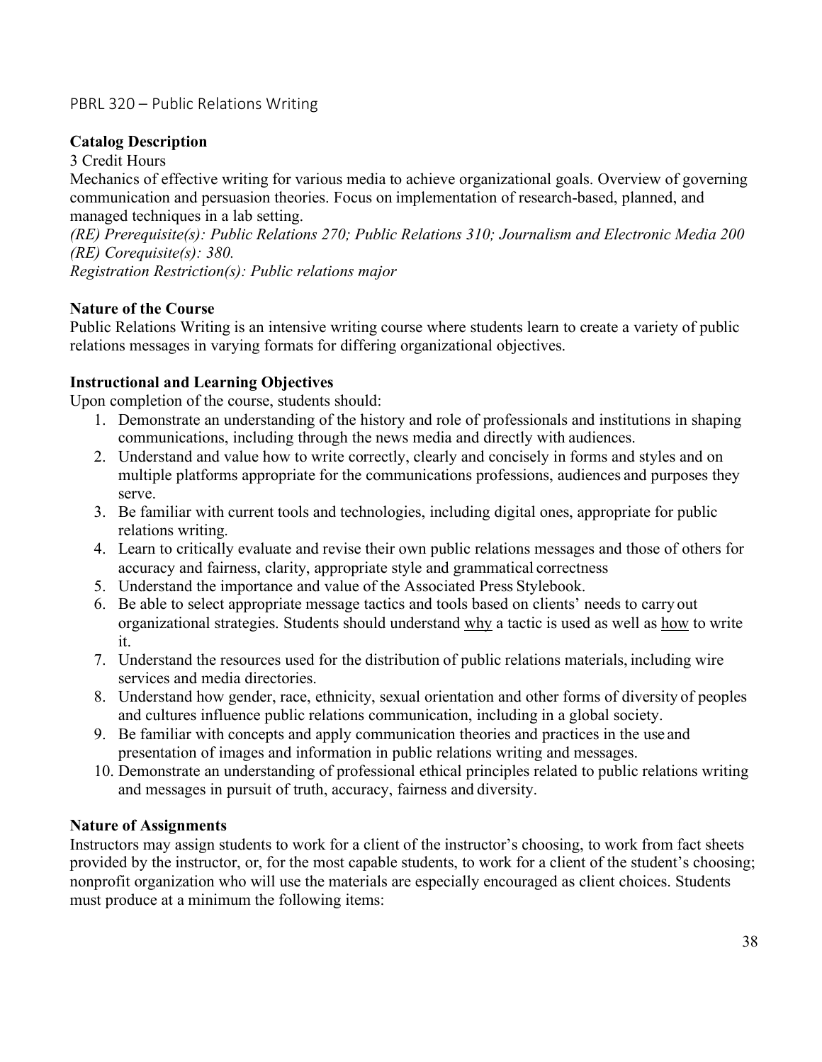# PBRL 320 – Public Relations Writing

## **Catalog Description**

### 3 Credit Hours

Mechanics of effective writing for various media to achieve organizational goals. Overview of governing communication and persuasion theories. Focus on implementation of research-based, planned, and managed techniques in a lab setting.

*(RE) Prerequisite(s): Public Relations 270; Public Relations 310; Journalism and Electronic Media 200 (RE) Corequisite(s): 380.*

*Registration Restriction(s): Public relations major*

### **Nature of the Course**

Public Relations Writing is an intensive writing course where students learn to create a variety of public relations messages in varying formats for differing organizational objectives.

# **Instructional and Learning Objectives**

Upon completion of the course, students should:

- 1. Demonstrate an understanding of the history and role of professionals and institutions in shaping communications, including through the news media and directly with audiences.
- 2. Understand and value how to write correctly, clearly and concisely in forms and styles and on multiple platforms appropriate for the communications professions, audiences and purposes they serve.
- 3. Be familiar with current tools and technologies, including digital ones, appropriate for public relations writing.
- 4. Learn to critically evaluate and revise their own public relations messages and those of others for accuracy and fairness, clarity, appropriate style and grammatical correctness
- 5. Understand the importance and value of the Associated Press Stylebook.
- 6. Be able to select appropriate message tactics and tools based on clients' needs to carry out organizational strategies. Students should understand why a tactic is used as well as how to write it.
- 7. Understand the resources used for the distribution of public relations materials, including wire services and media directories.
- 8. Understand how gender, race, ethnicity, sexual orientation and other forms of diversity of peoples and cultures influence public relations communication, including in a global society.
- 9. Be familiar with concepts and apply communication theories and practices in the use and presentation of images and information in public relations writing and messages.
- 10. Demonstrate an understanding of professional ethical principles related to public relations writing and messages in pursuit of truth, accuracy, fairness and diversity.

### **Nature of Assignments**

Instructors may assign students to work for a client of the instructor's choosing, to work from fact sheets provided by the instructor, or, for the most capable students, to work for a client of the student's choosing; nonprofit organization who will use the materials are especially encouraged as client choices. Students must produce at a minimum the following items: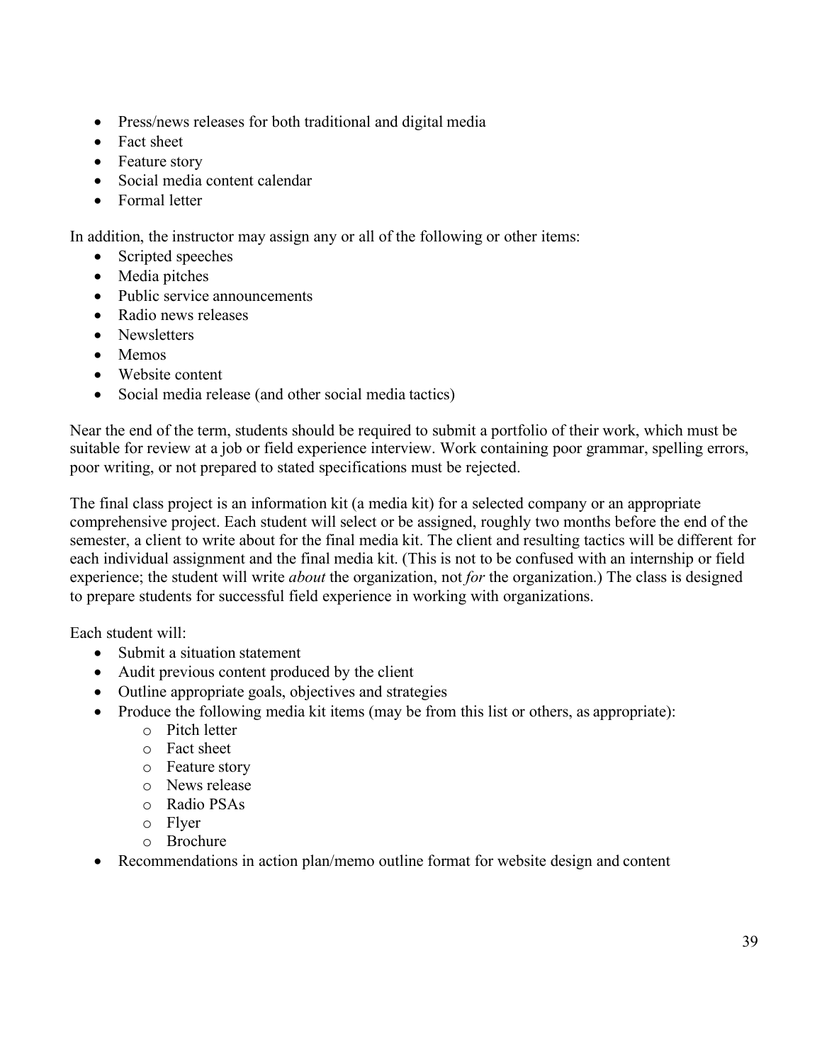- Press/news releases for both traditional and digital media
- Fact sheet
- Feature story
- Social media content calendar
- Formal letter

In addition, the instructor may assign any or all of the following or other items:

- Scripted speeches
- Media pitches
- Public service announcements
- Radio news releases
- Newsletters
- Memos
- Website content
- Social media release (and other social media tactics)

Near the end of the term, students should be required to submit a portfolio of their work, which must be suitable for review at a job or field experience interview. Work containing poor grammar, spelling errors, poor writing, or not prepared to stated specifications must be rejected.

The final class project is an information kit (a media kit) for a selected company or an appropriate comprehensive project. Each student will select or be assigned, roughly two months before the end of the semester, a client to write about for the final media kit. The client and resulting tactics will be different for each individual assignment and the final media kit. (This is not to be confused with an internship or field experience; the student will write *about* the organization, not *for* the organization.) The class is designed to prepare students for successful field experience in working with organizations.

Each student will:

- Submit a situation statement
- Audit previous content produced by the client
- Outline appropriate goals, objectives and strategies
- Produce the following media kit items (may be from this list or others, as appropriate):
	- o Pitch letter
	- o Fact sheet
	- o Feature story
	- o News release
	- o Radio PSAs
	- o Flyer
	- o Brochure
- Recommendations in action plan/memo outline format for website design and content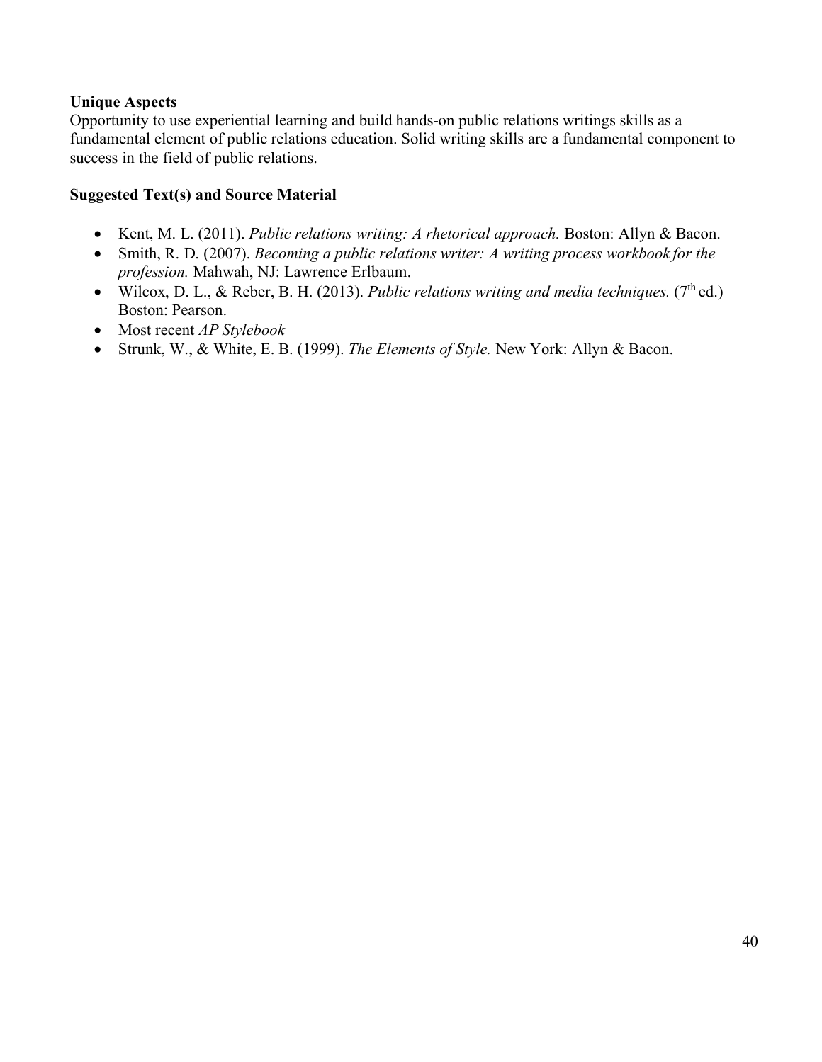### **Unique Aspects**

Opportunity to use experiential learning and build hands-on public relations writings skills as a fundamental element of public relations education. Solid writing skills are a fundamental component to success in the field of public relations.

### **Suggested Text(s) and Source Material**

- Kent, M. L. (2011). *Public relations writing: A rhetorical approach.* Boston: Allyn & Bacon.
- Smith, R. D. (2007). *Becoming a public relations writer: A writing process workbook for the profession.* Mahwah, NJ: Lawrence Erlbaum.
- Wilcox, D. L., & Reber, B. H. (2013). *Public relations writing and media techniques.* (7<sup>th</sup> ed.) Boston: Pearson.
- Most recent *AP Stylebook*
- Strunk, W., & White, E. B. (1999). *The Elements of Style.* New York: Allyn & Bacon.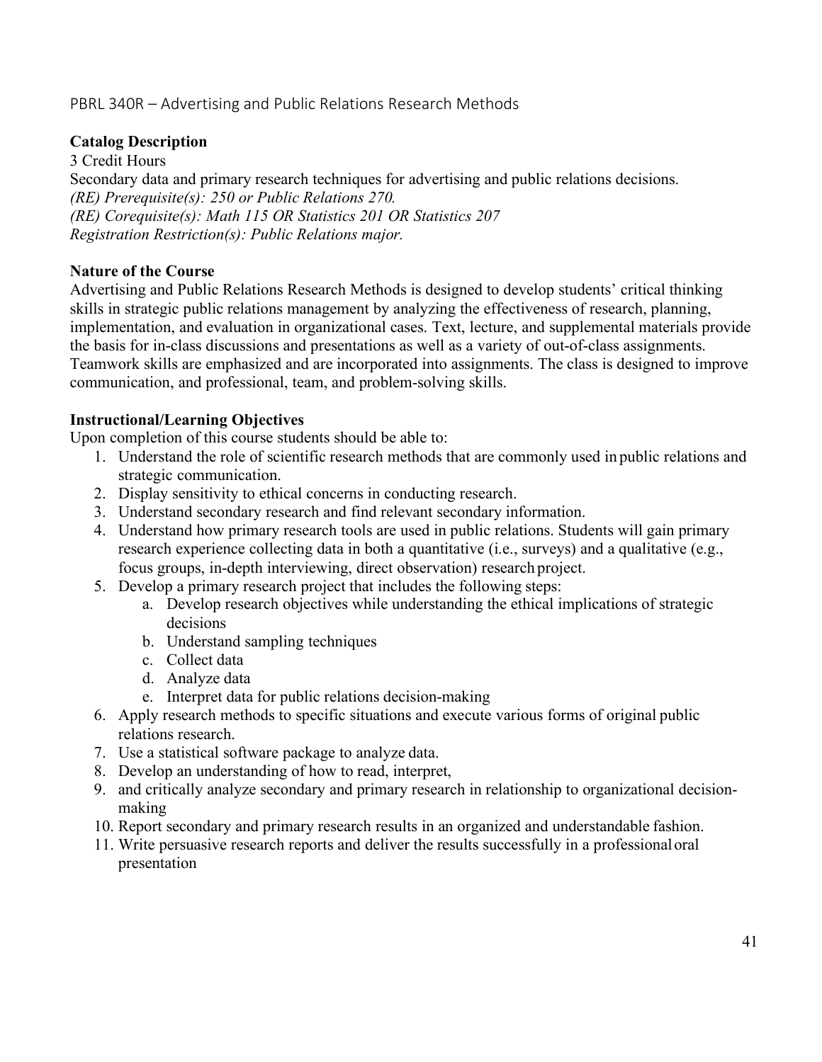# PBRL 340R – Advertising and Public Relations Research Methods

### **Catalog Description**

3 Credit Hours Secondary data and primary research techniques for advertising and public relations decisions. *(RE) Prerequisite(s): 250 or Public Relations 270. (RE) Corequisite(s): Math 115 OR Statistics 201 OR Statistics 207 Registration Restriction(s): Public Relations major.*

### **Nature of the Course**

Advertising and Public Relations Research Methods is designed to develop students' critical thinking skills in strategic public relations management by analyzing the effectiveness of research, planning, implementation, and evaluation in organizational cases. Text, lecture, and supplemental materials provide the basis for in-class discussions and presentations as well as a variety of out-of-class assignments. Teamwork skills are emphasized and are incorporated into assignments. The class is designed to improve communication, and professional, team, and problem-solving skills.

### **Instructional/Learning Objectives**

Upon completion of this course students should be able to:

- 1. Understand the role of scientific research methods that are commonly used in public relations and strategic communication.
- 2. Display sensitivity to ethical concerns in conducting research.
- 3. Understand secondary research and find relevant secondary information.
- 4. Understand how primary research tools are used in public relations. Students will gain primary research experience collecting data in both a quantitative (i.e., surveys) and a qualitative (e.g., focus groups, in-depth interviewing, direct observation) research project.
- 5. Develop a primary research project that includes the following steps:
	- a. Develop research objectives while understanding the ethical implications of strategic decisions
	- b. Understand sampling techniques
	- c. Collect data
	- d. Analyze data
	- e. Interpret data for public relations decision-making
- 6. Apply research methods to specific situations and execute various forms of original public relations research.
- 7. Use a statistical software package to analyze data.
- 8. Develop an understanding of how to read, interpret,
- 9. and critically analyze secondary and primary research in relationship to organizational decisionmaking
- 10. Report secondary and primary research results in an organized and understandable fashion.
- 11. Write persuasive research reports and deliver the results successfully in a professionaloral presentation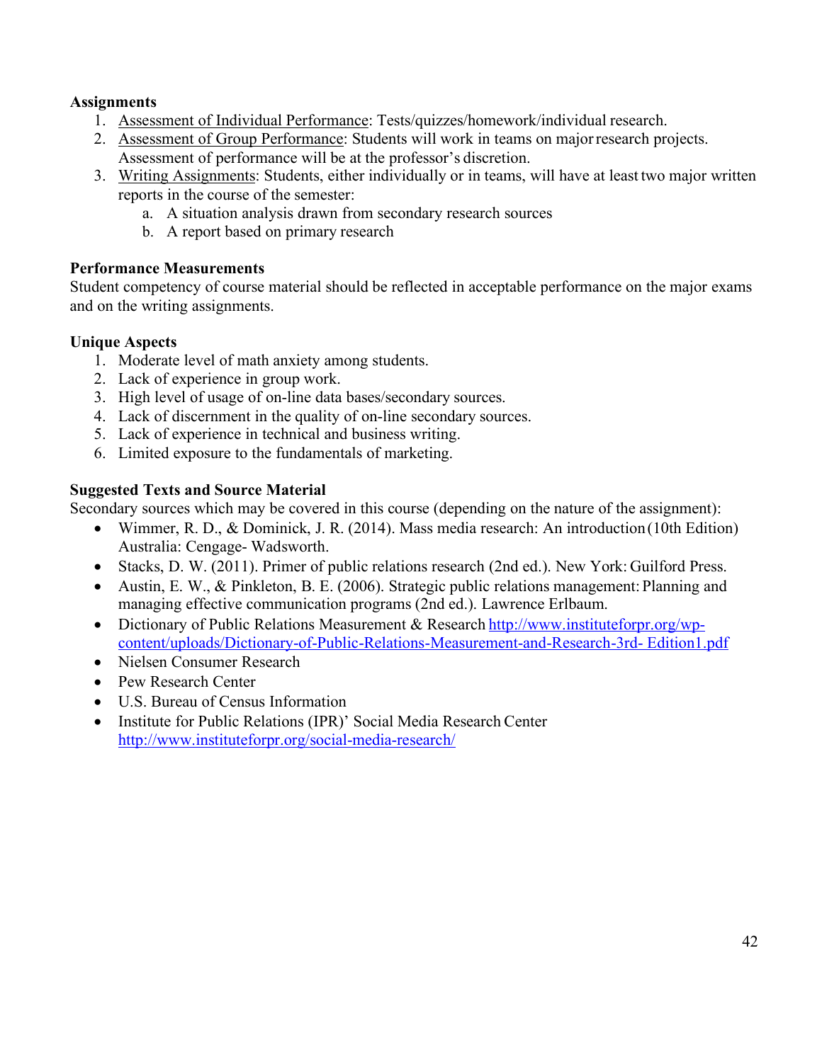### **Assignments**

- 1. Assessment of Individual Performance: Tests/quizzes/homework/individual research.
- 2. Assessment of Group Performance: Students will work in teams on majorresearch projects. Assessment of performance will be at the professor's discretion.
- 3. Writing Assignments: Students, either individually or in teams, will have at least two major written reports in the course of the semester:
	- a. A situation analysis drawn from secondary research sources
	- b. A report based on primary research

# **Performance Measurements**

Student competency of course material should be reflected in acceptable performance on the major exams and on the writing assignments.

# **Unique Aspects**

- 1. Moderate level of math anxiety among students.
- 2. Lack of experience in group work.
- 3. High level of usage of on-line data bases/secondary sources.
- 4. Lack of discernment in the quality of on-line secondary sources.
- 5. Lack of experience in technical and business writing.
- 6. Limited exposure to the fundamentals of marketing.

# **Suggested Texts and Source Material**

Secondary sources which may be covered in this course (depending on the nature of the assignment):

- Wimmer, R. D., & Dominick, J. R. (2014). Mass media research: An introduction (10th Edition) Australia: Cengage- Wadsworth.
- Stacks, D. W. (2011). Primer of public relations research (2nd ed.). New York: Guilford Press.
- Austin, E. W., & Pinkleton, B. E. (2006). Strategic public relations management: Planning and managing effective communication programs (2nd ed.). Lawrence Erlbaum.
- Dictionary of Public Relations Measurement & Research http://www.instituteforpr.org/wpcontent/uploads/Dictionary-of-Public-Relations-Measurement-and-Research-3rd- Edition1.pdf
- Nielsen Consumer Research
- Pew Research Center
- U.S. Bureau of Census Information
- Institute for Public Relations (IPR)' Social Media Research Center http://www.instituteforpr.org/social-media-research/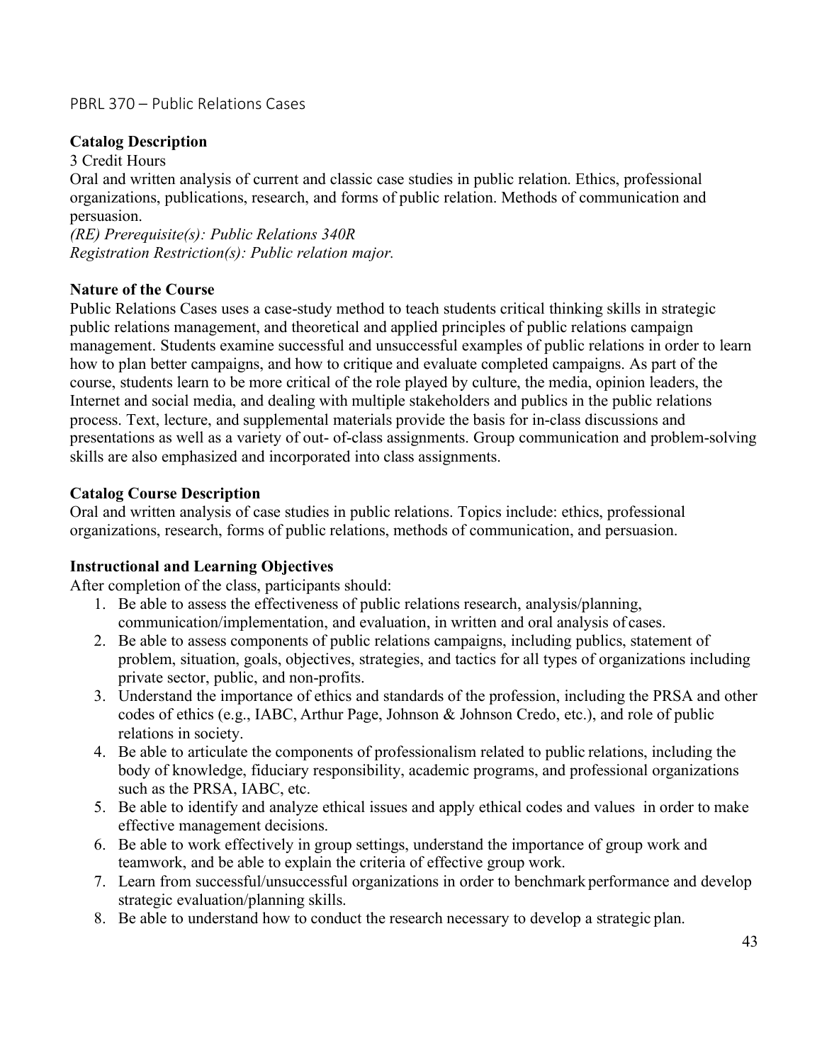### PBRL 370 – Public Relations Cases

## **Catalog Description**

### 3 Credit Hours

Oral and written analysis of current and classic case studies in public relation. Ethics, professional organizations, publications, research, and forms of public relation. Methods of communication and persuasion.

*(RE) Prerequisite(s): Public Relations 340R Registration Restriction(s): Public relation major.*

### **Nature of the Course**

Public Relations Cases uses a case-study method to teach students critical thinking skills in strategic public relations management, and theoretical and applied principles of public relations campaign management. Students examine successful and unsuccessful examples of public relations in order to learn how to plan better campaigns, and how to critique and evaluate completed campaigns. As part of the course, students learn to be more critical of the role played by culture, the media, opinion leaders, the Internet and social media, and dealing with multiple stakeholders and publics in the public relations process. Text, lecture, and supplemental materials provide the basis for in-class discussions and presentations as well as a variety of out- of-class assignments. Group communication and problem-solving skills are also emphasized and incorporated into class assignments.

### **Catalog Course Description**

Oral and written analysis of case studies in public relations. Topics include: ethics, professional organizations, research, forms of public relations, methods of communication, and persuasion.

# **Instructional and Learning Objectives**

After completion of the class, participants should:

- 1. Be able to assess the effectiveness of public relations research, analysis/planning, communication/implementation, and evaluation, in written and oral analysis of cases.
- 2. Be able to assess components of public relations campaigns, including publics, statement of problem, situation, goals, objectives, strategies, and tactics for all types of organizations including private sector, public, and non-profits.
- 3. Understand the importance of ethics and standards of the profession, including the PRSA and other codes of ethics (e.g., IABC, Arthur Page, Johnson & Johnson Credo, etc.), and role of public relations in society.
- 4. Be able to articulate the components of professionalism related to public relations, including the body of knowledge, fiduciary responsibility, academic programs, and professional organizations such as the PRSA, IABC, etc.
- 5. Be able to identify and analyze ethical issues and apply ethical codes and values in order to make effective management decisions.
- 6. Be able to work effectively in group settings, understand the importance of group work and teamwork, and be able to explain the criteria of effective group work.
- 7. Learn from successful/unsuccessful organizations in order to benchmark performance and develop strategic evaluation/planning skills.
- 8. Be able to understand how to conduct the research necessary to develop a strategic plan.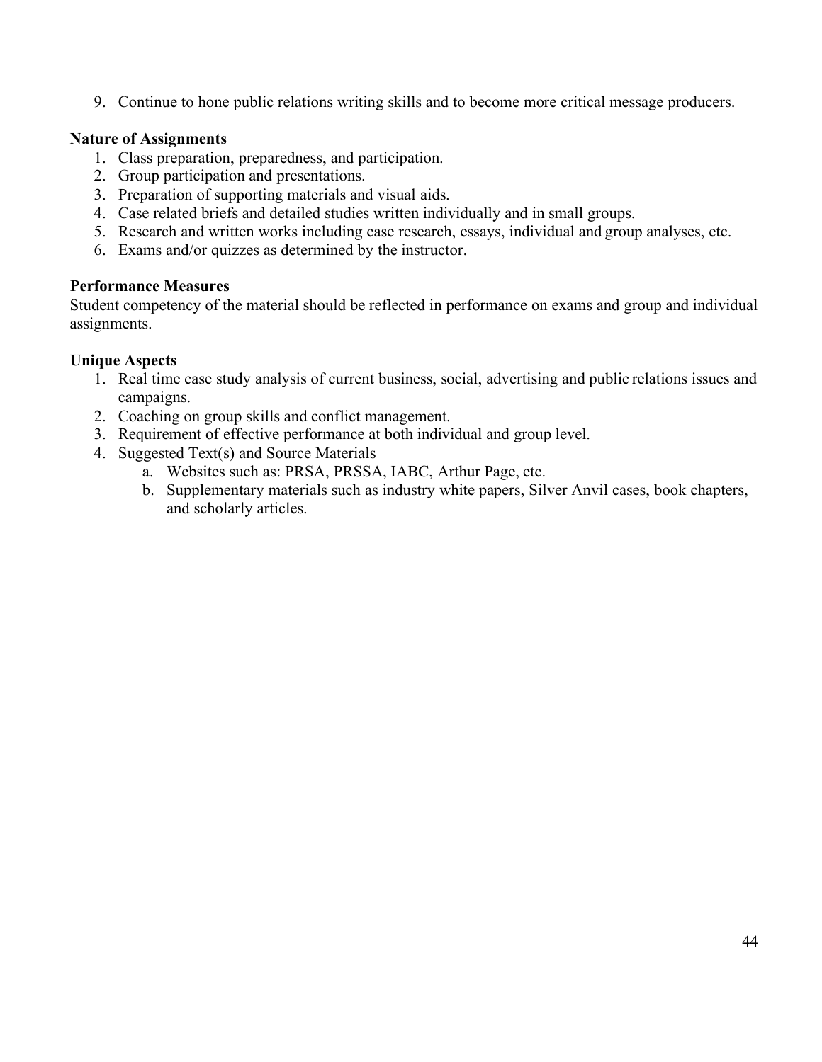9. Continue to hone public relations writing skills and to become more critical message producers.

### **Nature of Assignments**

- 1. Class preparation, preparedness, and participation.
- 2. Group participation and presentations.
- 3. Preparation of supporting materials and visual aids.
- 4. Case related briefs and detailed studies written individually and in small groups.
- 5. Research and written works including case research, essays, individual and group analyses, etc.
- 6. Exams and/or quizzes as determined by the instructor.

### **Performance Measures**

Student competency of the material should be reflected in performance on exams and group and individual assignments.

### **Unique Aspects**

- 1. Real time case study analysis of current business, social, advertising and public relations issues and campaigns.
- 2. Coaching on group skills and conflict management.
- 3. Requirement of effective performance at both individual and group level.
- 4. Suggested Text(s) and Source Materials
	- a. Websites such as: PRSA, PRSSA, IABC, Arthur Page, etc.
	- b. Supplementary materials such as industry white papers, Silver Anvil cases, book chapters, and scholarly articles.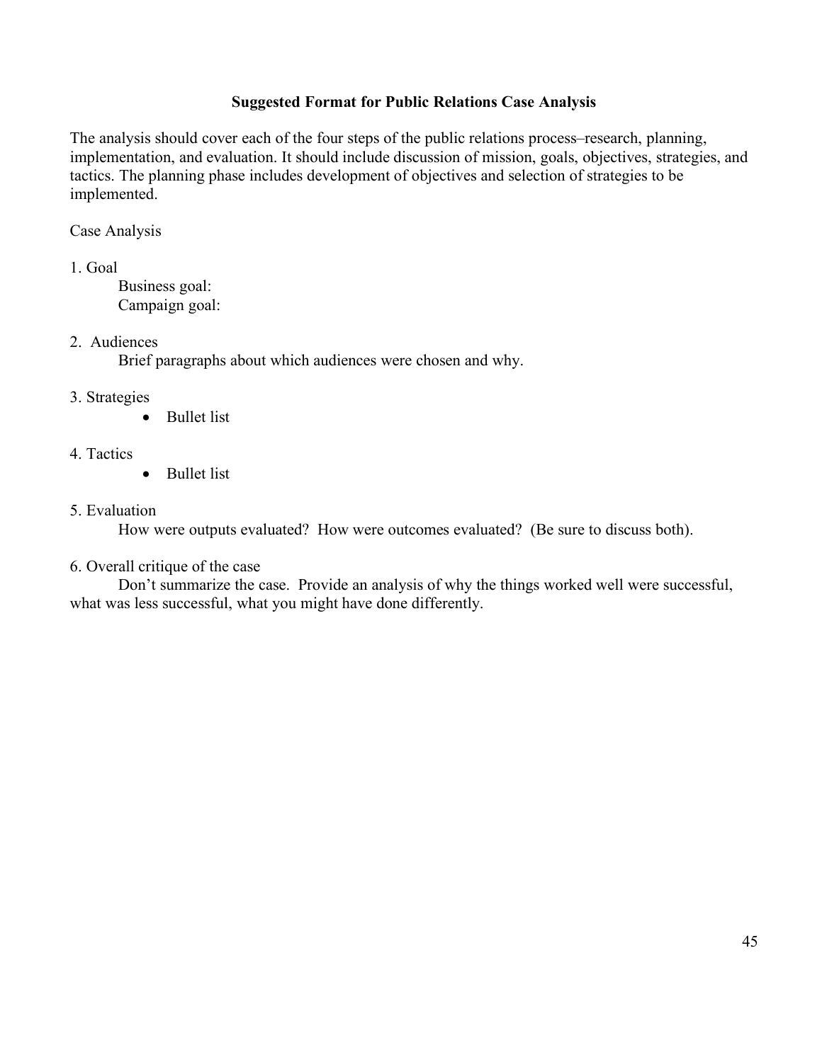### **Suggested Format for Public Relations Case Analysis**

The analysis should cover each of the four steps of the public relations process–research, planning, implementation, and evaluation. It should include discussion of mission, goals, objectives, strategies, and tactics. The planning phase includes development of objectives and selection of strategies to be implemented.

### Case Analysis

1. Goal

Business goal: Campaign goal:

### 2. Audiences

Brief paragraphs about which audiences were chosen and why.

### 3. Strategies

• Bullet list

### 4. Tactics

• Bullet list

#### 5. Evaluation

How were outputs evaluated? How were outcomes evaluated? (Be sure to discuss both).

#### 6. Overall critique of the case

Don't summarize the case. Provide an analysis of why the things worked well were successful, what was less successful, what you might have done differently.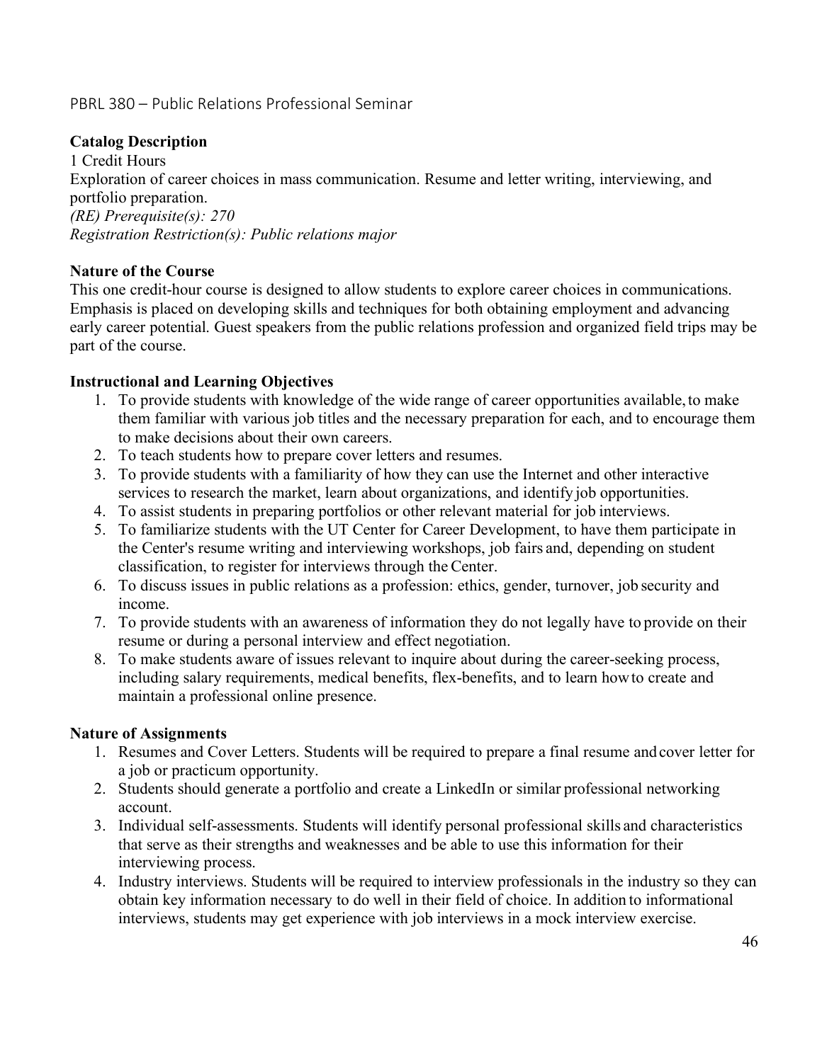# PBRL 380 – Public Relations Professional Seminar

### **Catalog Description**

1 Credit Hours Exploration of career choices in mass communication. Resume and letter writing, interviewing, and portfolio preparation. *(RE) Prerequisite(s): 270 Registration Restriction(s): Public relations major*

### **Nature of the Course**

This one credit-hour course is designed to allow students to explore career choices in communications. Emphasis is placed on developing skills and techniques for both obtaining employment and advancing early career potential. Guest speakers from the public relations profession and organized field trips may be part of the course.

### **Instructional and Learning Objectives**

- 1. To provide students with knowledge of the wide range of career opportunities available,to make them familiar with various job titles and the necessary preparation for each, and to encourage them to make decisions about their own careers.
- 2. To teach students how to prepare cover letters and resumes.
- 3. To provide students with a familiarity of how they can use the Internet and other interactive services to research the market, learn about organizations, and identify job opportunities.
- 4. To assist students in preparing portfolios or other relevant material for job interviews.
- 5. To familiarize students with the UT Center for Career Development, to have them participate in the Center's resume writing and interviewing workshops, job fairs and, depending on student classification, to register for interviews through the Center.
- 6. To discuss issues in public relations as a profession: ethics, gender, turnover, job security and income.
- 7. To provide students with an awareness of information they do not legally have to provide on their resume or during a personal interview and effect negotiation.
- 8. To make students aware of issues relevant to inquire about during the career-seeking process, including salary requirements, medical benefits, flex-benefits, and to learn howto create and maintain a professional online presence.

#### **Nature of Assignments**

- 1. Resumes and Cover Letters. Students will be required to prepare a final resume andcover letter for a job or practicum opportunity.
- 2. Students should generate a portfolio and create a LinkedIn or similar professional networking account.
- 3. Individual self-assessments. Students will identify personal professional skills and characteristics that serve as their strengths and weaknesses and be able to use this information for their interviewing process.
- 4. Industry interviews. Students will be required to interview professionals in the industry so they can obtain key information necessary to do well in their field of choice. In addition to informational interviews, students may get experience with job interviews in a mock interview exercise.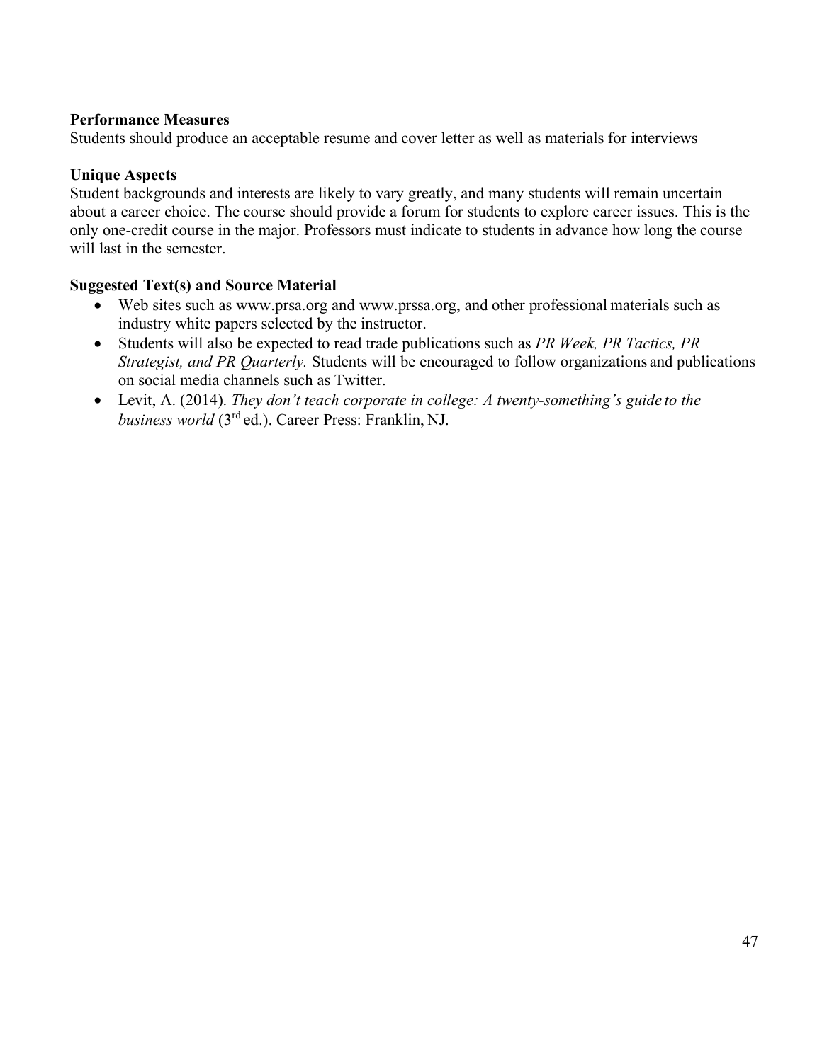### **Performance Measures**

Students should produce an acceptable resume and cover letter as well as materials for interviews

### **Unique Aspects**

Student backgrounds and interests are likely to vary greatly, and many students will remain uncertain about a career choice. The course should provide a forum for students to explore career issues. This is the only one-credit course in the major. Professors must indicate to students in advance how long the course will last in the semester.

### **Suggested Text(s) and Source Material**

- Web sites such as www.prsa.org and www.prssa.org, and other professional materials such as industry white papers selected by the instructor.
- Students will also be expected to read trade publications such as *PR Week, PR Tactics, PR Strategist, and PR Quarterly.* Students will be encouraged to follow organizations and publications on social media channels such as Twitter.
- Levit, A. (2014). *They don't teach corporate in college: A twenty-something's guide to the business world* (3rd ed.). Career Press: Franklin, NJ.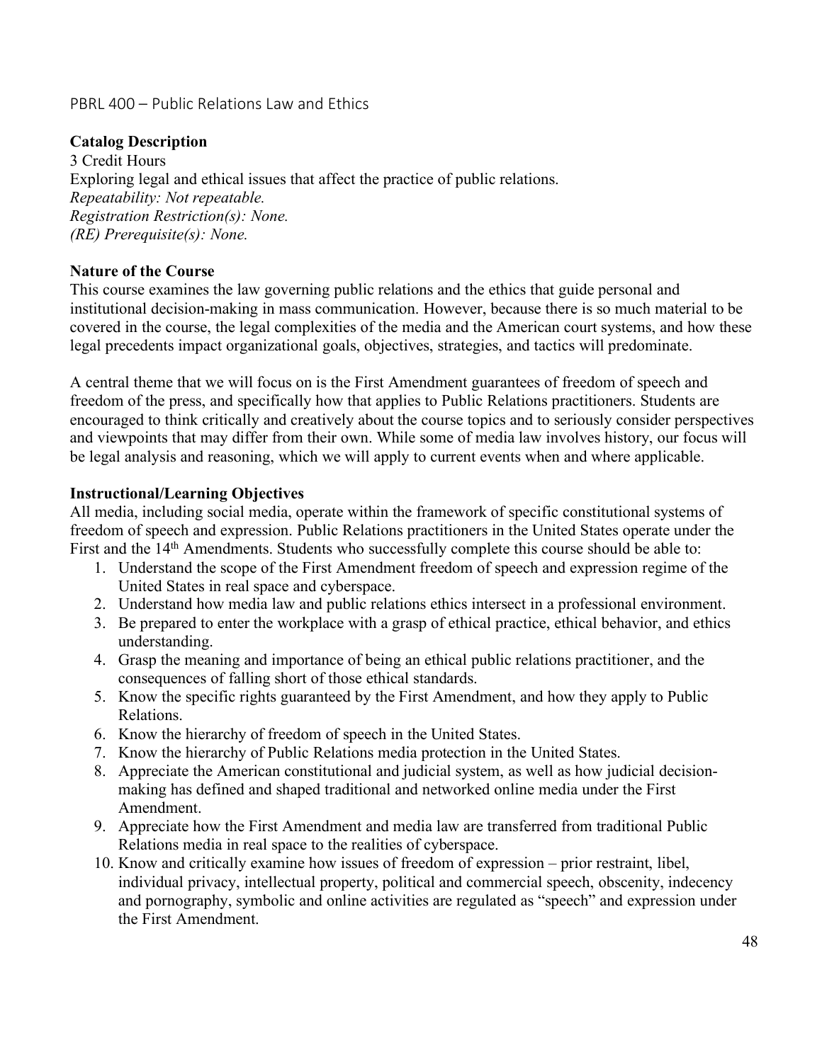### PBRL 400 – Public Relations Law and Ethics

### **Catalog Description**

3 Credit Hours Exploring legal and ethical issues that affect the practice of public relations. *Repeatability: Not repeatable. Registration Restriction(s): None. (RE) Prerequisite(s): None.*

#### **Nature of the Course**

This course examines the law governing public relations and the ethics that guide personal and institutional decision-making in mass communication. However, because there is so much material to be covered in the course, the legal complexities of the media and the American court systems, and how these legal precedents impact organizational goals, objectives, strategies, and tactics will predominate.

A central theme that we will focus on is the First Amendment guarantees of freedom of speech and freedom of the press, and specifically how that applies to Public Relations practitioners. Students are encouraged to think critically and creatively about the course topics and to seriously consider perspectives and viewpoints that may differ from their own. While some of media law involves history, our focus will be legal analysis and reasoning, which we will apply to current events when and where applicable.

#### **Instructional/Learning Objectives**

All media, including social media, operate within the framework of specific constitutional systems of freedom of speech and expression. Public Relations practitioners in the United States operate under the First and the 14<sup>th</sup> Amendments. Students who successfully complete this course should be able to:

- 1. Understand the scope of the First Amendment freedom of speech and expression regime of the United States in real space and cyberspace.
- 2. Understand how media law and public relations ethics intersect in a professional environment.
- 3. Be prepared to enter the workplace with a grasp of ethical practice, ethical behavior, and ethics understanding.
- 4. Grasp the meaning and importance of being an ethical public relations practitioner, and the consequences of falling short of those ethical standards.
- 5. Know the specific rights guaranteed by the First Amendment, and how they apply to Public Relations.
- 6. Know the hierarchy of freedom of speech in the United States.
- 7. Know the hierarchy of Public Relations media protection in the United States.
- 8. Appreciate the American constitutional and judicial system, as well as how judicial decisionmaking has defined and shaped traditional and networked online media under the First Amendment.
- 9. Appreciate how the First Amendment and media law are transferred from traditional Public Relations media in real space to the realities of cyberspace.
- 10. Know and critically examine how issues of freedom of expression prior restraint, libel, individual privacy, intellectual property, political and commercial speech, obscenity, indecency and pornography, symbolic and online activities are regulated as "speech" and expression under the First Amendment.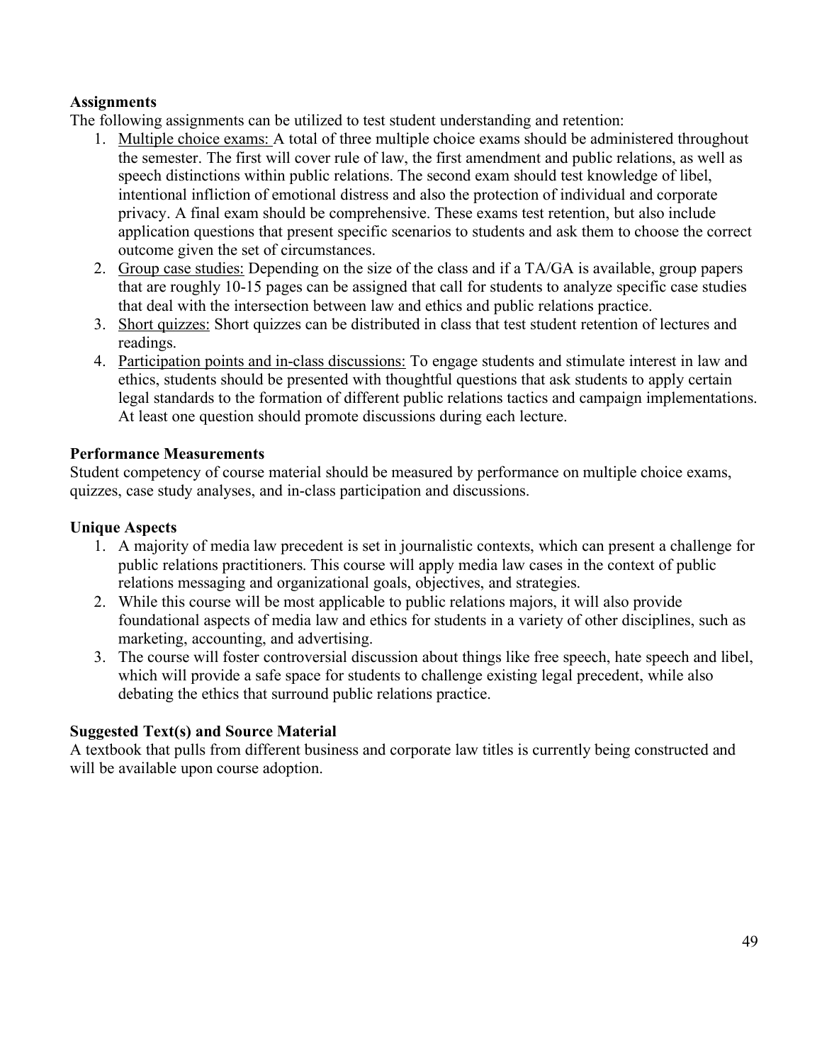# **Assignments**

The following assignments can be utilized to test student understanding and retention:

- 1. Multiple choice exams: A total of three multiple choice exams should be administered throughout the semester. The first will cover rule of law, the first amendment and public relations, as well as speech distinctions within public relations. The second exam should test knowledge of libel, intentional infliction of emotional distress and also the protection of individual and corporate privacy. A final exam should be comprehensive. These exams test retention, but also include application questions that present specific scenarios to students and ask them to choose the correct outcome given the set of circumstances.
- 2. Group case studies: Depending on the size of the class and if a TA/GA is available, group papers that are roughly 10-15 pages can be assigned that call for students to analyze specific case studies that deal with the intersection between law and ethics and public relations practice.
- 3. Short quizzes: Short quizzes can be distributed in class that test student retention of lectures and readings.
- 4. Participation points and in-class discussions: To engage students and stimulate interest in law and ethics, students should be presented with thoughtful questions that ask students to apply certain legal standards to the formation of different public relations tactics and campaign implementations. At least one question should promote discussions during each lecture.

# **Performance Measurements**

Student competency of course material should be measured by performance on multiple choice exams, quizzes, case study analyses, and in-class participation and discussions.

## **Unique Aspects**

- 1. A majority of media law precedent is set in journalistic contexts, which can present a challenge for public relations practitioners. This course will apply media law cases in the context of public relations messaging and organizational goals, objectives, and strategies.
- 2. While this course will be most applicable to public relations majors, it will also provide foundational aspects of media law and ethics for students in a variety of other disciplines, such as marketing, accounting, and advertising.
- 3. The course will foster controversial discussion about things like free speech, hate speech and libel, which will provide a safe space for students to challenge existing legal precedent, while also debating the ethics that surround public relations practice.

### **Suggested Text(s) and Source Material**

A textbook that pulls from different business and corporate law titles is currently being constructed and will be available upon course adoption.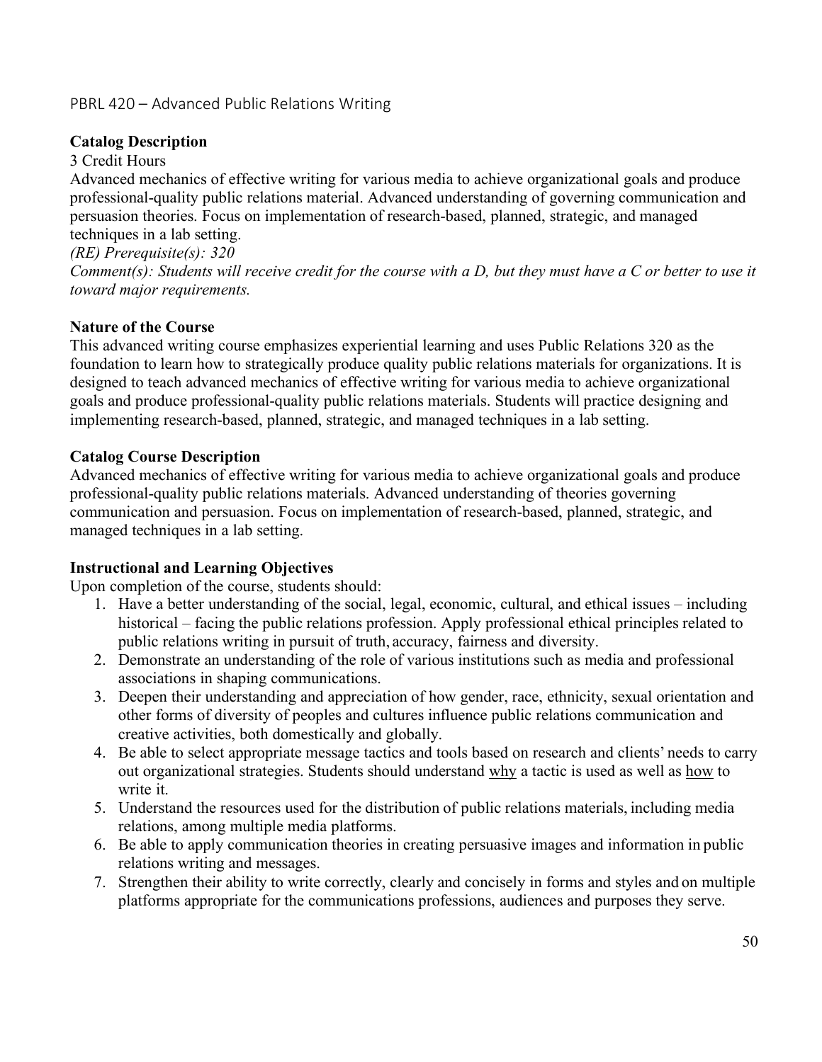# PBRL 420 – Advanced Public Relations Writing

# **Catalog Description**

3 Credit Hours

Advanced mechanics of effective writing for various media to achieve organizational goals and produce professional-quality public relations material. Advanced understanding of governing communication and persuasion theories. Focus on implementation of research-based, planned, strategic, and managed techniques in a lab setting.

*(RE) Prerequisite(s): 320*

*Comment(s): Students will receive credit for the course with a D, but they must have a C or better to use it toward major requirements.*

# **Nature of the Course**

This advanced writing course emphasizes experiential learning and uses Public Relations 320 as the foundation to learn how to strategically produce quality public relations materials for organizations. It is designed to teach advanced mechanics of effective writing for various media to achieve organizational goals and produce professional-quality public relations materials. Students will practice designing and implementing research-based, planned, strategic, and managed techniques in a lab setting.

### **Catalog Course Description**

Advanced mechanics of effective writing for various media to achieve organizational goals and produce professional-quality public relations materials. Advanced understanding of theories governing communication and persuasion. Focus on implementation of research-based, planned, strategic, and managed techniques in a lab setting.

### **Instructional and Learning Objectives**

Upon completion of the course, students should:

- 1. Have a better understanding of the social, legal, economic, cultural, and ethical issues including historical – facing the public relations profession. Apply professional ethical principles related to public relations writing in pursuit of truth, accuracy, fairness and diversity.
- 2. Demonstrate an understanding of the role of various institutions such as media and professional associations in shaping communications.
- 3. Deepen their understanding and appreciation of how gender, race, ethnicity, sexual orientation and other forms of diversity of peoples and cultures influence public relations communication and creative activities, both domestically and globally.
- 4. Be able to select appropriate message tactics and tools based on research and clients' needs to carry out organizational strategies. Students should understand why a tactic is used as well as how to write it.
- 5. Understand the resources used for the distribution of public relations materials, including media relations, among multiple media platforms.
- 6. Be able to apply communication theories in creating persuasive images and information in public relations writing and messages.
- 7. Strengthen their ability to write correctly, clearly and concisely in forms and styles and on multiple platforms appropriate for the communications professions, audiences and purposes they serve.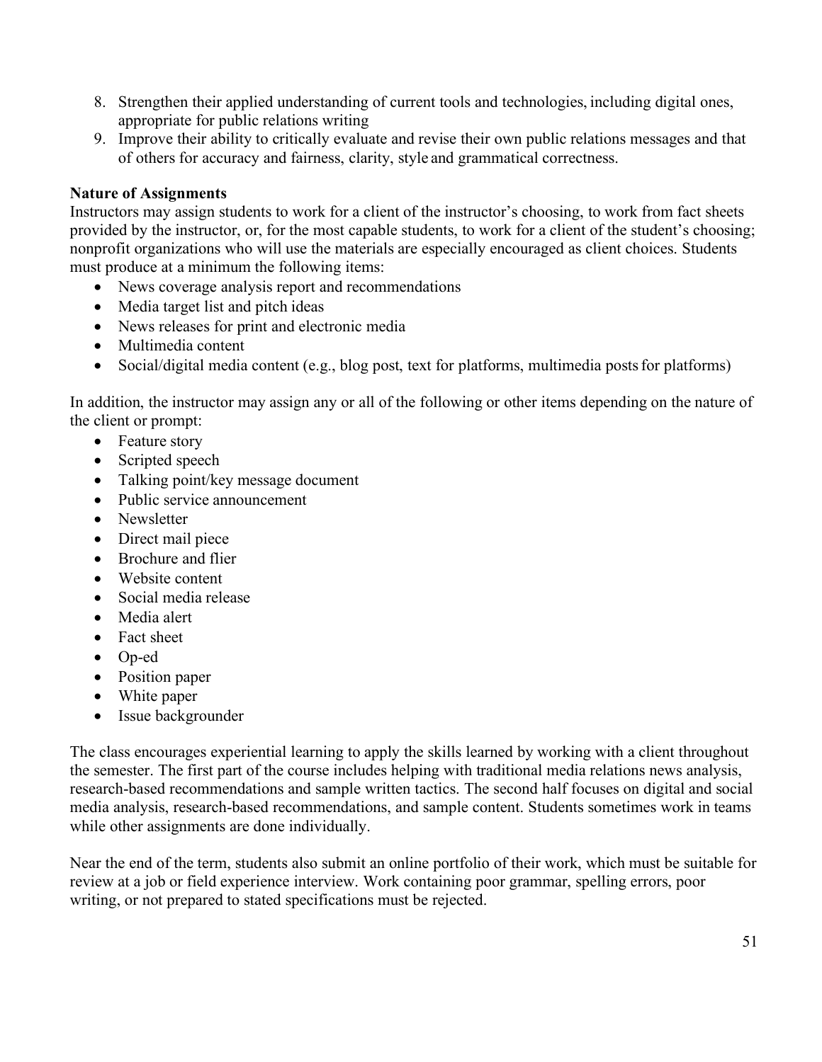- 8. Strengthen their applied understanding of current tools and technologies, including digital ones, appropriate for public relations writing
- 9. Improve their ability to critically evaluate and revise their own public relations messages and that of others for accuracy and fairness, clarity, style and grammatical correctness.

### **Nature of Assignments**

Instructors may assign students to work for a client of the instructor's choosing, to work from fact sheets provided by the instructor, or, for the most capable students, to work for a client of the student's choosing; nonprofit organizations who will use the materials are especially encouraged as client choices. Students must produce at a minimum the following items:

- News coverage analysis report and recommendations
- Media target list and pitch ideas
- News releases for print and electronic media
- Multimedia content
- Social/digital media content (e.g., blog post, text for platforms, multimedia posts for platforms)

In addition, the instructor may assign any or all of the following or other items depending on the nature of the client or prompt:

- Feature story
- Scripted speech
- Talking point/key message document
- Public service announcement
- Newsletter
- Direct mail piece
- Brochure and flier
- Website content
- Social media release
- Media alert
- Fact sheet
- Op-ed
- Position paper
- White paper
- Issue backgrounder

The class encourages experiential learning to apply the skills learned by working with a client throughout the semester. The first part of the course includes helping with traditional media relations news analysis, research-based recommendations and sample written tactics. The second half focuses on digital and social media analysis, research-based recommendations, and sample content. Students sometimes work in teams while other assignments are done individually.

Near the end of the term, students also submit an online portfolio of their work, which must be suitable for review at a job or field experience interview. Work containing poor grammar, spelling errors, poor writing, or not prepared to stated specifications must be rejected.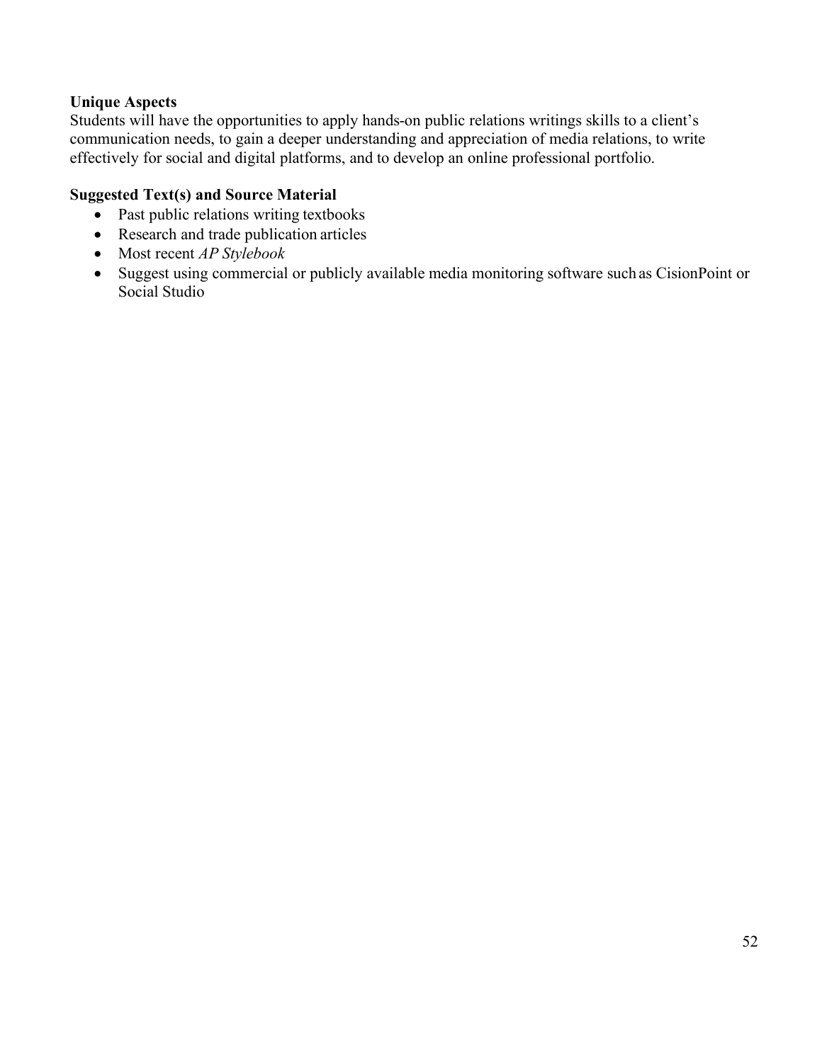### **Unique Aspects**

Students will have the opportunities to apply hands-on public relations writings skills to a client's communication needs, to gain a deeper understanding and appreciation of media relations, to write effectively for social and digital platforms, and to develop an online professional portfolio.

### **Suggested Text(s) and Source Material**

- Past public relations writing textbooks
- Research and trade publication articles
- Most recent *AP Stylebook*
- Suggest using commercial or publicly available media monitoring software such as CisionPoint or Social Studio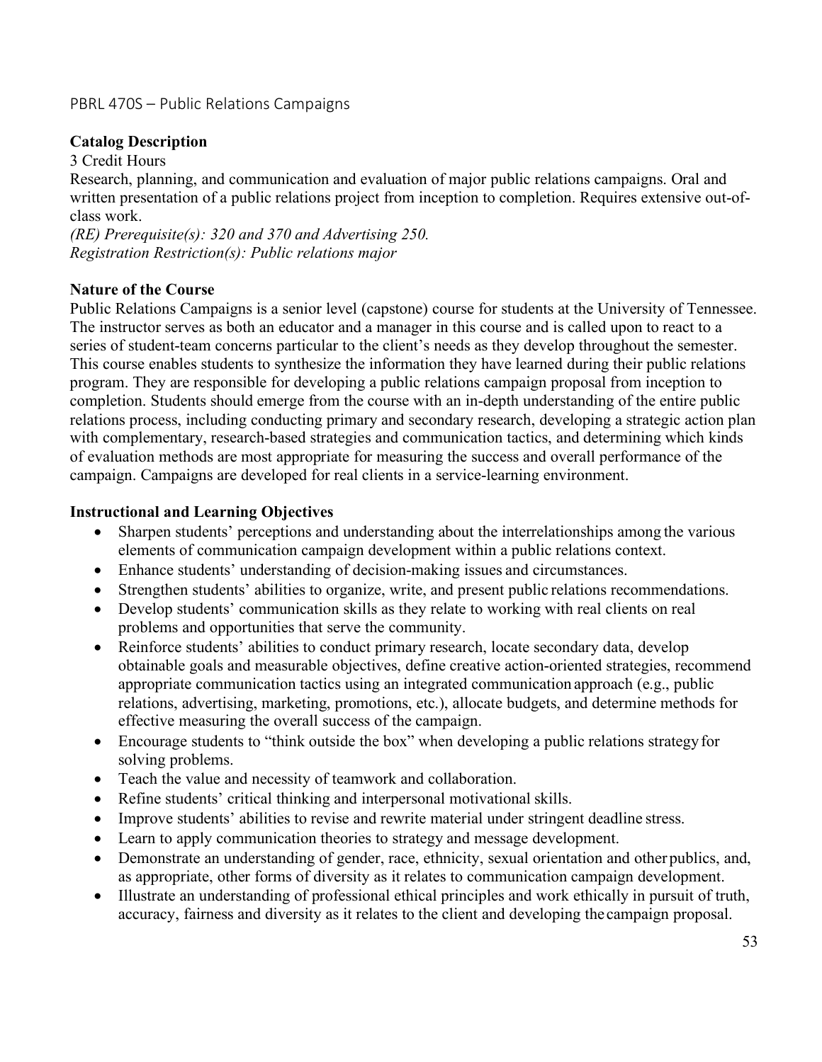# PBRL 470S – Public Relations Campaigns

## **Catalog Description**

3 Credit Hours

Research, planning, and communication and evaluation of major public relations campaigns. Oral and written presentation of a public relations project from inception to completion. Requires extensive out-ofclass work.

*(RE) Prerequisite(s): 320 and 370 and Advertising 250. Registration Restriction(s): Public relations major*

### **Nature of the Course**

Public Relations Campaigns is a senior level (capstone) course for students at the University of Tennessee. The instructor serves as both an educator and a manager in this course and is called upon to react to a series of student-team concerns particular to the client's needs as they develop throughout the semester. This course enables students to synthesize the information they have learned during their public relations program. They are responsible for developing a public relations campaign proposal from inception to completion. Students should emerge from the course with an in-depth understanding of the entire public relations process, including conducting primary and secondary research, developing a strategic action plan with complementary, research-based strategies and communication tactics, and determining which kinds of evaluation methods are most appropriate for measuring the success and overall performance of the campaign. Campaigns are developed for real clients in a service-learning environment.

### **Instructional and Learning Objectives**

- Sharpen students' perceptions and understanding about the interrelationships among the various elements of communication campaign development within a public relations context.
- Enhance students' understanding of decision-making issues and circumstances.
- Strengthen students' abilities to organize, write, and present public relations recommendations.
- Develop students' communication skills as they relate to working with real clients on real problems and opportunities that serve the community.
- Reinforce students' abilities to conduct primary research, locate secondary data, develop obtainable goals and measurable objectives, define creative action-oriented strategies, recommend appropriate communication tactics using an integrated communication approach (e.g., public relations, advertising, marketing, promotions, etc.), allocate budgets, and determine methods for effective measuring the overall success of the campaign.
- Encourage students to "think outside the box" when developing a public relations strategy for solving problems.
- Teach the value and necessity of teamwork and collaboration.
- Refine students' critical thinking and interpersonal motivational skills.
- Improve students' abilities to revise and rewrite material under stringent deadline stress.
- Learn to apply communication theories to strategy and message development.
- Demonstrate an understanding of gender, race, ethnicity, sexual orientation and other publics, and, as appropriate, other forms of diversity as it relates to communication campaign development.
- Illustrate an understanding of professional ethical principles and work ethically in pursuit of truth, accuracy, fairness and diversity as it relates to the client and developing the campaign proposal.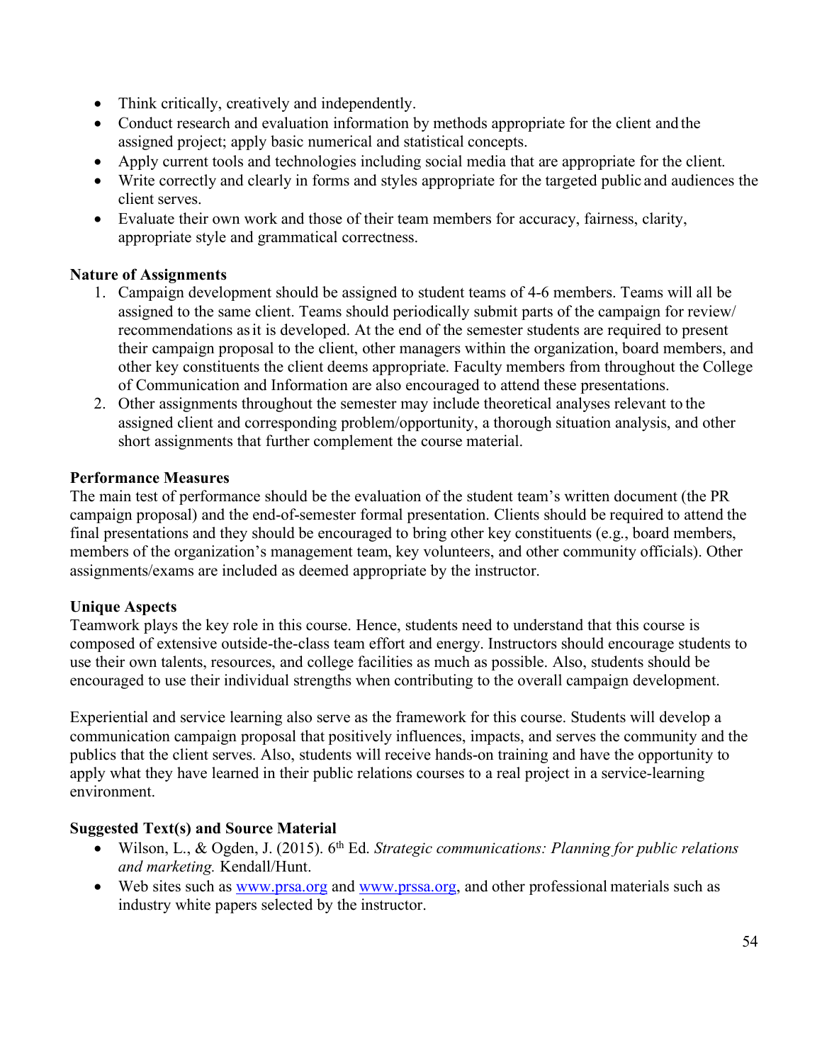- Think critically, creatively and independently.
- Conduct research and evaluation information by methods appropriate for the client and the assigned project; apply basic numerical and statistical concepts.
- Apply current tools and technologies including social media that are appropriate for the client.
- Write correctly and clearly in forms and styles appropriate for the targeted public and audiences the client serves.
- Evaluate their own work and those of their team members for accuracy, fairness, clarity, appropriate style and grammatical correctness.

# **Nature of Assignments**

- 1. Campaign development should be assigned to student teams of 4-6 members. Teams will all be assigned to the same client. Teams should periodically submit parts of the campaign for review/ recommendations asit is developed. At the end of the semester students are required to present their campaign proposal to the client, other managers within the organization, board members, and other key constituents the client deems appropriate. Faculty members from throughout the College of Communication and Information are also encouraged to attend these presentations.
- 2. Other assignments throughout the semester may include theoretical analyses relevant to the assigned client and corresponding problem/opportunity, a thorough situation analysis, and other short assignments that further complement the course material.

### **Performance Measures**

The main test of performance should be the evaluation of the student team's written document (the PR campaign proposal) and the end-of-semester formal presentation. Clients should be required to attend the final presentations and they should be encouraged to bring other key constituents (e.g., board members, members of the organization's management team, key volunteers, and other community officials). Other assignments/exams are included as deemed appropriate by the instructor.

# **Unique Aspects**

Teamwork plays the key role in this course. Hence, students need to understand that this course is composed of extensive outside-the-class team effort and energy. Instructors should encourage students to use their own talents, resources, and college facilities as much as possible. Also, students should be encouraged to use their individual strengths when contributing to the overall campaign development.

Experiential and service learning also serve as the framework for this course. Students will develop a communication campaign proposal that positively influences, impacts, and serves the community and the publics that the client serves. Also, students will receive hands-on training and have the opportunity to apply what they have learned in their public relations courses to a real project in a service-learning environment.

# **Suggested Text(s) and Source Material**

- Wilson, L., & Ogden, J. (2015). 6<sup>th</sup> Ed. *Strategic communications: Planning for public relations and marketing.* Kendall/Hunt.
- Web sites such as www.prsa.org and www.prssa.org, and other professional materials such as industry white papers selected by the instructor.